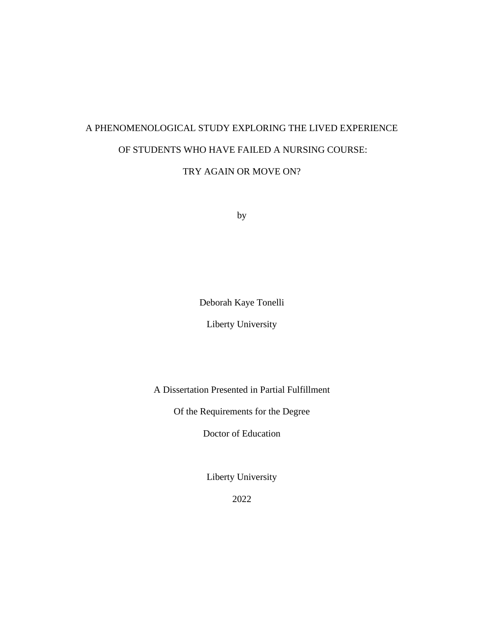# A PHENOMENOLOGICAL STUDY EXPLORING THE LIVED EXPERIENCE OF STUDENTS WHO HAVE FAILED A NURSING COURSE:

TRY AGAIN OR MOVE ON?

by

Deborah Kaye Tonelli

Liberty University

A Dissertation Presented in Partial Fulfillment

Of the Requirements for the Degree

Doctor of Education

Liberty University

2022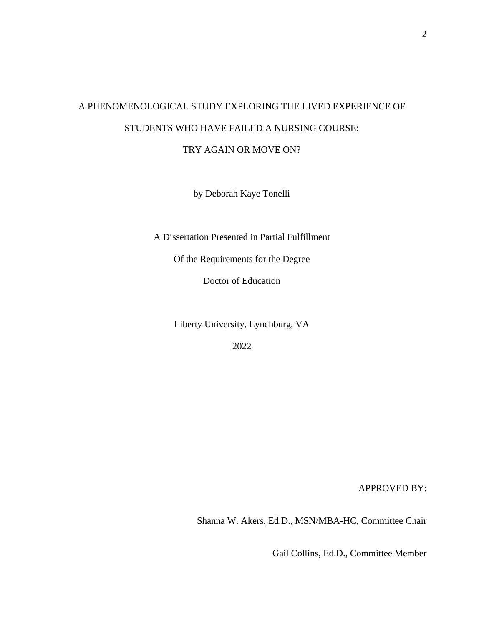# A PHENOMENOLOGICAL STUDY EXPLORING THE LIVED EXPERIENCE OF STUDENTS WHO HAVE FAILED A NURSING COURSE:

TRY AGAIN OR MOVE ON?

by Deborah Kaye Tonelli

A Dissertation Presented in Partial Fulfillment

Of the Requirements for the Degree

Doctor of Education

Liberty University, Lynchburg, VA

2022

APPROVED BY:

Shanna W. Akers, Ed.D., MSN/MBA-HC, Committee Chair

Gail Collins, Ed.D., Committee Member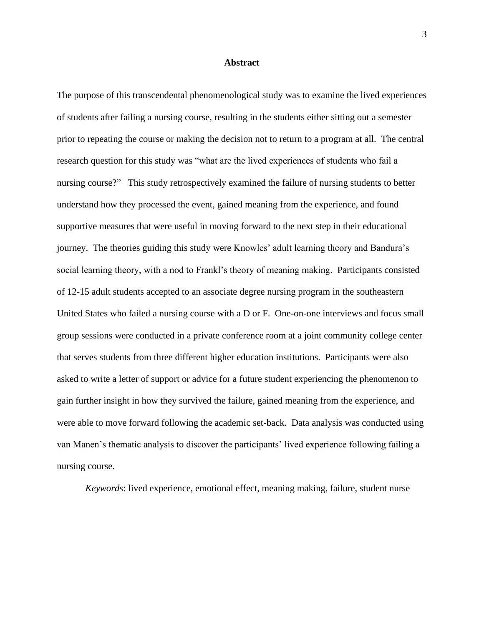#### **Abstract**

<span id="page-2-0"></span>The purpose of this transcendental phenomenological study was to examine the lived experiences of students after failing a nursing course, resulting in the students either sitting out a semester prior to repeating the course or making the decision not to return to a program at all. The central research question for this study was "what are the lived experiences of students who fail a nursing course?" This study retrospectively examined the failure of nursing students to better understand how they processed the event, gained meaning from the experience, and found supportive measures that were useful in moving forward to the next step in their educational journey. The theories guiding this study were Knowles' adult learning theory and Bandura's social learning theory, with a nod to Frankl's theory of meaning making. Participants consisted of 12-15 adult students accepted to an associate degree nursing program in the southeastern United States who failed a nursing course with a D or F. One-on-one interviews and focus small group sessions were conducted in a private conference room at a joint community college center that serves students from three different higher education institutions. Participants were also asked to write a letter of support or advice for a future student experiencing the phenomenon to gain further insight in how they survived the failure, gained meaning from the experience, and were able to move forward following the academic set-back. Data analysis was conducted using van Manen's thematic analysis to discover the participants' lived experience following failing a nursing course.

*Keywords*: lived experience, emotional effect, meaning making, failure, student nurse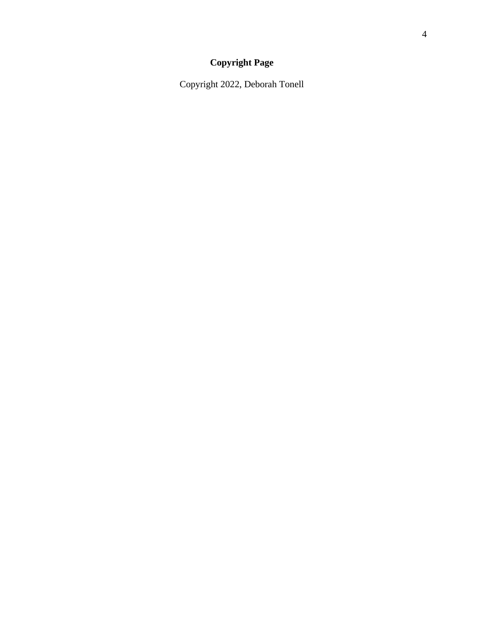# **Copyright Page**

<span id="page-3-0"></span>Copyright 2022, Deborah Tonell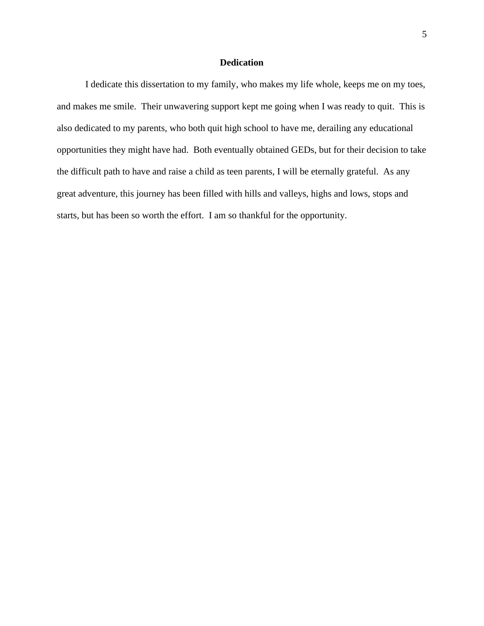# **Dedication**

<span id="page-4-0"></span>I dedicate this dissertation to my family, who makes my life whole, keeps me on my toes, and makes me smile. Their unwavering support kept me going when I was ready to quit. This is also dedicated to my parents, who both quit high school to have me, derailing any educational opportunities they might have had. Both eventually obtained GEDs, but for their decision to take the difficult path to have and raise a child as teen parents, I will be eternally grateful. As any great adventure, this journey has been filled with hills and valleys, highs and lows, stops and starts, but has been so worth the effort. I am so thankful for the opportunity.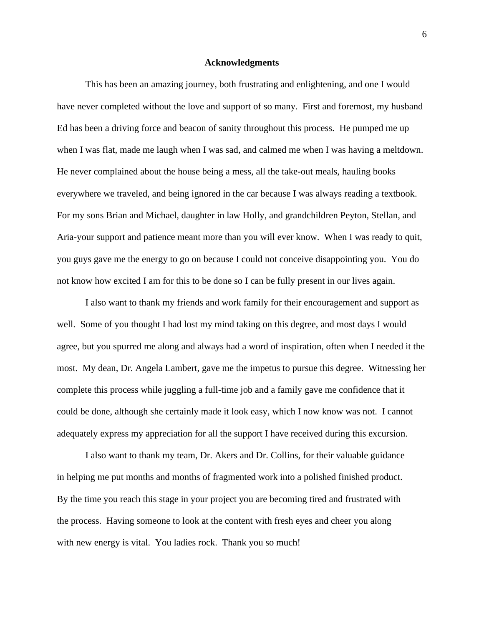#### **Acknowledgments**

<span id="page-5-0"></span>This has been an amazing journey, both frustrating and enlightening, and one I would have never completed without the love and support of so many. First and foremost, my husband Ed has been a driving force and beacon of sanity throughout this process. He pumped me up when I was flat, made me laugh when I was sad, and calmed me when I was having a meltdown. He never complained about the house being a mess, all the take-out meals, hauling books everywhere we traveled, and being ignored in the car because I was always reading a textbook. For my sons Brian and Michael, daughter in law Holly, and grandchildren Peyton, Stellan, and Aria-your support and patience meant more than you will ever know. When I was ready to quit, you guys gave me the energy to go on because I could not conceive disappointing you. You do not know how excited I am for this to be done so I can be fully present in our lives again.

I also want to thank my friends and work family for their encouragement and support as well. Some of you thought I had lost my mind taking on this degree, and most days I would agree, but you spurred me along and always had a word of inspiration, often when I needed it the most. My dean, Dr. Angela Lambert, gave me the impetus to pursue this degree. Witnessing her complete this process while juggling a full-time job and a family gave me confidence that it could be done, although she certainly made it look easy, which I now know was not. I cannot adequately express my appreciation for all the support I have received during this excursion.

I also want to thank my team, Dr. Akers and Dr. Collins, for their valuable guidance in helping me put months and months of fragmented work into a polished finished product. By the time you reach this stage in your project you are becoming tired and frustrated with the process. Having someone to look at the content with fresh eyes and cheer you along with new energy is vital. You ladies rock. Thank you so much!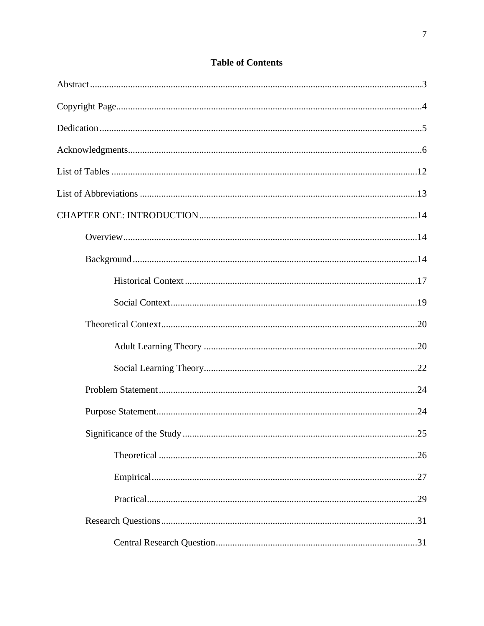| .25 |
|-----|
|     |
|     |
|     |
|     |
|     |

# **Table of Contents**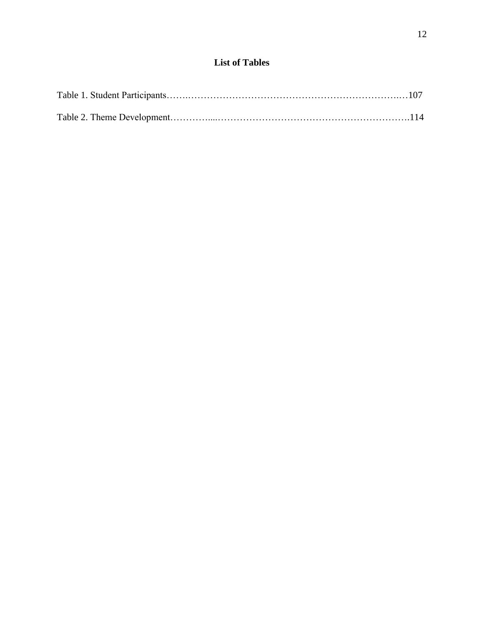# **List of Tables**

<span id="page-11-0"></span>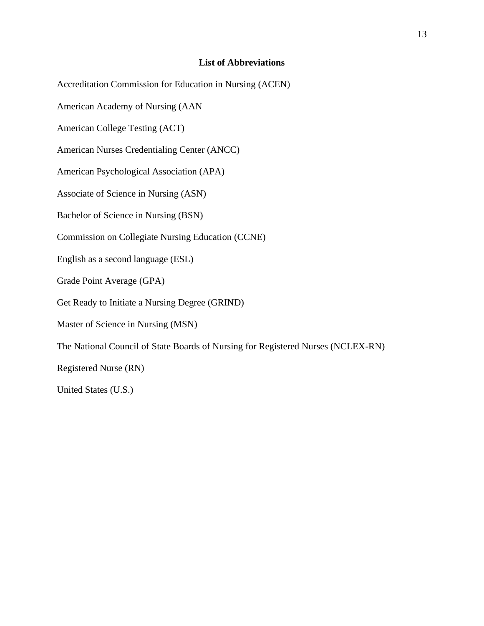# **List of Abbreviations**

<span id="page-12-0"></span>Accreditation Commission for Education in Nursing (ACEN) American Academy of Nursing (AAN American College Testing (ACT) American Nurses Credentialing Center (ANCC) American Psychological Association (APA) Associate of Science in Nursing (ASN) Bachelor of Science in Nursing (BSN) Commission on Collegiate Nursing Education (CCNE) English as a second language (ESL) Grade Point Average (GPA) Get Ready to Initiate a Nursing Degree (GRIND) Master of Science in Nursing (MSN) The National Council of State Boards of Nursing for Registered Nurses (NCLEX-RN) Registered Nurse (RN) United States (U.S.)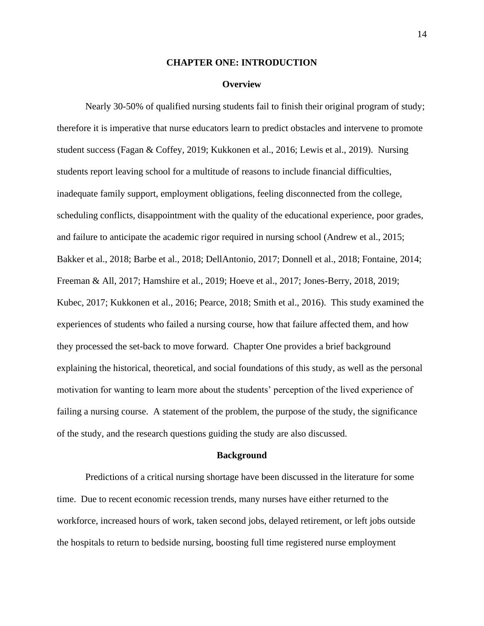#### **CHAPTER ONE: INTRODUCTION**

#### **Overview**

<span id="page-13-1"></span><span id="page-13-0"></span>Nearly 30-50% of qualified nursing students fail to finish their original program of study; therefore it is imperative that nurse educators learn to predict obstacles and intervene to promote student success (Fagan & Coffey, 2019; Kukkonen et al., 2016; Lewis et al., 2019). Nursing students report leaving school for a multitude of reasons to include financial difficulties, inadequate family support, employment obligations, feeling disconnected from the college, scheduling conflicts, disappointment with the quality of the educational experience, poor grades, and failure to anticipate the academic rigor required in nursing school (Andrew et al., 2015; Bakker et al., 2018; Barbe et al., 2018; DellAntonio, 2017; Donnell et al., 2018; Fontaine, 2014; Freeman & All, 2017; Hamshire et al., 2019; Hoeve et al., 2017; Jones-Berry, 2018, 2019; Kubec, 2017; Kukkonen et al., 2016; Pearce, 2018; Smith et al., 2016). This study examined the experiences of students who failed a nursing course, how that failure affected them, and how they processed the set-back to move forward. Chapter One provides a brief background explaining the historical, theoretical, and social foundations of this study, as well as the personal motivation for wanting to learn more about the students' perception of the lived experience of failing a nursing course. A statement of the problem, the purpose of the study, the significance of the study, and the research questions guiding the study are also discussed.

#### **Background**

<span id="page-13-2"></span>Predictions of a critical nursing shortage have been discussed in the literature for some time. Due to recent economic recession trends, many nurses have either returned to the workforce, increased hours of work, taken second jobs, delayed retirement, or left jobs outside the hospitals to return to bedside nursing, boosting full time registered nurse employment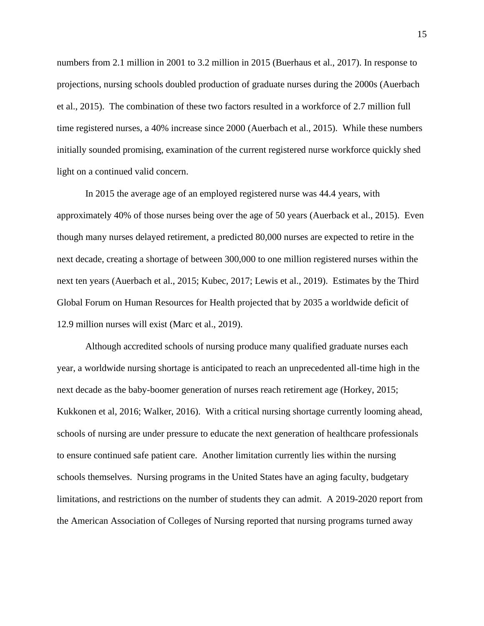numbers from 2.1 million in 2001 to 3.2 million in 2015 (Buerhaus et al., 2017). In response to projections, nursing schools doubled production of graduate nurses during the 2000s (Auerbach et al., 2015). The combination of these two factors resulted in a workforce of 2.7 million full time registered nurses, a 40% increase since 2000 (Auerbach et al., 2015). While these numbers initially sounded promising, examination of the current registered nurse workforce quickly shed light on a continued valid concern.

In 2015 the average age of an employed registered nurse was 44.4 years, with approximately 40% of those nurses being over the age of 50 years (Auerback et al., 2015). Even though many nurses delayed retirement, a predicted 80,000 nurses are expected to retire in the next decade, creating a shortage of between 300,000 to one million registered nurses within the next ten years (Auerbach et al., 2015; Kubec, 2017; Lewis et al., 2019). Estimates by the Third Global Forum on Human Resources for Health projected that by 2035 a worldwide deficit of 12.9 million nurses will exist (Marc et al., 2019).

Although accredited schools of nursing produce many qualified graduate nurses each year, a worldwide nursing shortage is anticipated to reach an unprecedented all-time high in the next decade as the baby-boomer generation of nurses reach retirement age (Horkey, 2015; Kukkonen et al, 2016; Walker, 2016). With a critical nursing shortage currently looming ahead, schools of nursing are under pressure to educate the next generation of healthcare professionals to ensure continued safe patient care. Another limitation currently lies within the nursing schools themselves. Nursing programs in the United States have an aging faculty, budgetary limitations, and restrictions on the number of students they can admit. A 2019-2020 report from the American Association of Colleges of Nursing reported that nursing programs turned away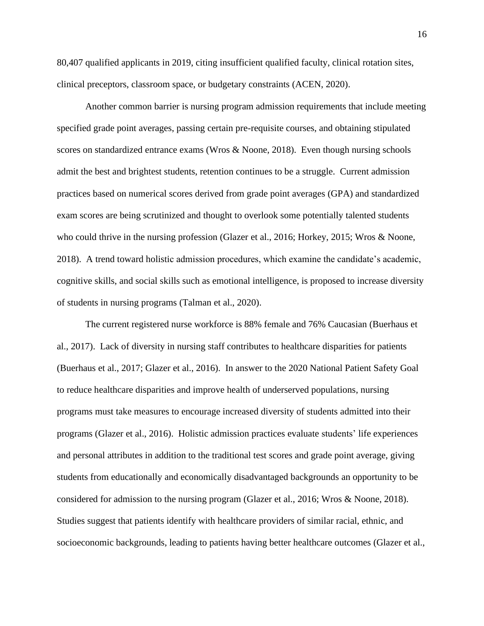80,407 qualified applicants in 2019, citing insufficient qualified faculty, clinical rotation sites, clinical preceptors, classroom space, or budgetary constraints (ACEN, 2020).

Another common barrier is nursing program admission requirements that include meeting specified grade point averages, passing certain pre-requisite courses, and obtaining stipulated scores on standardized entrance exams (Wros & Noone, 2018). Even though nursing schools admit the best and brightest students, retention continues to be a struggle. Current admission practices based on numerical scores derived from grade point averages (GPA) and standardized exam scores are being scrutinized and thought to overlook some potentially talented students who could thrive in the nursing profession (Glazer et al., 2016; Horkey, 2015; Wros & Noone, 2018). A trend toward holistic admission procedures, which examine the candidate's academic, cognitive skills, and social skills such as emotional intelligence, is proposed to increase diversity of students in nursing programs (Talman et al., 2020).

The current registered nurse workforce is 88% female and 76% Caucasian (Buerhaus et al., 2017). Lack of diversity in nursing staff contributes to healthcare disparities for patients (Buerhaus et al., 2017; Glazer et al., 2016). In answer to the 2020 National Patient Safety Goal to reduce healthcare disparities and improve health of underserved populations, nursing programs must take measures to encourage increased diversity of students admitted into their programs (Glazer et al., 2016). Holistic admission practices evaluate students' life experiences and personal attributes in addition to the traditional test scores and grade point average, giving students from educationally and economically disadvantaged backgrounds an opportunity to be considered for admission to the nursing program (Glazer et al., 2016; Wros & Noone, 2018). Studies suggest that patients identify with healthcare providers of similar racial, ethnic, and socioeconomic backgrounds, leading to patients having better healthcare outcomes (Glazer et al.,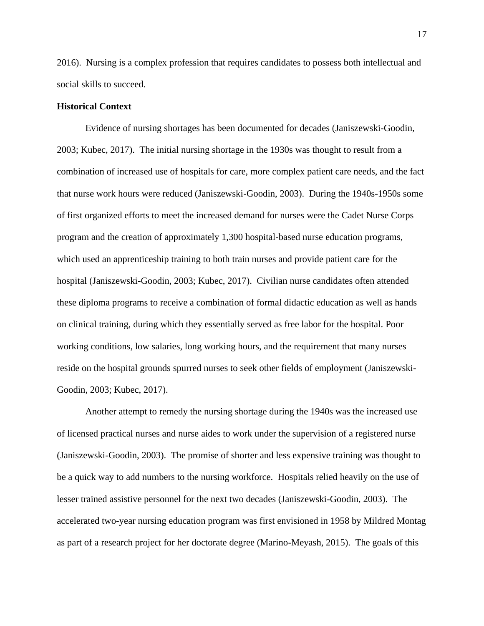2016). Nursing is a complex profession that requires candidates to possess both intellectual and social skills to succeed.

# <span id="page-16-0"></span>**Historical Context**

Evidence of nursing shortages has been documented for decades (Janiszewski-Goodin, 2003; Kubec, 2017). The initial nursing shortage in the 1930s was thought to result from a combination of increased use of hospitals for care, more complex patient care needs, and the fact that nurse work hours were reduced (Janiszewski-Goodin, 2003). During the 1940s-1950s some of first organized efforts to meet the increased demand for nurses were the Cadet Nurse Corps program and the creation of approximately 1,300 hospital-based nurse education programs, which used an apprenticeship training to both train nurses and provide patient care for the hospital (Janiszewski-Goodin, 2003; Kubec, 2017). Civilian nurse candidates often attended these diploma programs to receive a combination of formal didactic education as well as hands on clinical training, during which they essentially served as free labor for the hospital. Poor working conditions, low salaries, long working hours, and the requirement that many nurses reside on the hospital grounds spurred nurses to seek other fields of employment (Janiszewski-Goodin, 2003; Kubec, 2017).

Another attempt to remedy the nursing shortage during the 1940s was the increased use of licensed practical nurses and nurse aides to work under the supervision of a registered nurse (Janiszewski-Goodin, 2003). The promise of shorter and less expensive training was thought to be a quick way to add numbers to the nursing workforce. Hospitals relied heavily on the use of lesser trained assistive personnel for the next two decades (Janiszewski-Goodin, 2003). The accelerated two-year nursing education program was first envisioned in 1958 by Mildred Montag as part of a research project for her doctorate degree (Marino-Meyash, 2015). The goals of this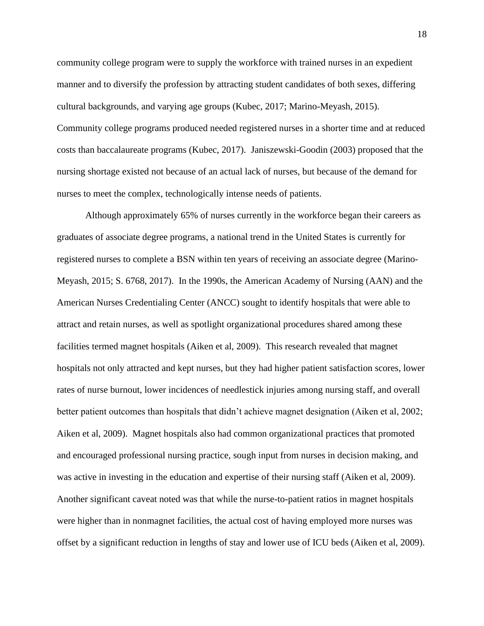community college program were to supply the workforce with trained nurses in an expedient manner and to diversify the profession by attracting student candidates of both sexes, differing cultural backgrounds, and varying age groups (Kubec, 2017; Marino-Meyash, 2015). Community college programs produced needed registered nurses in a shorter time and at reduced costs than baccalaureate programs (Kubec, 2017). Janiszewski-Goodin (2003) proposed that the nursing shortage existed not because of an actual lack of nurses, but because of the demand for nurses to meet the complex, technologically intense needs of patients.

Although approximately 65% of nurses currently in the workforce began their careers as graduates of associate degree programs, a national trend in the United States is currently for registered nurses to complete a BSN within ten years of receiving an associate degree (Marino-Meyash, 2015; S. 6768, 2017). In the 1990s, the American Academy of Nursing (AAN) and the American Nurses Credentialing Center (ANCC) sought to identify hospitals that were able to attract and retain nurses, as well as spotlight organizational procedures shared among these facilities termed magnet hospitals (Aiken et al, 2009). This research revealed that magnet hospitals not only attracted and kept nurses, but they had higher patient satisfaction scores, lower rates of nurse burnout, lower incidences of needlestick injuries among nursing staff, and overall better patient outcomes than hospitals that didn't achieve magnet designation (Aiken et al, 2002; Aiken et al, 2009). Magnet hospitals also had common organizational practices that promoted and encouraged professional nursing practice, sough input from nurses in decision making, and was active in investing in the education and expertise of their nursing staff (Aiken et al, 2009). Another significant caveat noted was that while the nurse-to-patient ratios in magnet hospitals were higher than in nonmagnet facilities, the actual cost of having employed more nurses was offset by a significant reduction in lengths of stay and lower use of ICU beds (Aiken et al, 2009).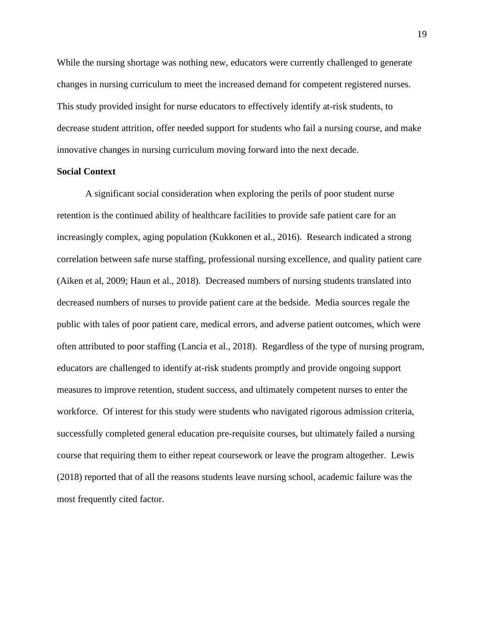While the nursing shortage was nothing new, educators were currently challenged to generate changes in nursing curriculum to meet the increased demand for competent registered nurses. This study provided insight for nurse educators to effectively identify at-risk students, to decrease student attrition, offer needed support for students who fail a nursing course, and make innovative changes in nursing curriculum moving forward into the next decade.

#### <span id="page-18-0"></span>**Social Context**

A significant social consideration when exploring the perils of poor student nurse retention is the continued ability of healthcare facilities to provide safe patient care for an increasingly complex, aging population (Kukkonen et al., 2016). Research indicated a strong correlation between safe nurse staffing, professional nursing excellence, and quality patient care (Aiken et al, 2009; Haun et al., 2018). Decreased numbers of nursing students translated into decreased numbers of nurses to provide patient care at the bedside. Media sources regale the public with tales of poor patient care, medical errors, and adverse patient outcomes, which were often attributed to poor staffing (Lancia et al., 2018). Regardless of the type of nursing program, educators are challenged to identify at-risk students promptly and provide ongoing support measures to improve retention, student success, and ultimately competent nurses to enter the workforce. Of interest for this study were students who navigated rigorous admission criteria, successfully completed general education pre-requisite courses, but ultimately failed a nursing course that requiring them to either repeat coursework or leave the program altogether. Lewis (2018) reported that of all the reasons students leave nursing school, academic failure was the most frequently cited factor.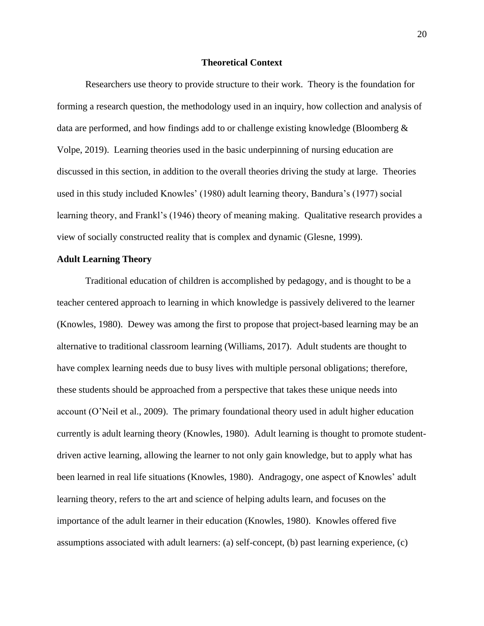# **Theoretical Context**

<span id="page-19-0"></span>Researchers use theory to provide structure to their work. Theory is the foundation for forming a research question, the methodology used in an inquiry, how collection and analysis of data are performed, and how findings add to or challenge existing knowledge (Bloomberg & Volpe, 2019). Learning theories used in the basic underpinning of nursing education are discussed in this section, in addition to the overall theories driving the study at large. Theories used in this study included Knowles' (1980) adult learning theory, Bandura's (1977) social learning theory, and Frankl's (1946) theory of meaning making. Qualitative research provides a view of socially constructed reality that is complex and dynamic (Glesne, 1999).

#### <span id="page-19-1"></span>**Adult Learning Theory**

Traditional education of children is accomplished by pedagogy, and is thought to be a teacher centered approach to learning in which knowledge is passively delivered to the learner (Knowles, 1980). Dewey was among the first to propose that project-based learning may be an alternative to traditional classroom learning (Williams, 2017). Adult students are thought to have complex learning needs due to busy lives with multiple personal obligations; therefore, these students should be approached from a perspective that takes these unique needs into account (O'Neil et al., 2009). The primary foundational theory used in adult higher education currently is adult learning theory (Knowles, 1980). Adult learning is thought to promote studentdriven active learning, allowing the learner to not only gain knowledge, but to apply what has been learned in real life situations (Knowles, 1980). Andragogy, one aspect of Knowles' adult learning theory, refers to the art and science of helping adults learn, and focuses on the importance of the adult learner in their education (Knowles, 1980). Knowles offered five assumptions associated with adult learners: (a) self-concept, (b) past learning experience, (c)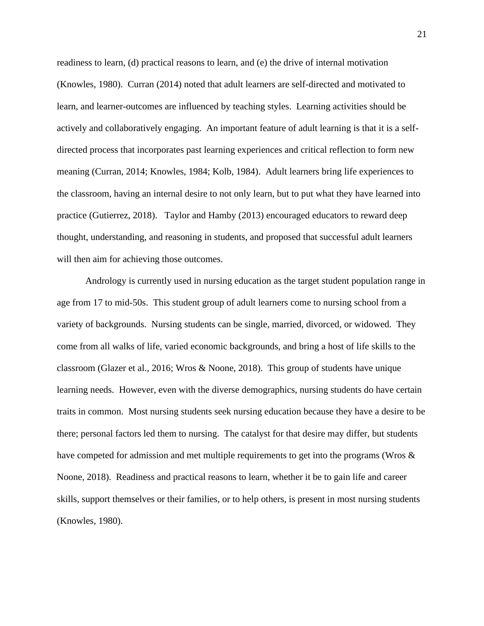readiness to learn, (d) practical reasons to learn, and (e) the drive of internal motivation (Knowles, 1980). Curran (2014) noted that adult learners are self-directed and motivated to learn, and learner-outcomes are influenced by teaching styles. Learning activities should be actively and collaboratively engaging. An important feature of adult learning is that it is a selfdirected process that incorporates past learning experiences and critical reflection to form new meaning (Curran, 2014; Knowles, 1984; Kolb, 1984). Adult learners bring life experiences to the classroom, having an internal desire to not only learn, but to put what they have learned into practice (Gutierrez, 2018). Taylor and Hamby (2013) encouraged educators to reward deep thought, understanding, and reasoning in students, and proposed that successful adult learners will then aim for achieving those outcomes.

Andrology is currently used in nursing education as the target student population range in age from 17 to mid-50s. This student group of adult learners come to nursing school from a variety of backgrounds. Nursing students can be single, married, divorced, or widowed. They come from all walks of life, varied economic backgrounds, and bring a host of life skills to the classroom (Glazer et al., 2016; Wros & Noone, 2018). This group of students have unique learning needs. However, even with the diverse demographics, nursing students do have certain traits in common. Most nursing students seek nursing education because they have a desire to be there; personal factors led them to nursing. The catalyst for that desire may differ, but students have competed for admission and met multiple requirements to get into the programs (Wros & Noone, 2018). Readiness and practical reasons to learn, whether it be to gain life and career skills, support themselves or their families, or to help others, is present in most nursing students (Knowles, 1980).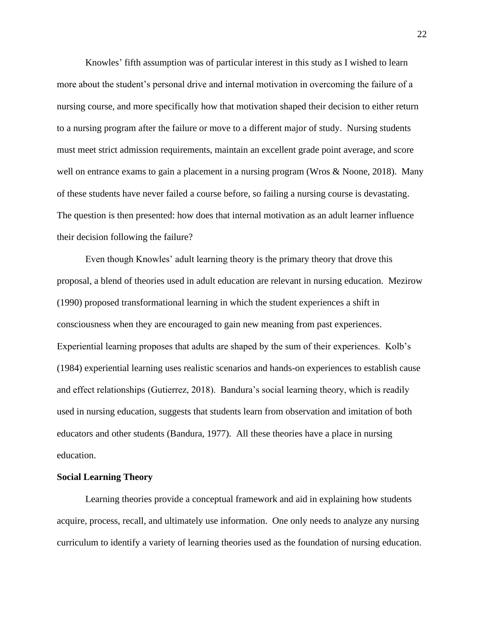Knowles' fifth assumption was of particular interest in this study as I wished to learn more about the student's personal drive and internal motivation in overcoming the failure of a nursing course, and more specifically how that motivation shaped their decision to either return to a nursing program after the failure or move to a different major of study. Nursing students must meet strict admission requirements, maintain an excellent grade point average, and score well on entrance exams to gain a placement in a nursing program (Wros & Noone, 2018). Many of these students have never failed a course before, so failing a nursing course is devastating. The question is then presented: how does that internal motivation as an adult learner influence their decision following the failure?

Even though Knowles' adult learning theory is the primary theory that drove this proposal, a blend of theories used in adult education are relevant in nursing education. Mezirow (1990) proposed transformational learning in which the student experiences a shift in consciousness when they are encouraged to gain new meaning from past experiences. Experiential learning proposes that adults are shaped by the sum of their experiences. Kolb's (1984) experiential learning uses realistic scenarios and hands-on experiences to establish cause and effect relationships (Gutierrez, 2018). Bandura's social learning theory, which is readily used in nursing education, suggests that students learn from observation and imitation of both educators and other students (Bandura, 1977). All these theories have a place in nursing education.

#### <span id="page-21-0"></span>**Social Learning Theory**

Learning theories provide a conceptual framework and aid in explaining how students acquire, process, recall, and ultimately use information. One only needs to analyze any nursing curriculum to identify a variety of learning theories used as the foundation of nursing education.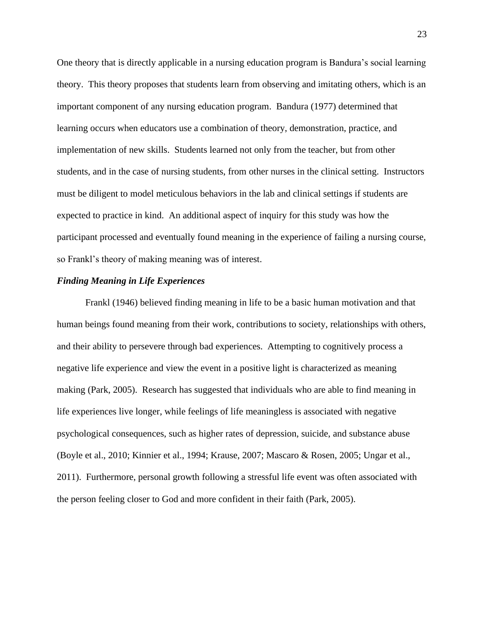One theory that is directly applicable in a nursing education program is Bandura's social learning theory. This theory proposes that students learn from observing and imitating others, which is an important component of any nursing education program. Bandura (1977) determined that learning occurs when educators use a combination of theory, demonstration, practice, and implementation of new skills. Students learned not only from the teacher, but from other students, and in the case of nursing students, from other nurses in the clinical setting. Instructors must be diligent to model meticulous behaviors in the lab and clinical settings if students are expected to practice in kind. An additional aspect of inquiry for this study was how the participant processed and eventually found meaning in the experience of failing a nursing course, so Frankl's theory of making meaning was of interest.

# *Finding Meaning in Life Experiences*

Frankl (1946) believed finding meaning in life to be a basic human motivation and that human beings found meaning from their work, contributions to society, relationships with others, and their ability to persevere through bad experiences. Attempting to cognitively process a negative life experience and view the event in a positive light is characterized as meaning making (Park, 2005). Research has suggested that individuals who are able to find meaning in life experiences live longer, while feelings of life meaningless is associated with negative psychological consequences, such as higher rates of depression, suicide, and substance abuse (Boyle et al., 2010; Kinnier et al., 1994; Krause, 2007; Mascaro & Rosen, 2005; Ungar et al., 2011). Furthermore, personal growth following a stressful life event was often associated with the person feeling closer to God and more confident in their faith (Park, 2005).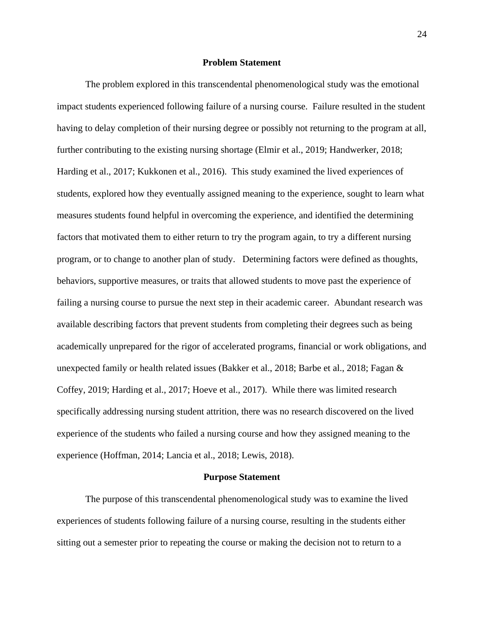### **Problem Statement**

<span id="page-23-0"></span>The problem explored in this transcendental phenomenological study was the emotional impact students experienced following failure of a nursing course. Failure resulted in the student having to delay completion of their nursing degree or possibly not returning to the program at all, further contributing to the existing nursing shortage (Elmir et al., 2019; Handwerker, 2018; Harding et al., 2017; Kukkonen et al., 2016). This study examined the lived experiences of students, explored how they eventually assigned meaning to the experience, sought to learn what measures students found helpful in overcoming the experience, and identified the determining factors that motivated them to either return to try the program again, to try a different nursing program, or to change to another plan of study. Determining factors were defined as thoughts, behaviors, supportive measures, or traits that allowed students to move past the experience of failing a nursing course to pursue the next step in their academic career. Abundant research was available describing factors that prevent students from completing their degrees such as being academically unprepared for the rigor of accelerated programs, financial or work obligations, and unexpected family or health related issues (Bakker et al., 2018; Barbe et al., 2018; Fagan & Coffey, 2019; Harding et al., 2017; Hoeve et al., 2017). While there was limited research specifically addressing nursing student attrition, there was no research discovered on the lived experience of the students who failed a nursing course and how they assigned meaning to the experience (Hoffman, 2014; Lancia et al., 2018; Lewis, 2018).

#### **Purpose Statement**

<span id="page-23-1"></span>The purpose of this transcendental phenomenological study was to examine the lived experiences of students following failure of a nursing course, resulting in the students either sitting out a semester prior to repeating the course or making the decision not to return to a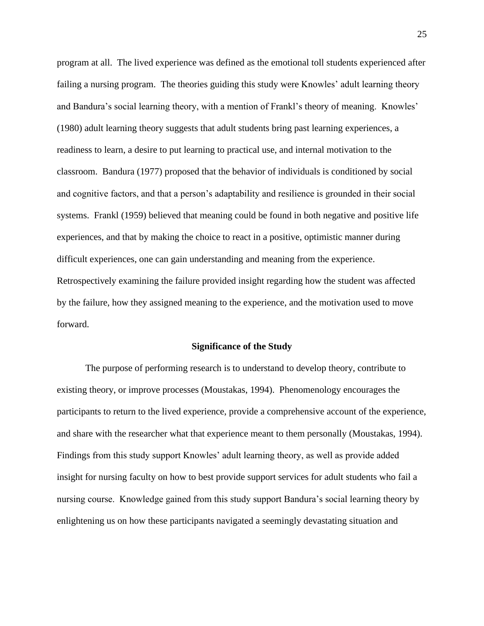program at all. The lived experience was defined as the emotional toll students experienced after failing a nursing program. The theories guiding this study were Knowles' adult learning theory and Bandura's social learning theory, with a mention of Frankl's theory of meaning. Knowles' (1980) adult learning theory suggests that adult students bring past learning experiences, a readiness to learn, a desire to put learning to practical use, and internal motivation to the classroom. Bandura (1977) proposed that the behavior of individuals is conditioned by social and cognitive factors, and that a person's adaptability and resilience is grounded in their social systems. Frankl (1959) believed that meaning could be found in both negative and positive life experiences, and that by making the choice to react in a positive, optimistic manner during difficult experiences, one can gain understanding and meaning from the experience. Retrospectively examining the failure provided insight regarding how the student was affected by the failure, how they assigned meaning to the experience, and the motivation used to move forward.

#### **Significance of the Study**

<span id="page-24-0"></span>The purpose of performing research is to understand to develop theory, contribute to existing theory, or improve processes (Moustakas, 1994). Phenomenology encourages the participants to return to the lived experience, provide a comprehensive account of the experience, and share with the researcher what that experience meant to them personally (Moustakas, 1994). Findings from this study support Knowles' adult learning theory, as well as provide added insight for nursing faculty on how to best provide support services for adult students who fail a nursing course. Knowledge gained from this study support Bandura's social learning theory by enlightening us on how these participants navigated a seemingly devastating situation and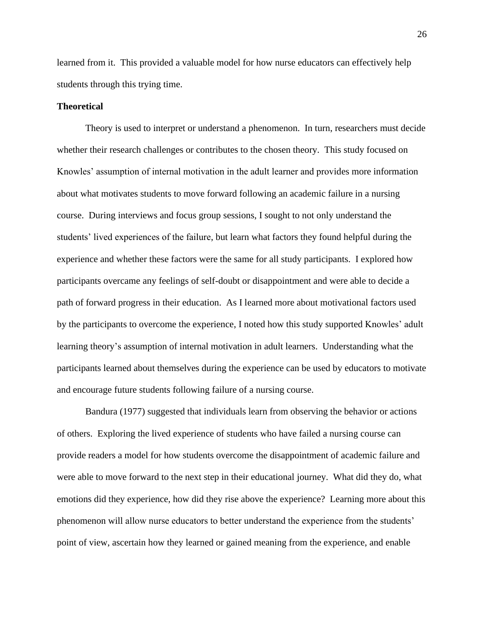learned from it. This provided a valuable model for how nurse educators can effectively help students through this trying time.

## <span id="page-25-0"></span>**Theoretical**

Theory is used to interpret or understand a phenomenon. In turn, researchers must decide whether their research challenges or contributes to the chosen theory. This study focused on Knowles' assumption of internal motivation in the adult learner and provides more information about what motivates students to move forward following an academic failure in a nursing course. During interviews and focus group sessions, I sought to not only understand the students' lived experiences of the failure, but learn what factors they found helpful during the experience and whether these factors were the same for all study participants. I explored how participants overcame any feelings of self-doubt or disappointment and were able to decide a path of forward progress in their education. As I learned more about motivational factors used by the participants to overcome the experience, I noted how this study supported Knowles' adult learning theory's assumption of internal motivation in adult learners. Understanding what the participants learned about themselves during the experience can be used by educators to motivate and encourage future students following failure of a nursing course.

Bandura (1977) suggested that individuals learn from observing the behavior or actions of others. Exploring the lived experience of students who have failed a nursing course can provide readers a model for how students overcome the disappointment of academic failure and were able to move forward to the next step in their educational journey. What did they do, what emotions did they experience, how did they rise above the experience? Learning more about this phenomenon will allow nurse educators to better understand the experience from the students' point of view, ascertain how they learned or gained meaning from the experience, and enable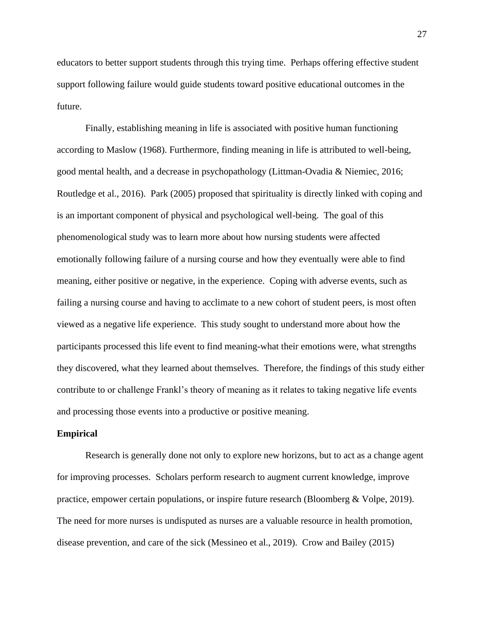educators to better support students through this trying time. Perhaps offering effective student support following failure would guide students toward positive educational outcomes in the future.

Finally, establishing meaning in life is associated with positive human functioning according to Maslow (1968). Furthermore, finding meaning in life is attributed to well-being, good mental health, and a decrease in psychopathology (Littman-Ovadia & Niemiec, 2016; Routledge et al., 2016). Park (2005) proposed that spirituality is directly linked with coping and is an important component of physical and psychological well-being. The goal of this phenomenological study was to learn more about how nursing students were affected emotionally following failure of a nursing course and how they eventually were able to find meaning, either positive or negative, in the experience. Coping with adverse events, such as failing a nursing course and having to acclimate to a new cohort of student peers, is most often viewed as a negative life experience. This study sought to understand more about how the participants processed this life event to find meaning-what their emotions were, what strengths they discovered, what they learned about themselves. Therefore, the findings of this study either contribute to or challenge Frankl's theory of meaning as it relates to taking negative life events and processing those events into a productive or positive meaning.

#### <span id="page-26-0"></span>**Empirical**

Research is generally done not only to explore new horizons, but to act as a change agent for improving processes. Scholars perform research to augment current knowledge, improve practice, empower certain populations, or inspire future research (Bloomberg & Volpe, 2019). The need for more nurses is undisputed as nurses are a valuable resource in health promotion, disease prevention, and care of the sick (Messineo et al., 2019). Crow and Bailey (2015)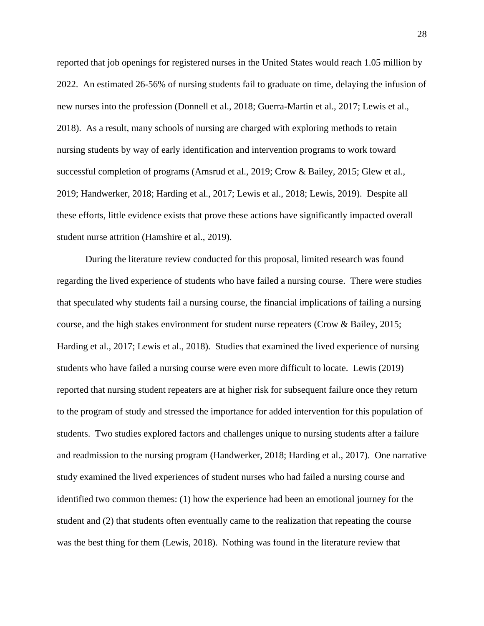reported that job openings for registered nurses in the United States would reach 1.05 million by 2022. An estimated 26-56% of nursing students fail to graduate on time, delaying the infusion of new nurses into the profession (Donnell et al., 2018; Guerra-Martin et al., 2017; Lewis et al., 2018). As a result, many schools of nursing are charged with exploring methods to retain nursing students by way of early identification and intervention programs to work toward successful completion of programs (Amsrud et al., 2019; Crow & Bailey, 2015; Glew et al., 2019; Handwerker, 2018; Harding et al., 2017; Lewis et al., 2018; Lewis, 2019). Despite all these efforts, little evidence exists that prove these actions have significantly impacted overall student nurse attrition (Hamshire et al., 2019).

During the literature review conducted for this proposal, limited research was found regarding the lived experience of students who have failed a nursing course. There were studies that speculated why students fail a nursing course, the financial implications of failing a nursing course, and the high stakes environment for student nurse repeaters (Crow & Bailey, 2015; Harding et al., 2017; Lewis et al., 2018). Studies that examined the lived experience of nursing students who have failed a nursing course were even more difficult to locate. Lewis (2019) reported that nursing student repeaters are at higher risk for subsequent failure once they return to the program of study and stressed the importance for added intervention for this population of students. Two studies explored factors and challenges unique to nursing students after a failure and readmission to the nursing program (Handwerker, 2018; Harding et al., 2017). One narrative study examined the lived experiences of student nurses who had failed a nursing course and identified two common themes: (1) how the experience had been an emotional journey for the student and (2) that students often eventually came to the realization that repeating the course was the best thing for them (Lewis, 2018). Nothing was found in the literature review that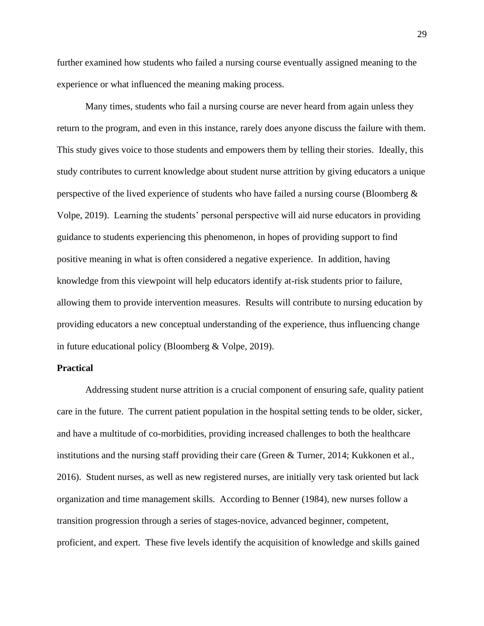further examined how students who failed a nursing course eventually assigned meaning to the experience or what influenced the meaning making process.

Many times, students who fail a nursing course are never heard from again unless they return to the program, and even in this instance, rarely does anyone discuss the failure with them. This study gives voice to those students and empowers them by telling their stories. Ideally, this study contributes to current knowledge about student nurse attrition by giving educators a unique perspective of the lived experience of students who have failed a nursing course (Bloomberg & Volpe, 2019). Learning the students' personal perspective will aid nurse educators in providing guidance to students experiencing this phenomenon, in hopes of providing support to find positive meaning in what is often considered a negative experience. In addition, having knowledge from this viewpoint will help educators identify at-risk students prior to failure, allowing them to provide intervention measures. Results will contribute to nursing education by providing educators a new conceptual understanding of the experience, thus influencing change in future educational policy (Bloomberg & Volpe, 2019).

# <span id="page-28-0"></span>**Practical**

Addressing student nurse attrition is a crucial component of ensuring safe, quality patient care in the future. The current patient population in the hospital setting tends to be older, sicker, and have a multitude of co-morbidities, providing increased challenges to both the healthcare institutions and the nursing staff providing their care (Green & Turner, 2014; Kukkonen et al., 2016). Student nurses, as well as new registered nurses, are initially very task oriented but lack organization and time management skills. According to Benner (1984), new nurses follow a transition progression through a series of stages-novice, advanced beginner, competent, proficient, and expert. These five levels identify the acquisition of knowledge and skills gained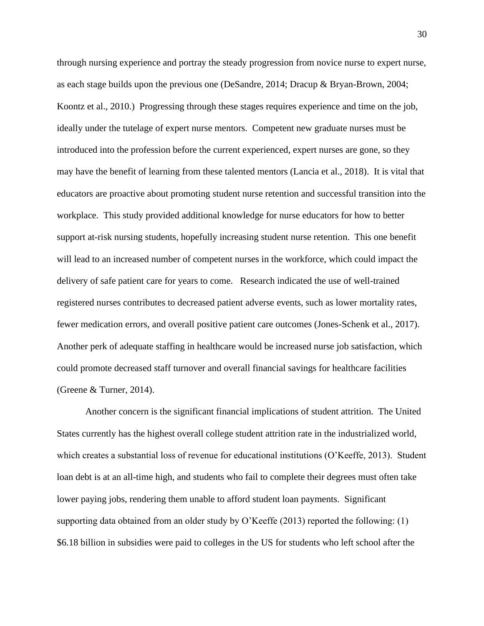through nursing experience and portray the steady progression from novice nurse to expert nurse, as each stage builds upon the previous one (DeSandre, 2014; Dracup & Bryan-Brown, 2004; Koontz et al., 2010.) Progressing through these stages requires experience and time on the job, ideally under the tutelage of expert nurse mentors. Competent new graduate nurses must be introduced into the profession before the current experienced, expert nurses are gone, so they may have the benefit of learning from these talented mentors (Lancia et al., 2018). It is vital that educators are proactive about promoting student nurse retention and successful transition into the workplace. This study provided additional knowledge for nurse educators for how to better support at-risk nursing students, hopefully increasing student nurse retention. This one benefit will lead to an increased number of competent nurses in the workforce, which could impact the delivery of safe patient care for years to come. Research indicated the use of well-trained registered nurses contributes to decreased patient adverse events, such as lower mortality rates, fewer medication errors, and overall positive patient care outcomes (Jones-Schenk et al., 2017). Another perk of adequate staffing in healthcare would be increased nurse job satisfaction, which could promote decreased staff turnover and overall financial savings for healthcare facilities (Greene & Turner, 2014).

Another concern is the significant financial implications of student attrition. The United States currently has the highest overall college student attrition rate in the industrialized world, which creates a substantial loss of revenue for educational institutions (O'Keeffe, 2013). Student loan debt is at an all-time high, and students who fail to complete their degrees must often take lower paying jobs, rendering them unable to afford student loan payments. Significant supporting data obtained from an older study by O'Keeffe (2013) reported the following: (1) \$6.18 billion in subsidies were paid to colleges in the US for students who left school after the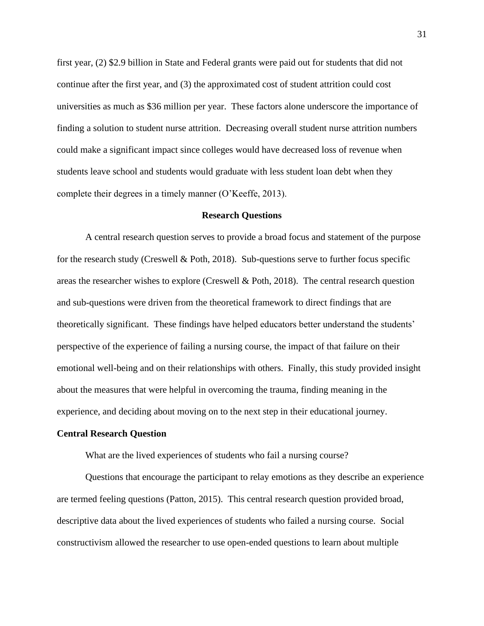first year, (2) \$2.9 billion in State and Federal grants were paid out for students that did not continue after the first year, and (3) the approximated cost of student attrition could cost universities as much as \$36 million per year. These factors alone underscore the importance of finding a solution to student nurse attrition. Decreasing overall student nurse attrition numbers could make a significant impact since colleges would have decreased loss of revenue when students leave school and students would graduate with less student loan debt when they complete their degrees in a timely manner (O'Keeffe, 2013).

#### **Research Questions**

<span id="page-30-0"></span>A central research question serves to provide a broad focus and statement of the purpose for the research study (Creswell & Poth, 2018). Sub-questions serve to further focus specific areas the researcher wishes to explore (Creswell & Poth, 2018). The central research question and sub-questions were driven from the theoretical framework to direct findings that are theoretically significant. These findings have helped educators better understand the students' perspective of the experience of failing a nursing course, the impact of that failure on their emotional well-being and on their relationships with others. Finally, this study provided insight about the measures that were helpful in overcoming the trauma, finding meaning in the experience, and deciding about moving on to the next step in their educational journey.

#### <span id="page-30-1"></span>**Central Research Question**

What are the lived experiences of students who fail a nursing course?

Questions that encourage the participant to relay emotions as they describe an experience are termed feeling questions (Patton, 2015). This central research question provided broad, descriptive data about the lived experiences of students who failed a nursing course. Social constructivism allowed the researcher to use open-ended questions to learn about multiple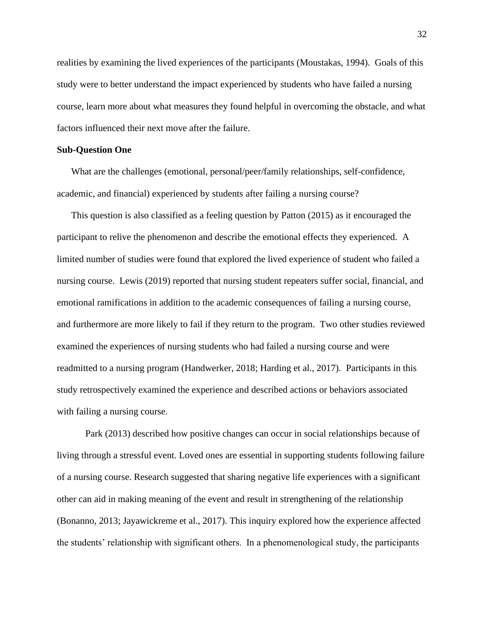realities by examining the lived experiences of the participants (Moustakas, 1994). Goals of this study were to better understand the impact experienced by students who have failed a nursing course, learn more about what measures they found helpful in overcoming the obstacle, and what factors influenced their next move after the failure.

#### <span id="page-31-0"></span>**Sub-Question One**

What are the challenges (emotional, personal/peer/family relationships, self-confidence, academic, and financial) experienced by students after failing a nursing course?

This question is also classified as a feeling question by Patton (2015) as it encouraged the participant to relive the phenomenon and describe the emotional effects they experienced. A limited number of studies were found that explored the lived experience of student who failed a nursing course. Lewis (2019) reported that nursing student repeaters suffer social, financial, and emotional ramifications in addition to the academic consequences of failing a nursing course, and furthermore are more likely to fail if they return to the program. Two other studies reviewed examined the experiences of nursing students who had failed a nursing course and were readmitted to a nursing program (Handwerker, 2018; Harding et al., 2017). Participants in this study retrospectively examined the experience and described actions or behaviors associated with failing a nursing course.

Park (2013) described how positive changes can occur in social relationships because of living through a stressful event. Loved ones are essential in supporting students following failure of a nursing course. Research suggested that sharing negative life experiences with a significant other can aid in making meaning of the event and result in strengthening of the relationship (Bonanno, 2013; Jayawickreme et al., 2017). This inquiry explored how the experience affected the students' relationship with significant others. In a phenomenological study, the participants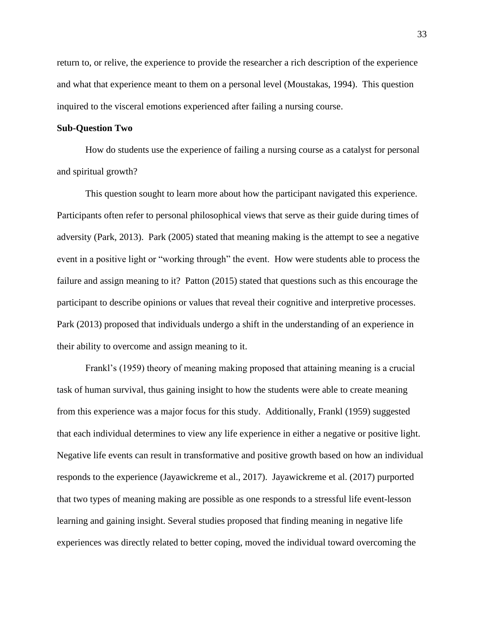return to, or relive, the experience to provide the researcher a rich description of the experience and what that experience meant to them on a personal level (Moustakas, 1994). This question inquired to the visceral emotions experienced after failing a nursing course.

# <span id="page-32-0"></span>**Sub-Question Two**

How do students use the experience of failing a nursing course as a catalyst for personal and spiritual growth?

This question sought to learn more about how the participant navigated this experience. Participants often refer to personal philosophical views that serve as their guide during times of adversity (Park, 2013). Park (2005) stated that meaning making is the attempt to see a negative event in a positive light or "working through" the event. How were students able to process the failure and assign meaning to it? Patton (2015) stated that questions such as this encourage the participant to describe opinions or values that reveal their cognitive and interpretive processes. Park (2013) proposed that individuals undergo a shift in the understanding of an experience in their ability to overcome and assign meaning to it.

Frankl's (1959) theory of meaning making proposed that attaining meaning is a crucial task of human survival, thus gaining insight to how the students were able to create meaning from this experience was a major focus for this study. Additionally, Frankl (1959) suggested that each individual determines to view any life experience in either a negative or positive light. Negative life events can result in transformative and positive growth based on how an individual responds to the experience (Jayawickreme et al., 2017). Jayawickreme et al. (2017) purported that two types of meaning making are possible as one responds to a stressful life event-lesson learning and gaining insight. Several studies proposed that finding meaning in negative life experiences was directly related to better coping, moved the individual toward overcoming the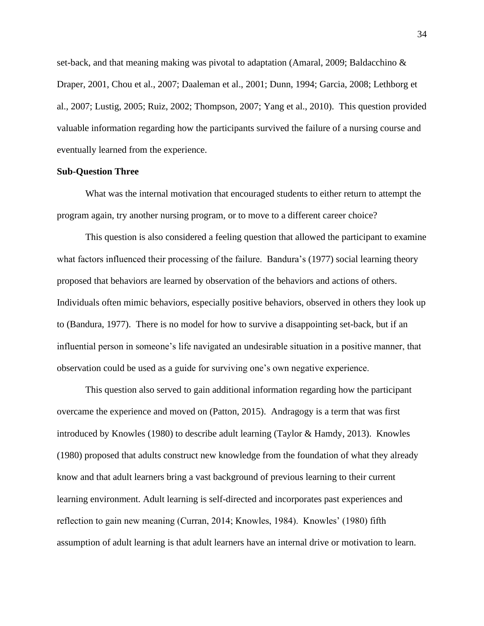set-back, and that meaning making was pivotal to adaptation (Amaral, 2009; Baldacchino & Draper, 2001, Chou et al., 2007; Daaleman et al., 2001; Dunn, 1994; Garcia, 2008; Lethborg et al., 2007; Lustig, 2005; Ruiz, 2002; Thompson, 2007; Yang et al., 2010). This question provided valuable information regarding how the participants survived the failure of a nursing course and eventually learned from the experience.

#### <span id="page-33-0"></span>**Sub-Question Three**

What was the internal motivation that encouraged students to either return to attempt the program again, try another nursing program, or to move to a different career choice?

This question is also considered a feeling question that allowed the participant to examine what factors influenced their processing of the failure. Bandura's (1977) social learning theory proposed that behaviors are learned by observation of the behaviors and actions of others. Individuals often mimic behaviors, especially positive behaviors, observed in others they look up to (Bandura, 1977). There is no model for how to survive a disappointing set-back, but if an influential person in someone's life navigated an undesirable situation in a positive manner, that observation could be used as a guide for surviving one's own negative experience.

This question also served to gain additional information regarding how the participant overcame the experience and moved on (Patton, 2015). Andragogy is a term that was first introduced by Knowles (1980) to describe adult learning (Taylor & Hamdy, 2013). Knowles (1980) proposed that adults construct new knowledge from the foundation of what they already know and that adult learners bring a vast background of previous learning to their current learning environment. Adult learning is self-directed and incorporates past experiences and reflection to gain new meaning (Curran, 2014; Knowles, 1984). Knowles' (1980) fifth assumption of adult learning is that adult learners have an internal drive or motivation to learn.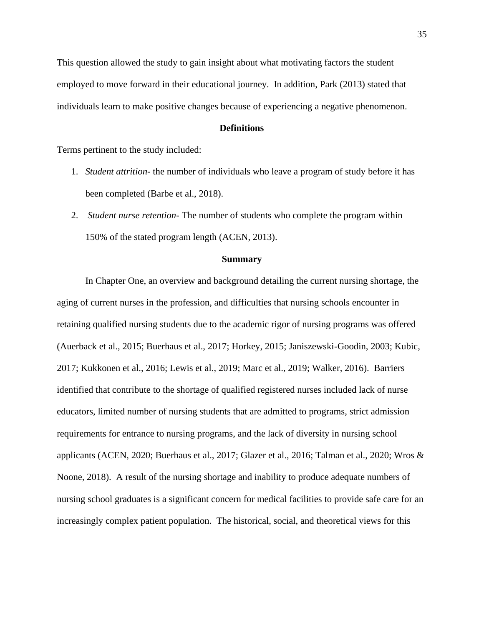This question allowed the study to gain insight about what motivating factors the student employed to move forward in their educational journey. In addition, Park (2013) stated that individuals learn to make positive changes because of experiencing a negative phenomenon.

# **Definitions**

<span id="page-34-0"></span>Terms pertinent to the study included:

- 1. *Student attrition* the number of individuals who leave a program of study before it has been completed (Barbe et al., 2018).
- 2. *Student nurse retention* The number of students who complete the program within 150% of the stated program length (ACEN, 2013).

#### **Summary**

<span id="page-34-1"></span>In Chapter One, an overview and background detailing the current nursing shortage, the aging of current nurses in the profession, and difficulties that nursing schools encounter in retaining qualified nursing students due to the academic rigor of nursing programs was offered (Auerback et al., 2015; Buerhaus et al., 2017; Horkey, 2015; Janiszewski-Goodin, 2003; Kubic, 2017; Kukkonen et al., 2016; Lewis et al., 2019; Marc et al., 2019; Walker, 2016). Barriers identified that contribute to the shortage of qualified registered nurses included lack of nurse educators, limited number of nursing students that are admitted to programs, strict admission requirements for entrance to nursing programs, and the lack of diversity in nursing school applicants (ACEN, 2020; Buerhaus et al., 2017; Glazer et al., 2016; Talman et al., 2020; Wros & Noone, 2018). A result of the nursing shortage and inability to produce adequate numbers of nursing school graduates is a significant concern for medical facilities to provide safe care for an increasingly complex patient population. The historical, social, and theoretical views for this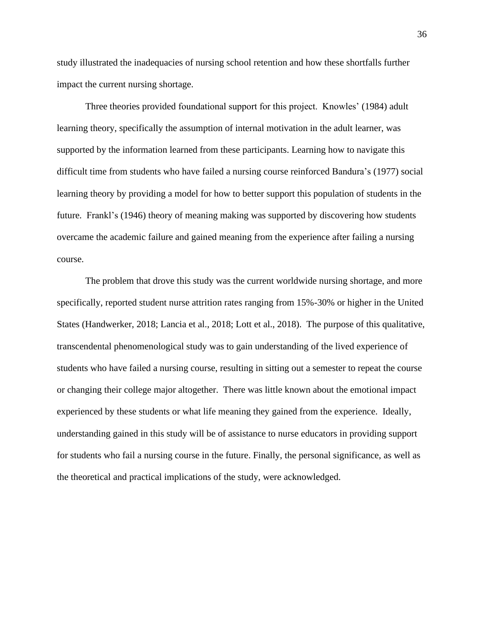study illustrated the inadequacies of nursing school retention and how these shortfalls further impact the current nursing shortage.

Three theories provided foundational support for this project. Knowles' (1984) adult learning theory, specifically the assumption of internal motivation in the adult learner, was supported by the information learned from these participants. Learning how to navigate this difficult time from students who have failed a nursing course reinforced Bandura's (1977) social learning theory by providing a model for how to better support this population of students in the future. Frankl's (1946) theory of meaning making was supported by discovering how students overcame the academic failure and gained meaning from the experience after failing a nursing course.

The problem that drove this study was the current worldwide nursing shortage, and more specifically, reported student nurse attrition rates ranging from 15%-30% or higher in the United States (Handwerker, 2018; Lancia et al., 2018; Lott et al., 2018). The purpose of this qualitative, transcendental phenomenological study was to gain understanding of the lived experience of students who have failed a nursing course, resulting in sitting out a semester to repeat the course or changing their college major altogether. There was little known about the emotional impact experienced by these students or what life meaning they gained from the experience. Ideally, understanding gained in this study will be of assistance to nurse educators in providing support for students who fail a nursing course in the future. Finally, the personal significance, as well as the theoretical and practical implications of the study, were acknowledged.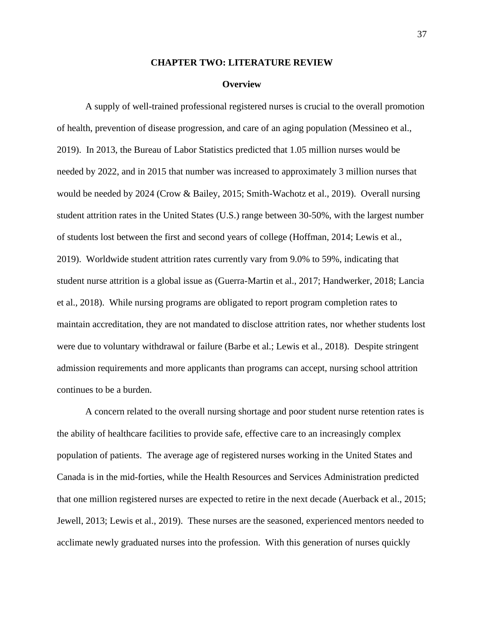## **CHAPTER TWO: LITERATURE REVIEW**

#### **Overview**

A supply of well-trained professional registered nurses is crucial to the overall promotion of health, prevention of disease progression, and care of an aging population (Messineo et al., 2019). In 2013, the Bureau of Labor Statistics predicted that 1.05 million nurses would be needed by 2022, and in 2015 that number was increased to approximately 3 million nurses that would be needed by 2024 (Crow & Bailey, 2015; Smith-Wachotz et al., 2019). Overall nursing student attrition rates in the United States (U.S.) range between 30-50%, with the largest number of students lost between the first and second years of college (Hoffman, 2014; Lewis et al., 2019). Worldwide student attrition rates currently vary from 9.0% to 59%, indicating that student nurse attrition is a global issue as (Guerra-Martin et al., 2017; Handwerker, 2018; Lancia et al., 2018). While nursing programs are obligated to report program completion rates to maintain accreditation, they are not mandated to disclose attrition rates, nor whether students lost were due to voluntary withdrawal or failure (Barbe et al.; Lewis et al., 2018). Despite stringent admission requirements and more applicants than programs can accept, nursing school attrition continues to be a burden.

A concern related to the overall nursing shortage and poor student nurse retention rates is the ability of healthcare facilities to provide safe, effective care to an increasingly complex population of patients. The average age of registered nurses working in the United States and Canada is in the mid-forties, while the Health Resources and Services Administration predicted that one million registered nurses are expected to retire in the next decade (Auerback et al., 2015; Jewell, 2013; Lewis et al., 2019). These nurses are the seasoned, experienced mentors needed to acclimate newly graduated nurses into the profession. With this generation of nurses quickly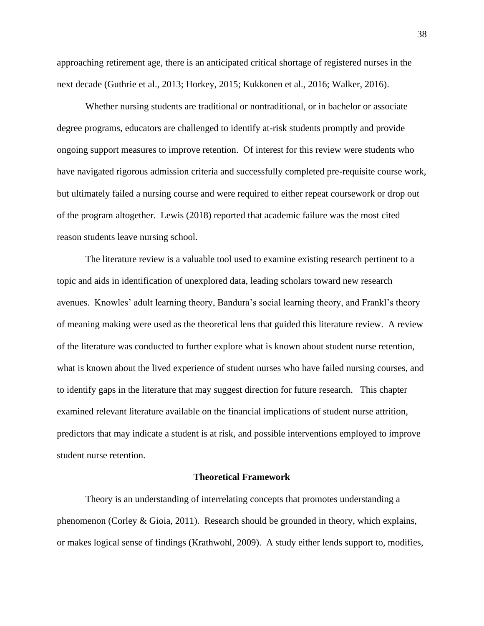approaching retirement age, there is an anticipated critical shortage of registered nurses in the next decade (Guthrie et al., 2013; Horkey, 2015; Kukkonen et al., 2016; Walker, 2016).

Whether nursing students are traditional or nontraditional, or in bachelor or associate degree programs, educators are challenged to identify at-risk students promptly and provide ongoing support measures to improve retention. Of interest for this review were students who have navigated rigorous admission criteria and successfully completed pre-requisite course work, but ultimately failed a nursing course and were required to either repeat coursework or drop out of the program altogether. Lewis (2018) reported that academic failure was the most cited reason students leave nursing school.

The literature review is a valuable tool used to examine existing research pertinent to a topic and aids in identification of unexplored data, leading scholars toward new research avenues. Knowles' adult learning theory, Bandura's social learning theory, and Frankl's theory of meaning making were used as the theoretical lens that guided this literature review. A review of the literature was conducted to further explore what is known about student nurse retention, what is known about the lived experience of student nurses who have failed nursing courses, and to identify gaps in the literature that may suggest direction for future research. This chapter examined relevant literature available on the financial implications of student nurse attrition, predictors that may indicate a student is at risk, and possible interventions employed to improve student nurse retention.

## **Theoretical Framework**

Theory is an understanding of interrelating concepts that promotes understanding a phenomenon (Corley & Gioia, 2011). Research should be grounded in theory, which explains, or makes logical sense of findings (Krathwohl, 2009). A study either lends support to, modifies,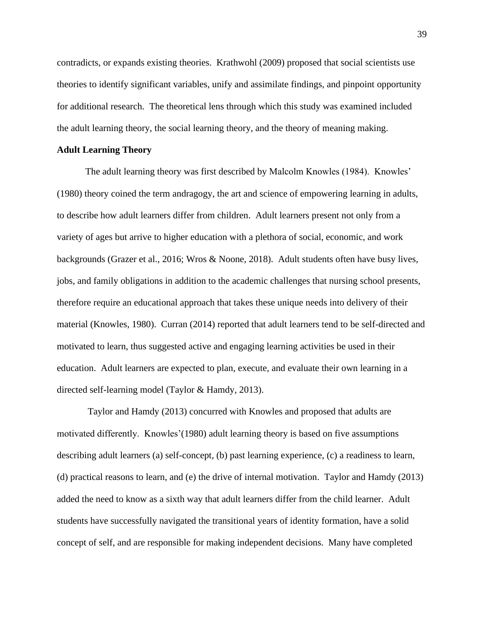contradicts, or expands existing theories. Krathwohl (2009) proposed that social scientists use theories to identify significant variables, unify and assimilate findings, and pinpoint opportunity for additional research. The theoretical lens through which this study was examined included the adult learning theory, the social learning theory, and the theory of meaning making.

## **Adult Learning Theory**

The adult learning theory was first described by Malcolm Knowles (1984). Knowles' (1980) theory coined the term andragogy, the art and science of empowering learning in adults, to describe how adult learners differ from children. Adult learners present not only from a variety of ages but arrive to higher education with a plethora of social, economic, and work backgrounds (Grazer et al., 2016; Wros & Noone, 2018). Adult students often have busy lives, jobs, and family obligations in addition to the academic challenges that nursing school presents, therefore require an educational approach that takes these unique needs into delivery of their material (Knowles, 1980). Curran (2014) reported that adult learners tend to be self-directed and motivated to learn, thus suggested active and engaging learning activities be used in their education. Adult learners are expected to plan, execute, and evaluate their own learning in a directed self-learning model (Taylor & Hamdy, 2013).

Taylor and Hamdy (2013) concurred with Knowles and proposed that adults are motivated differently. Knowles'(1980) adult learning theory is based on five assumptions describing adult learners (a) self-concept, (b) past learning experience, (c) a readiness to learn, (d) practical reasons to learn, and (e) the drive of internal motivation. Taylor and Hamdy (2013) added the need to know as a sixth way that adult learners differ from the child learner. Adult students have successfully navigated the transitional years of identity formation, have a solid concept of self, and are responsible for making independent decisions. Many have completed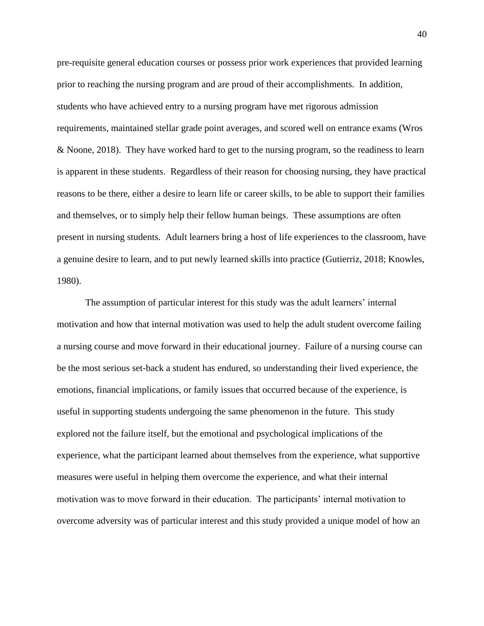pre-requisite general education courses or possess prior work experiences that provided learning prior to reaching the nursing program and are proud of their accomplishments. In addition, students who have achieved entry to a nursing program have met rigorous admission requirements, maintained stellar grade point averages, and scored well on entrance exams (Wros & Noone, 2018). They have worked hard to get to the nursing program, so the readiness to learn is apparent in these students. Regardless of their reason for choosing nursing, they have practical reasons to be there, either a desire to learn life or career skills, to be able to support their families and themselves, or to simply help their fellow human beings. These assumptions are often present in nursing students. Adult learners bring a host of life experiences to the classroom, have a genuine desire to learn, and to put newly learned skills into practice (Gutierriz, 2018; Knowles, 1980).

The assumption of particular interest for this study was the adult learners' internal motivation and how that internal motivation was used to help the adult student overcome failing a nursing course and move forward in their educational journey. Failure of a nursing course can be the most serious set-back a student has endured, so understanding their lived experience, the emotions, financial implications, or family issues that occurred because of the experience, is useful in supporting students undergoing the same phenomenon in the future. This study explored not the failure itself, but the emotional and psychological implications of the experience, what the participant learned about themselves from the experience, what supportive measures were useful in helping them overcome the experience, and what their internal motivation was to move forward in their education. The participants' internal motivation to overcome adversity was of particular interest and this study provided a unique model of how an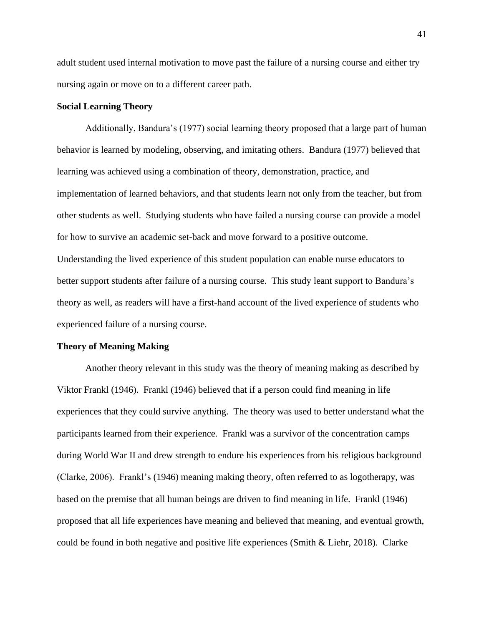adult student used internal motivation to move past the failure of a nursing course and either try nursing again or move on to a different career path.

# **Social Learning Theory**

Additionally, Bandura's (1977) social learning theory proposed that a large part of human behavior is learned by modeling, observing, and imitating others. Bandura (1977) believed that learning was achieved using a combination of theory, demonstration, practice, and implementation of learned behaviors, and that students learn not only from the teacher, but from other students as well. Studying students who have failed a nursing course can provide a model for how to survive an academic set-back and move forward to a positive outcome. Understanding the lived experience of this student population can enable nurse educators to better support students after failure of a nursing course. This study leant support to Bandura's theory as well, as readers will have a first-hand account of the lived experience of students who experienced failure of a nursing course.

### **Theory of Meaning Making**

Another theory relevant in this study was the theory of meaning making as described by Viktor Frankl (1946). Frankl (1946) believed that if a person could find meaning in life experiences that they could survive anything. The theory was used to better understand what the participants learned from their experience. Frankl was a survivor of the concentration camps during World War II and drew strength to endure his experiences from his religious background (Clarke, 2006). Frankl's (1946) meaning making theory, often referred to as logotherapy, was based on the premise that all human beings are driven to find meaning in life. Frankl (1946) proposed that all life experiences have meaning and believed that meaning, and eventual growth, could be found in both negative and positive life experiences (Smith & Liehr, 2018). Clarke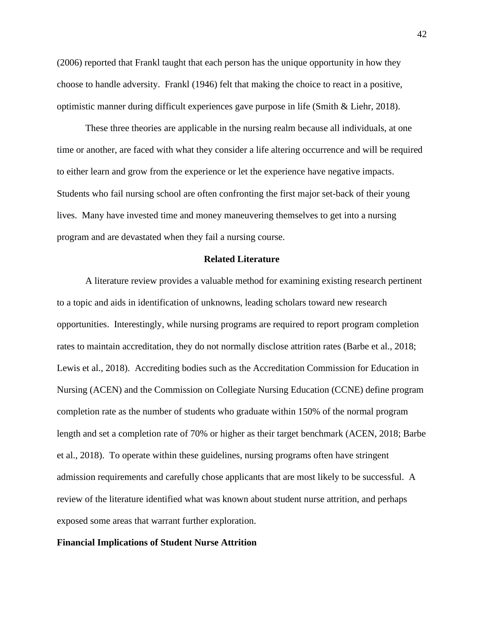(2006) reported that Frankl taught that each person has the unique opportunity in how they choose to handle adversity. Frankl (1946) felt that making the choice to react in a positive, optimistic manner during difficult experiences gave purpose in life (Smith & Liehr, 2018).

These three theories are applicable in the nursing realm because all individuals, at one time or another, are faced with what they consider a life altering occurrence and will be required to either learn and grow from the experience or let the experience have negative impacts. Students who fail nursing school are often confronting the first major set-back of their young lives. Many have invested time and money maneuvering themselves to get into a nursing program and are devastated when they fail a nursing course.

# **Related Literature**

A literature review provides a valuable method for examining existing research pertinent to a topic and aids in identification of unknowns, leading scholars toward new research opportunities. Interestingly, while nursing programs are required to report program completion rates to maintain accreditation, they do not normally disclose attrition rates (Barbe et al., 2018; Lewis et al., 2018). Accrediting bodies such as the Accreditation Commission for Education in Nursing (ACEN) and the Commission on Collegiate Nursing Education (CCNE) define program completion rate as the number of students who graduate within 150% of the normal program length and set a completion rate of 70% or higher as their target benchmark (ACEN, 2018; Barbe et al., 2018). To operate within these guidelines, nursing programs often have stringent admission requirements and carefully chose applicants that are most likely to be successful. A review of the literature identified what was known about student nurse attrition, and perhaps exposed some areas that warrant further exploration.

# **Financial Implications of Student Nurse Attrition**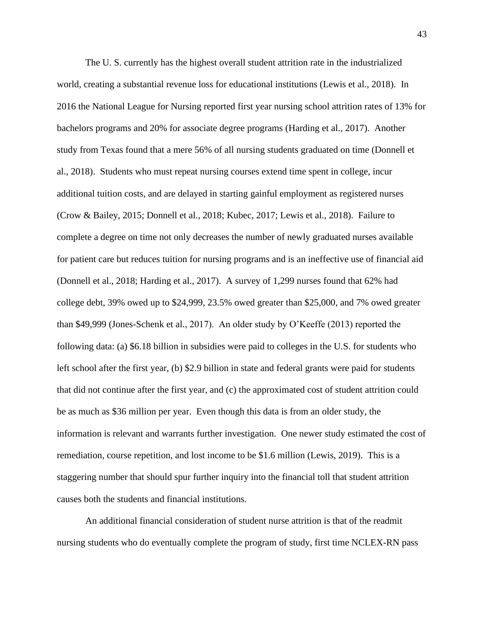The U. S. currently has the highest overall student attrition rate in the industrialized world, creating a substantial revenue loss for educational institutions (Lewis et al., 2018). In 2016 the National League for Nursing reported first year nursing school attrition rates of 13% for bachelors programs and 20% for associate degree programs (Harding et al., 2017). Another study from Texas found that a mere 56% of all nursing students graduated on time (Donnell et al., 2018). Students who must repeat nursing courses extend time spent in college, incur additional tuition costs, and are delayed in starting gainful employment as registered nurses (Crow & Bailey, 2015; Donnell et al., 2018; Kubec, 2017; Lewis et al., 2018). Failure to complete a degree on time not only decreases the number of newly graduated nurses available for patient care but reduces tuition for nursing programs and is an ineffective use of financial aid (Donnell et al., 2018; Harding et al., 2017). A survey of 1,299 nurses found that 62% had college debt, 39% owed up to \$24,999, 23.5% owed greater than \$25,000, and 7% owed greater than \$49,999 (Jones-Schenk et al., 2017). An older study by O'Keeffe (2013) reported the following data: (a) \$6.18 billion in subsidies were paid to colleges in the U.S. for students who left school after the first year, (b) \$2.9 billion in state and federal grants were paid for students that did not continue after the first year, and (c) the approximated cost of student attrition could be as much as \$36 million per year. Even though this data is from an older study, the information is relevant and warrants further investigation. One newer study estimated the cost of remediation, course repetition, and lost income to be \$1.6 million (Lewis, 2019). This is a staggering number that should spur further inquiry into the financial toll that student attrition causes both the students and financial institutions.

An additional financial consideration of student nurse attrition is that of the readmit nursing students who do eventually complete the program of study, first time NCLEX-RN pass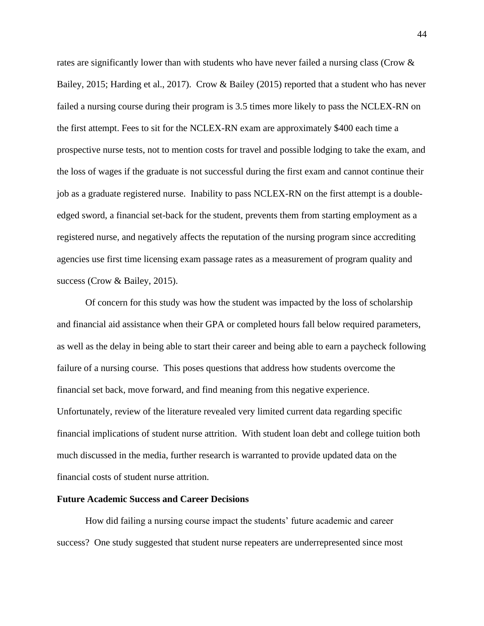rates are significantly lower than with students who have never failed a nursing class (Crow & Bailey, 2015; Harding et al., 2017). Crow & Bailey (2015) reported that a student who has never failed a nursing course during their program is 3.5 times more likely to pass the NCLEX-RN on the first attempt. Fees to sit for the NCLEX-RN exam are approximately \$400 each time a prospective nurse tests, not to mention costs for travel and possible lodging to take the exam, and the loss of wages if the graduate is not successful during the first exam and cannot continue their job as a graduate registered nurse. Inability to pass NCLEX-RN on the first attempt is a doubleedged sword, a financial set-back for the student, prevents them from starting employment as a registered nurse, and negatively affects the reputation of the nursing program since accrediting agencies use first time licensing exam passage rates as a measurement of program quality and success (Crow & Bailey, 2015).

Of concern for this study was how the student was impacted by the loss of scholarship and financial aid assistance when their GPA or completed hours fall below required parameters, as well as the delay in being able to start their career and being able to earn a paycheck following failure of a nursing course. This poses questions that address how students overcome the financial set back, move forward, and find meaning from this negative experience. Unfortunately, review of the literature revealed very limited current data regarding specific financial implications of student nurse attrition. With student loan debt and college tuition both much discussed in the media, further research is warranted to provide updated data on the financial costs of student nurse attrition.

### **Future Academic Success and Career Decisions**

How did failing a nursing course impact the students' future academic and career success? One study suggested that student nurse repeaters are underrepresented since most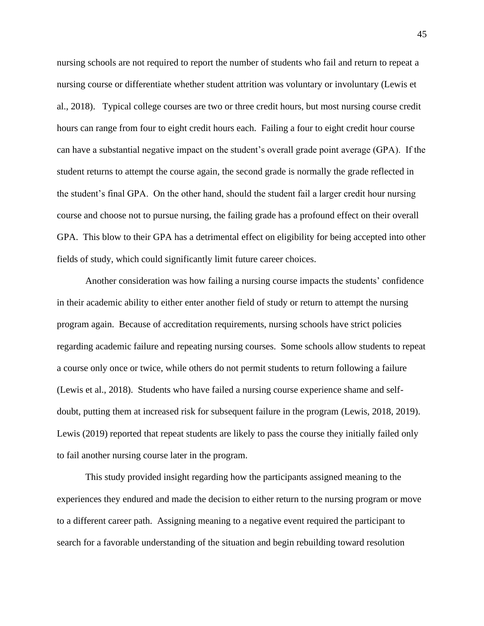nursing schools are not required to report the number of students who fail and return to repeat a nursing course or differentiate whether student attrition was voluntary or involuntary (Lewis et al., 2018). Typical college courses are two or three credit hours, but most nursing course credit hours can range from four to eight credit hours each. Failing a four to eight credit hour course can have a substantial negative impact on the student's overall grade point average (GPA). If the student returns to attempt the course again, the second grade is normally the grade reflected in the student's final GPA. On the other hand, should the student fail a larger credit hour nursing course and choose not to pursue nursing, the failing grade has a profound effect on their overall GPA. This blow to their GPA has a detrimental effect on eligibility for being accepted into other fields of study, which could significantly limit future career choices.

Another consideration was how failing a nursing course impacts the students' confidence in their academic ability to either enter another field of study or return to attempt the nursing program again. Because of accreditation requirements, nursing schools have strict policies regarding academic failure and repeating nursing courses. Some schools allow students to repeat a course only once or twice, while others do not permit students to return following a failure (Lewis et al., 2018). Students who have failed a nursing course experience shame and selfdoubt, putting them at increased risk for subsequent failure in the program (Lewis, 2018, 2019). Lewis (2019) reported that repeat students are likely to pass the course they initially failed only to fail another nursing course later in the program.

This study provided insight regarding how the participants assigned meaning to the experiences they endured and made the decision to either return to the nursing program or move to a different career path. Assigning meaning to a negative event required the participant to search for a favorable understanding of the situation and begin rebuilding toward resolution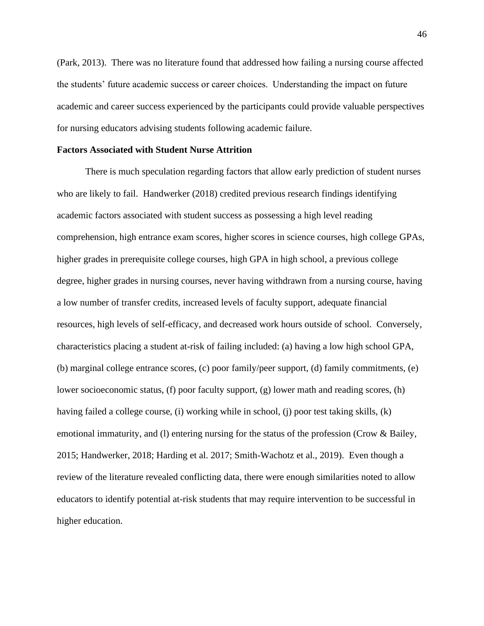(Park, 2013). There was no literature found that addressed how failing a nursing course affected the students' future academic success or career choices. Understanding the impact on future academic and career success experienced by the participants could provide valuable perspectives for nursing educators advising students following academic failure.

### **Factors Associated with Student Nurse Attrition**

There is much speculation regarding factors that allow early prediction of student nurses who are likely to fail. Handwerker (2018) credited previous research findings identifying academic factors associated with student success as possessing a high level reading comprehension, high entrance exam scores, higher scores in science courses, high college GPAs, higher grades in prerequisite college courses, high GPA in high school, a previous college degree, higher grades in nursing courses, never having withdrawn from a nursing course, having a low number of transfer credits, increased levels of faculty support, adequate financial resources, high levels of self-efficacy, and decreased work hours outside of school. Conversely, characteristics placing a student at-risk of failing included: (a) having a low high school GPA, (b) marginal college entrance scores, (c) poor family/peer support, (d) family commitments, (e) lower socioeconomic status, (f) poor faculty support, (g) lower math and reading scores, (h) having failed a college course, (i) working while in school, (j) poor test taking skills, (k) emotional immaturity, and (l) entering nursing for the status of the profession (Crow & Bailey, 2015; Handwerker, 2018; Harding et al. 2017; Smith-Wachotz et al., 2019). Even though a review of the literature revealed conflicting data, there were enough similarities noted to allow educators to identify potential at-risk students that may require intervention to be successful in higher education.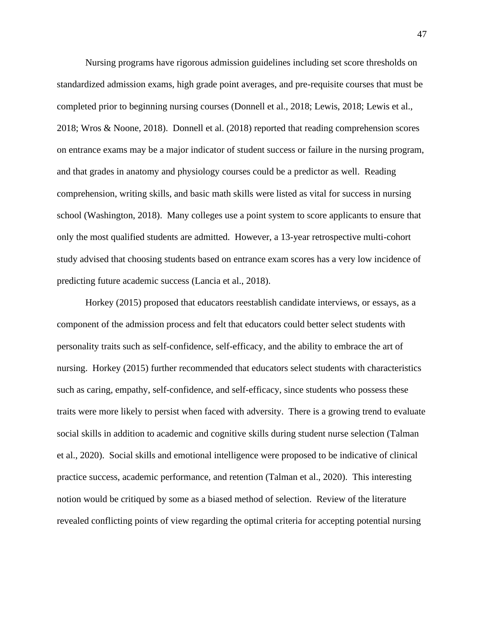Nursing programs have rigorous admission guidelines including set score thresholds on standardized admission exams, high grade point averages, and pre-requisite courses that must be completed prior to beginning nursing courses (Donnell et al., 2018; Lewis, 2018; Lewis et al., 2018; Wros & Noone, 2018). Donnell et al. (2018) reported that reading comprehension scores on entrance exams may be a major indicator of student success or failure in the nursing program, and that grades in anatomy and physiology courses could be a predictor as well. Reading comprehension, writing skills, and basic math skills were listed as vital for success in nursing school (Washington, 2018). Many colleges use a point system to score applicants to ensure that only the most qualified students are admitted. However, a 13-year retrospective multi-cohort study advised that choosing students based on entrance exam scores has a very low incidence of predicting future academic success (Lancia et al., 2018).

Horkey (2015) proposed that educators reestablish candidate interviews, or essays, as a component of the admission process and felt that educators could better select students with personality traits such as self-confidence, self-efficacy, and the ability to embrace the art of nursing. Horkey (2015) further recommended that educators select students with characteristics such as caring, empathy, self-confidence, and self-efficacy, since students who possess these traits were more likely to persist when faced with adversity. There is a growing trend to evaluate social skills in addition to academic and cognitive skills during student nurse selection (Talman et al., 2020). Social skills and emotional intelligence were proposed to be indicative of clinical practice success, academic performance, and retention (Talman et al., 2020). This interesting notion would be critiqued by some as a biased method of selection. Review of the literature revealed conflicting points of view regarding the optimal criteria for accepting potential nursing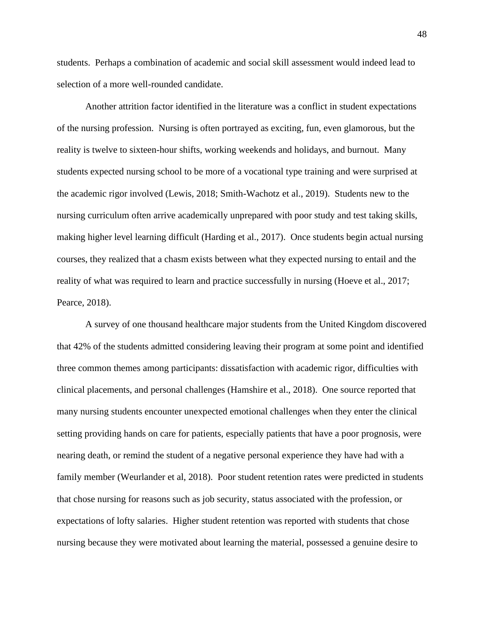students. Perhaps a combination of academic and social skill assessment would indeed lead to selection of a more well-rounded candidate.

Another attrition factor identified in the literature was a conflict in student expectations of the nursing profession. Nursing is often portrayed as exciting, fun, even glamorous, but the reality is twelve to sixteen-hour shifts, working weekends and holidays, and burnout. Many students expected nursing school to be more of a vocational type training and were surprised at the academic rigor involved (Lewis, 2018; Smith-Wachotz et al., 2019). Students new to the nursing curriculum often arrive academically unprepared with poor study and test taking skills, making higher level learning difficult (Harding et al., 2017). Once students begin actual nursing courses, they realized that a chasm exists between what they expected nursing to entail and the reality of what was required to learn and practice successfully in nursing (Hoeve et al., 2017; Pearce, 2018).

A survey of one thousand healthcare major students from the United Kingdom discovered that 42% of the students admitted considering leaving their program at some point and identified three common themes among participants: dissatisfaction with academic rigor, difficulties with clinical placements, and personal challenges (Hamshire et al., 2018). One source reported that many nursing students encounter unexpected emotional challenges when they enter the clinical setting providing hands on care for patients, especially patients that have a poor prognosis, were nearing death, or remind the student of a negative personal experience they have had with a family member (Weurlander et al, 2018). Poor student retention rates were predicted in students that chose nursing for reasons such as job security, status associated with the profession, or expectations of lofty salaries. Higher student retention was reported with students that chose nursing because they were motivated about learning the material, possessed a genuine desire to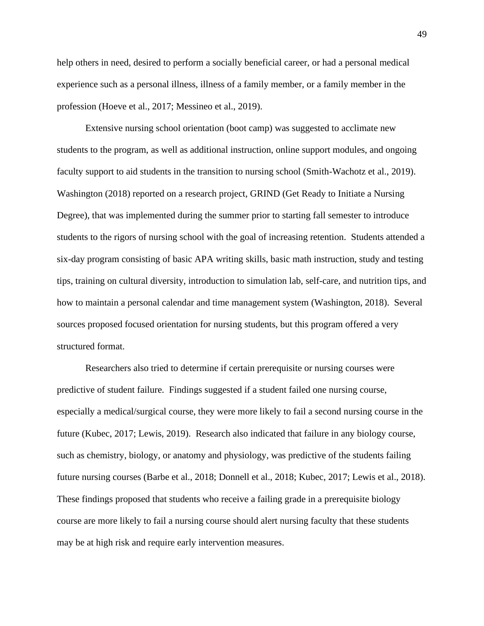help others in need, desired to perform a socially beneficial career, or had a personal medical experience such as a personal illness, illness of a family member, or a family member in the profession (Hoeve et al., 2017; Messineo et al., 2019).

Extensive nursing school orientation (boot camp) was suggested to acclimate new students to the program, as well as additional instruction, online support modules, and ongoing faculty support to aid students in the transition to nursing school (Smith-Wachotz et al., 2019). Washington (2018) reported on a research project, GRIND (Get Ready to Initiate a Nursing Degree), that was implemented during the summer prior to starting fall semester to introduce students to the rigors of nursing school with the goal of increasing retention. Students attended a six-day program consisting of basic APA writing skills, basic math instruction, study and testing tips, training on cultural diversity, introduction to simulation lab, self-care, and nutrition tips, and how to maintain a personal calendar and time management system (Washington, 2018). Several sources proposed focused orientation for nursing students, but this program offered a very structured format.

Researchers also tried to determine if certain prerequisite or nursing courses were predictive of student failure. Findings suggested if a student failed one nursing course, especially a medical/surgical course, they were more likely to fail a second nursing course in the future (Kubec, 2017; Lewis, 2019). Research also indicated that failure in any biology course, such as chemistry, biology, or anatomy and physiology, was predictive of the students failing future nursing courses (Barbe et al., 2018; Donnell et al., 2018; Kubec, 2017; Lewis et al., 2018). These findings proposed that students who receive a failing grade in a prerequisite biology course are more likely to fail a nursing course should alert nursing faculty that these students may be at high risk and require early intervention measures.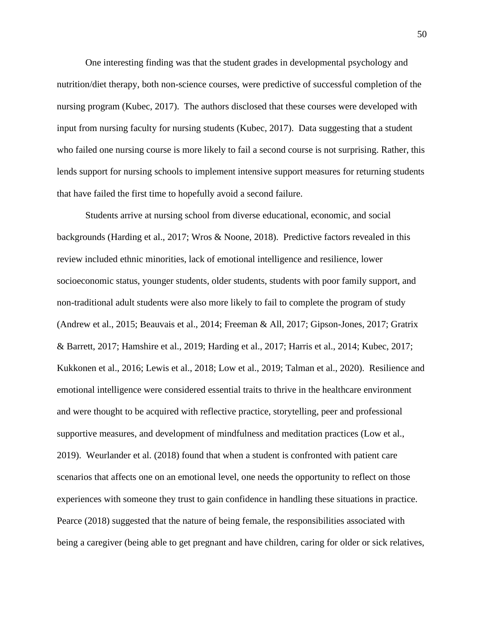One interesting finding was that the student grades in developmental psychology and nutrition/diet therapy, both non-science courses, were predictive of successful completion of the nursing program (Kubec, 2017). The authors disclosed that these courses were developed with input from nursing faculty for nursing students (Kubec, 2017). Data suggesting that a student who failed one nursing course is more likely to fail a second course is not surprising. Rather, this lends support for nursing schools to implement intensive support measures for returning students that have failed the first time to hopefully avoid a second failure.

Students arrive at nursing school from diverse educational, economic, and social backgrounds (Harding et al., 2017; Wros & Noone, 2018). Predictive factors revealed in this review included ethnic minorities, lack of emotional intelligence and resilience, lower socioeconomic status, younger students, older students, students with poor family support, and non-traditional adult students were also more likely to fail to complete the program of study (Andrew et al., 2015; Beauvais et al., 2014; Freeman & All, 2017; Gipson-Jones, 2017; Gratrix & Barrett, 2017; Hamshire et al., 2019; Harding et al., 2017; Harris et al., 2014; Kubec, 2017; Kukkonen et al., 2016; Lewis et al., 2018; Low et al., 2019; Talman et al., 2020). Resilience and emotional intelligence were considered essential traits to thrive in the healthcare environment and were thought to be acquired with reflective practice, storytelling, peer and professional supportive measures, and development of mindfulness and meditation practices (Low et al., 2019). Weurlander et al. (2018) found that when a student is confronted with patient care scenarios that affects one on an emotional level, one needs the opportunity to reflect on those experiences with someone they trust to gain confidence in handling these situations in practice. Pearce (2018) suggested that the nature of being female, the responsibilities associated with being a caregiver (being able to get pregnant and have children, caring for older or sick relatives,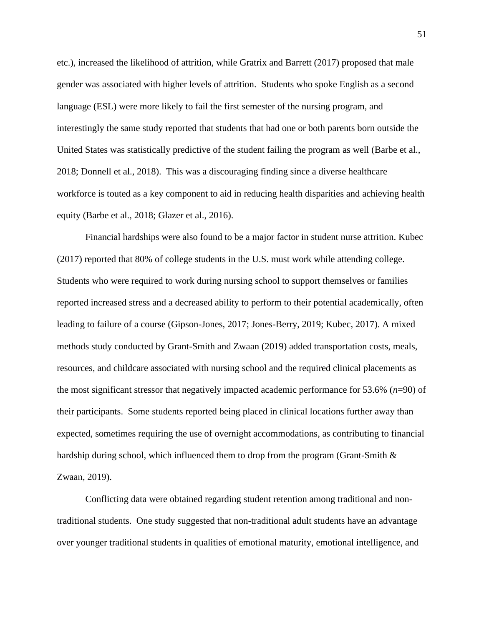etc.), increased the likelihood of attrition, while Gratrix and Barrett (2017) proposed that male gender was associated with higher levels of attrition. Students who spoke English as a second language (ESL) were more likely to fail the first semester of the nursing program, and interestingly the same study reported that students that had one or both parents born outside the United States was statistically predictive of the student failing the program as well (Barbe et al., 2018; Donnell et al., 2018). This was a discouraging finding since a diverse healthcare workforce is touted as a key component to aid in reducing health disparities and achieving health equity (Barbe et al., 2018; Glazer et al., 2016).

Financial hardships were also found to be a major factor in student nurse attrition. Kubec (2017) reported that 80% of college students in the U.S. must work while attending college. Students who were required to work during nursing school to support themselves or families reported increased stress and a decreased ability to perform to their potential academically, often leading to failure of a course (Gipson-Jones, 2017; Jones-Berry, 2019; Kubec, 2017). A mixed methods study conducted by Grant-Smith and Zwaan (2019) added transportation costs, meals, resources, and childcare associated with nursing school and the required clinical placements as the most significant stressor that negatively impacted academic performance for 53.6% (*n*=90) of their participants. Some students reported being placed in clinical locations further away than expected, sometimes requiring the use of overnight accommodations, as contributing to financial hardship during school, which influenced them to drop from the program (Grant-Smith  $\&$ Zwaan, 2019).

Conflicting data were obtained regarding student retention among traditional and nontraditional students. One study suggested that non-traditional adult students have an advantage over younger traditional students in qualities of emotional maturity, emotional intelligence, and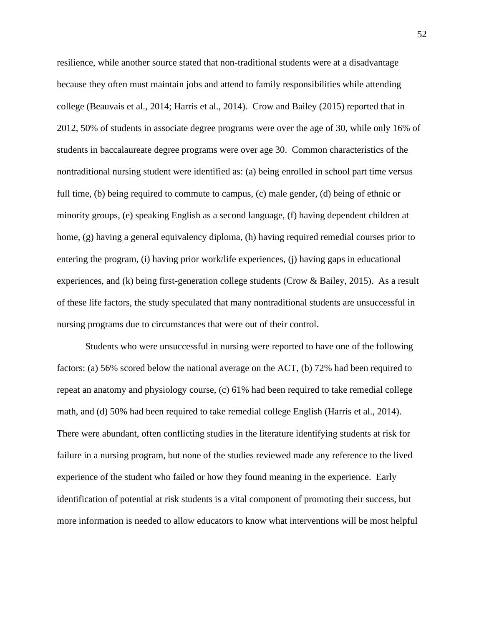resilience, while another source stated that non-traditional students were at a disadvantage because they often must maintain jobs and attend to family responsibilities while attending college (Beauvais et al., 2014; Harris et al., 2014). Crow and Bailey (2015) reported that in 2012, 50% of students in associate degree programs were over the age of 30, while only 16% of students in baccalaureate degree programs were over age 30. Common characteristics of the nontraditional nursing student were identified as: (a) being enrolled in school part time versus full time, (b) being required to commute to campus, (c) male gender, (d) being of ethnic or minority groups, (e) speaking English as a second language, (f) having dependent children at home, (g) having a general equivalency diploma, (h) having required remedial courses prior to entering the program, (i) having prior work/life experiences, (j) having gaps in educational experiences, and (k) being first-generation college students (Crow & Bailey, 2015). As a result of these life factors, the study speculated that many nontraditional students are unsuccessful in nursing programs due to circumstances that were out of their control.

Students who were unsuccessful in nursing were reported to have one of the following factors: (a) 56% scored below the national average on the ACT, (b) 72% had been required to repeat an anatomy and physiology course, (c) 61% had been required to take remedial college math, and (d) 50% had been required to take remedial college English (Harris et al., 2014). There were abundant, often conflicting studies in the literature identifying students at risk for failure in a nursing program, but none of the studies reviewed made any reference to the lived experience of the student who failed or how they found meaning in the experience. Early identification of potential at risk students is a vital component of promoting their success, but more information is needed to allow educators to know what interventions will be most helpful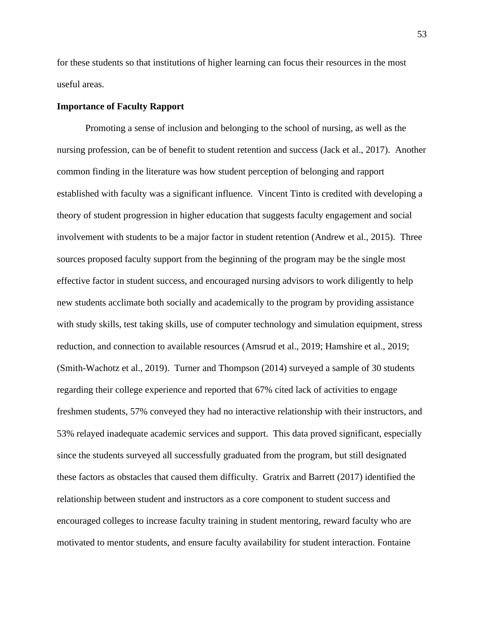for these students so that institutions of higher learning can focus their resources in the most useful areas.

# **Importance of Faculty Rapport**

Promoting a sense of inclusion and belonging to the school of nursing, as well as the nursing profession, can be of benefit to student retention and success (Jack et al., 2017). Another common finding in the literature was how student perception of belonging and rapport established with faculty was a significant influence. Vincent Tinto is credited with developing a theory of student progression in higher education that suggests faculty engagement and social involvement with students to be a major factor in student retention (Andrew et al., 2015). Three sources proposed faculty support from the beginning of the program may be the single most effective factor in student success, and encouraged nursing advisors to work diligently to help new students acclimate both socially and academically to the program by providing assistance with study skills, test taking skills, use of computer technology and simulation equipment, stress reduction, and connection to available resources (Amsrud et al., 2019; Hamshire et al., 2019; (Smith-Wachotz et al., 2019). Turner and Thompson (2014) surveyed a sample of 30 students regarding their college experience and reported that 67% cited lack of activities to engage freshmen students, 57% conveyed they had no interactive relationship with their instructors, and 53% relayed inadequate academic services and support. This data proved significant, especially since the students surveyed all successfully graduated from the program, but still designated these factors as obstacles that caused them difficulty. Gratrix and Barrett (2017) identified the relationship between student and instructors as a core component to student success and encouraged colleges to increase faculty training in student mentoring, reward faculty who are motivated to mentor students, and ensure faculty availability for student interaction. Fontaine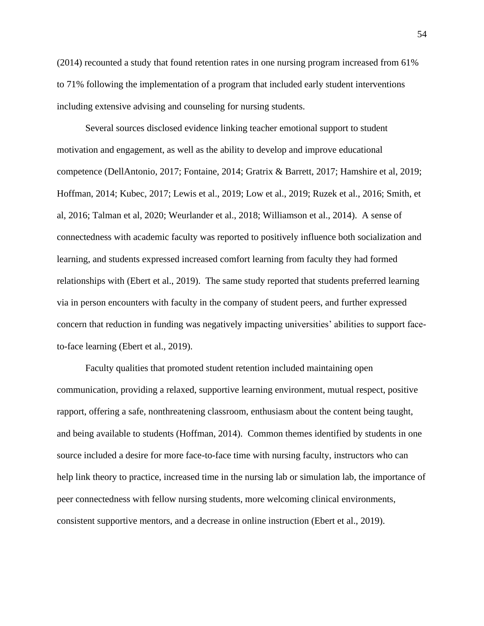(2014) recounted a study that found retention rates in one nursing program increased from 61% to 71% following the implementation of a program that included early student interventions including extensive advising and counseling for nursing students.

Several sources disclosed evidence linking teacher emotional support to student motivation and engagement, as well as the ability to develop and improve educational competence (DellAntonio, 2017; Fontaine, 2014; Gratrix & Barrett, 2017; Hamshire et al, 2019; Hoffman, 2014; Kubec, 2017; Lewis et al., 2019; Low et al., 2019; Ruzek et al., 2016; Smith, et al, 2016; Talman et al, 2020; Weurlander et al., 2018; Williamson et al., 2014). A sense of connectedness with academic faculty was reported to positively influence both socialization and learning, and students expressed increased comfort learning from faculty they had formed relationships with (Ebert et al., 2019). The same study reported that students preferred learning via in person encounters with faculty in the company of student peers, and further expressed concern that reduction in funding was negatively impacting universities' abilities to support faceto-face learning (Ebert et al., 2019).

Faculty qualities that promoted student retention included maintaining open communication, providing a relaxed, supportive learning environment, mutual respect, positive rapport, offering a safe, nonthreatening classroom, enthusiasm about the content being taught, and being available to students (Hoffman, 2014). Common themes identified by students in one source included a desire for more face-to-face time with nursing faculty, instructors who can help link theory to practice, increased time in the nursing lab or simulation lab, the importance of peer connectedness with fellow nursing students, more welcoming clinical environments, consistent supportive mentors, and a decrease in online instruction (Ebert et al., 2019).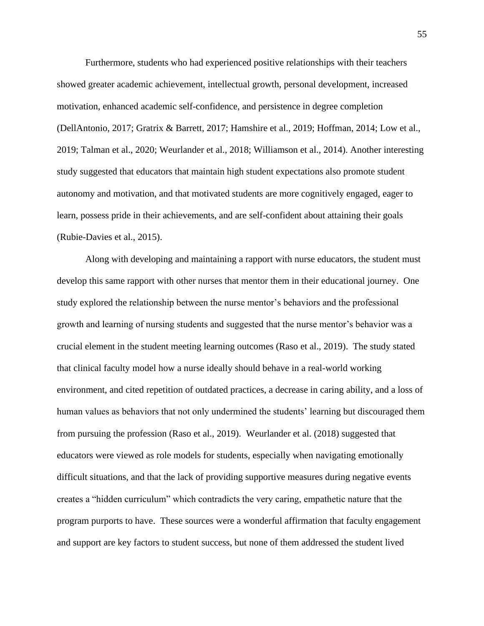Furthermore, students who had experienced positive relationships with their teachers showed greater academic achievement, intellectual growth, personal development, increased motivation, enhanced academic self-confidence, and persistence in degree completion (DellAntonio, 2017; Gratrix & Barrett, 2017; Hamshire et al., 2019; Hoffman, 2014; Low et al., 2019; Talman et al., 2020; Weurlander et al., 2018; Williamson et al., 2014). Another interesting study suggested that educators that maintain high student expectations also promote student autonomy and motivation, and that motivated students are more cognitively engaged, eager to learn, possess pride in their achievements, and are self-confident about attaining their goals (Rubie-Davies et al., 2015).

Along with developing and maintaining a rapport with nurse educators, the student must develop this same rapport with other nurses that mentor them in their educational journey. One study explored the relationship between the nurse mentor's behaviors and the professional growth and learning of nursing students and suggested that the nurse mentor's behavior was a crucial element in the student meeting learning outcomes (Raso et al., 2019). The study stated that clinical faculty model how a nurse ideally should behave in a real-world working environment, and cited repetition of outdated practices, a decrease in caring ability, and a loss of human values as behaviors that not only undermined the students' learning but discouraged them from pursuing the profession (Raso et al., 2019). Weurlander et al. (2018) suggested that educators were viewed as role models for students, especially when navigating emotionally difficult situations, and that the lack of providing supportive measures during negative events creates a "hidden curriculum" which contradicts the very caring, empathetic nature that the program purports to have. These sources were a wonderful affirmation that faculty engagement and support are key factors to student success, but none of them addressed the student lived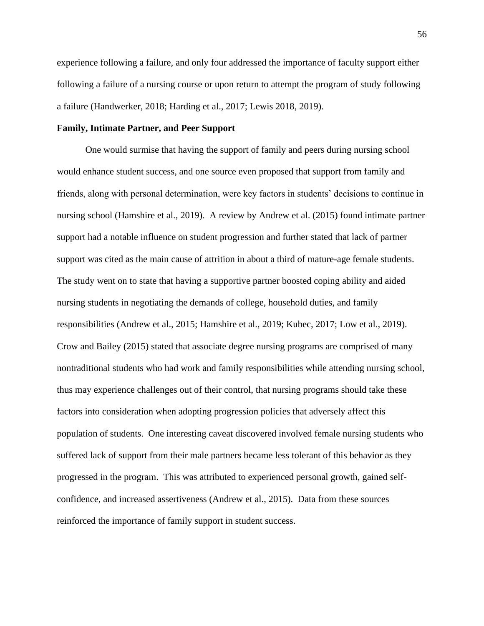experience following a failure, and only four addressed the importance of faculty support either following a failure of a nursing course or upon return to attempt the program of study following a failure (Handwerker, 2018; Harding et al., 2017; Lewis 2018, 2019).

# **Family, Intimate Partner, and Peer Support**

One would surmise that having the support of family and peers during nursing school would enhance student success, and one source even proposed that support from family and friends, along with personal determination, were key factors in students' decisions to continue in nursing school (Hamshire et al., 2019). A review by Andrew et al. (2015) found intimate partner support had a notable influence on student progression and further stated that lack of partner support was cited as the main cause of attrition in about a third of mature-age female students. The study went on to state that having a supportive partner boosted coping ability and aided nursing students in negotiating the demands of college, household duties, and family responsibilities (Andrew et al., 2015; Hamshire et al., 2019; Kubec, 2017; Low et al., 2019). Crow and Bailey (2015) stated that associate degree nursing programs are comprised of many nontraditional students who had work and family responsibilities while attending nursing school, thus may experience challenges out of their control, that nursing programs should take these factors into consideration when adopting progression policies that adversely affect this population of students. One interesting caveat discovered involved female nursing students who suffered lack of support from their male partners became less tolerant of this behavior as they progressed in the program. This was attributed to experienced personal growth, gained selfconfidence, and increased assertiveness (Andrew et al., 2015). Data from these sources reinforced the importance of family support in student success.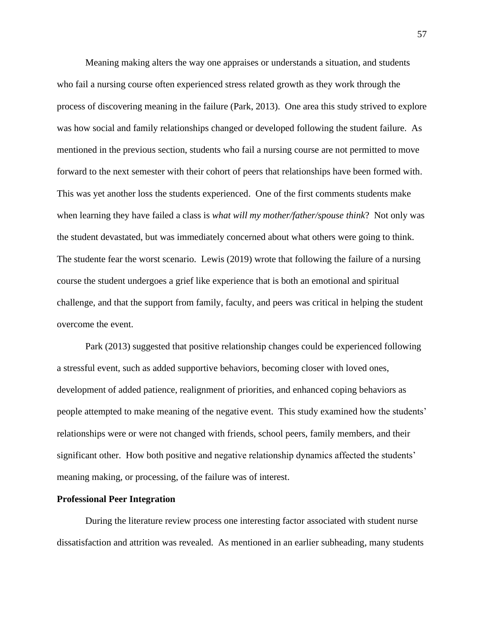Meaning making alters the way one appraises or understands a situation, and students who fail a nursing course often experienced stress related growth as they work through the process of discovering meaning in the failure (Park, 2013). One area this study strived to explore was how social and family relationships changed or developed following the student failure. As mentioned in the previous section, students who fail a nursing course are not permitted to move forward to the next semester with their cohort of peers that relationships have been formed with. This was yet another loss the students experienced. One of the first comments students make when learning they have failed a class is *what will my mother/father/spouse think*? Not only was the student devastated, but was immediately concerned about what others were going to think. The studente fear the worst scenario. Lewis (2019) wrote that following the failure of a nursing course the student undergoes a grief like experience that is both an emotional and spiritual challenge, and that the support from family, faculty, and peers was critical in helping the student overcome the event.

Park (2013) suggested that positive relationship changes could be experienced following a stressful event, such as added supportive behaviors, becoming closer with loved ones, development of added patience, realignment of priorities, and enhanced coping behaviors as people attempted to make meaning of the negative event. This study examined how the students' relationships were or were not changed with friends, school peers, family members, and their significant other. How both positive and negative relationship dynamics affected the students' meaning making, or processing, of the failure was of interest.

## **Professional Peer Integration**

During the literature review process one interesting factor associated with student nurse dissatisfaction and attrition was revealed. As mentioned in an earlier subheading, many students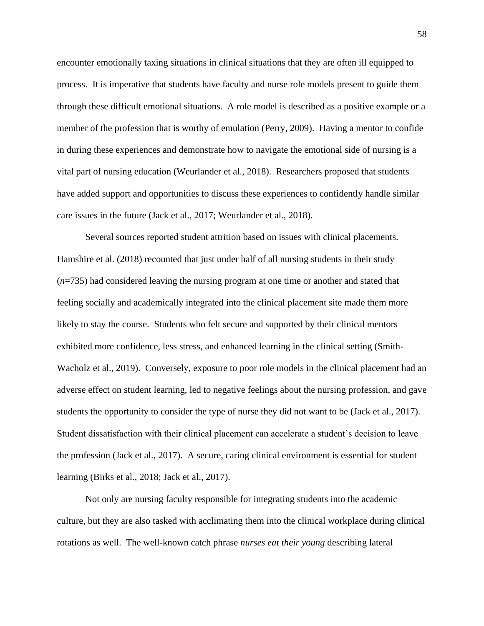encounter emotionally taxing situations in clinical situations that they are often ill equipped to process. It is imperative that students have faculty and nurse role models present to guide them through these difficult emotional situations. A role model is described as a positive example or a member of the profession that is worthy of emulation (Perry, 2009). Having a mentor to confide in during these experiences and demonstrate how to navigate the emotional side of nursing is a vital part of nursing education (Weurlander et al., 2018). Researchers proposed that students have added support and opportunities to discuss these experiences to confidently handle similar care issues in the future (Jack et al., 2017; Weurlander et al., 2018).

Several sources reported student attrition based on issues with clinical placements. Hamshire et al. (2018) recounted that just under half of all nursing students in their study (*n*=735) had considered leaving the nursing program at one time or another and stated that feeling socially and academically integrated into the clinical placement site made them more likely to stay the course. Students who felt secure and supported by their clinical mentors exhibited more confidence, less stress, and enhanced learning in the clinical setting (Smith-Wacholz et al., 2019). Conversely, exposure to poor role models in the clinical placement had an adverse effect on student learning, led to negative feelings about the nursing profession, and gave students the opportunity to consider the type of nurse they did not want to be (Jack et al., 2017). Student dissatisfaction with their clinical placement can accelerate a student's decision to leave the profession (Jack et al., 2017). A secure, caring clinical environment is essential for student learning (Birks et al., 2018; Jack et al., 2017).

Not only are nursing faculty responsible for integrating students into the academic culture, but they are also tasked with acclimating them into the clinical workplace during clinical rotations as well. The well-known catch phrase *nurses eat their young* describing lateral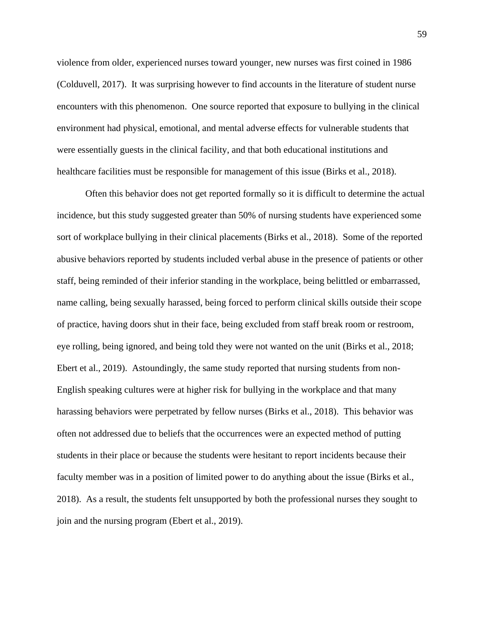violence from older, experienced nurses toward younger, new nurses was first coined in 1986 (Colduvell, 2017). It was surprising however to find accounts in the literature of student nurse encounters with this phenomenon. One source reported that exposure to bullying in the clinical environment had physical, emotional, and mental adverse effects for vulnerable students that were essentially guests in the clinical facility, and that both educational institutions and healthcare facilities must be responsible for management of this issue (Birks et al., 2018).

Often this behavior does not get reported formally so it is difficult to determine the actual incidence, but this study suggested greater than 50% of nursing students have experienced some sort of workplace bullying in their clinical placements (Birks et al., 2018). Some of the reported abusive behaviors reported by students included verbal abuse in the presence of patients or other staff, being reminded of their inferior standing in the workplace, being belittled or embarrassed, name calling, being sexually harassed, being forced to perform clinical skills outside their scope of practice, having doors shut in their face, being excluded from staff break room or restroom, eye rolling, being ignored, and being told they were not wanted on the unit (Birks et al., 2018; Ebert et al., 2019). Astoundingly, the same study reported that nursing students from non-English speaking cultures were at higher risk for bullying in the workplace and that many harassing behaviors were perpetrated by fellow nurses (Birks et al., 2018). This behavior was often not addressed due to beliefs that the occurrences were an expected method of putting students in their place or because the students were hesitant to report incidents because their faculty member was in a position of limited power to do anything about the issue (Birks et al., 2018). As a result, the students felt unsupported by both the professional nurses they sought to join and the nursing program (Ebert et al., 2019).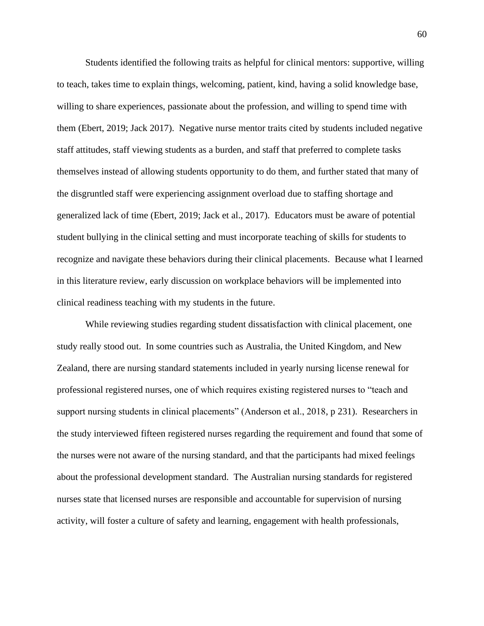Students identified the following traits as helpful for clinical mentors: supportive, willing to teach, takes time to explain things, welcoming, patient, kind, having a solid knowledge base, willing to share experiences, passionate about the profession, and willing to spend time with them (Ebert, 2019; Jack 2017). Negative nurse mentor traits cited by students included negative staff attitudes, staff viewing students as a burden, and staff that preferred to complete tasks themselves instead of allowing students opportunity to do them, and further stated that many of the disgruntled staff were experiencing assignment overload due to staffing shortage and generalized lack of time (Ebert, 2019; Jack et al., 2017). Educators must be aware of potential student bullying in the clinical setting and must incorporate teaching of skills for students to recognize and navigate these behaviors during their clinical placements. Because what I learned in this literature review, early discussion on workplace behaviors will be implemented into clinical readiness teaching with my students in the future.

While reviewing studies regarding student dissatisfaction with clinical placement, one study really stood out. In some countries such as Australia, the United Kingdom, and New Zealand, there are nursing standard statements included in yearly nursing license renewal for professional registered nurses, one of which requires existing registered nurses to "teach and support nursing students in clinical placements" (Anderson et al., 2018, p 231). Researchers in the study interviewed fifteen registered nurses regarding the requirement and found that some of the nurses were not aware of the nursing standard, and that the participants had mixed feelings about the professional development standard. The Australian nursing standards for registered nurses state that licensed nurses are responsible and accountable for supervision of nursing activity, will foster a culture of safety and learning, engagement with health professionals,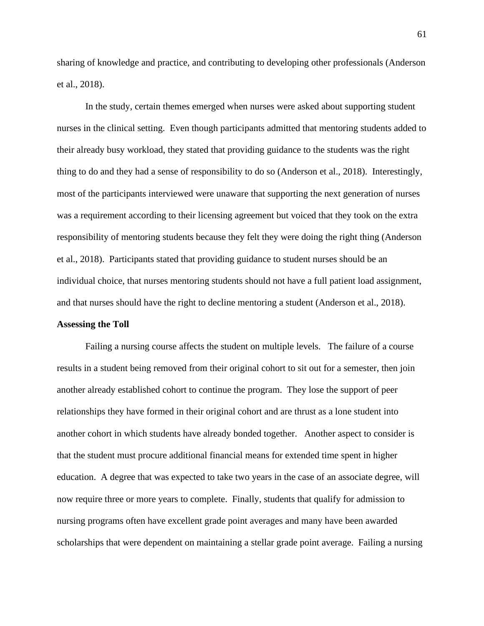sharing of knowledge and practice, and contributing to developing other professionals (Anderson et al., 2018).

In the study, certain themes emerged when nurses were asked about supporting student nurses in the clinical setting. Even though participants admitted that mentoring students added to their already busy workload, they stated that providing guidance to the students was the right thing to do and they had a sense of responsibility to do so (Anderson et al., 2018). Interestingly, most of the participants interviewed were unaware that supporting the next generation of nurses was a requirement according to their licensing agreement but voiced that they took on the extra responsibility of mentoring students because they felt they were doing the right thing (Anderson et al., 2018). Participants stated that providing guidance to student nurses should be an individual choice, that nurses mentoring students should not have a full patient load assignment, and that nurses should have the right to decline mentoring a student (Anderson et al., 2018).

# **Assessing the Toll**

Failing a nursing course affects the student on multiple levels. The failure of a course results in a student being removed from their original cohort to sit out for a semester, then join another already established cohort to continue the program. They lose the support of peer relationships they have formed in their original cohort and are thrust as a lone student into another cohort in which students have already bonded together. Another aspect to consider is that the student must procure additional financial means for extended time spent in higher education. A degree that was expected to take two years in the case of an associate degree, will now require three or more years to complete. Finally, students that qualify for admission to nursing programs often have excellent grade point averages and many have been awarded scholarships that were dependent on maintaining a stellar grade point average. Failing a nursing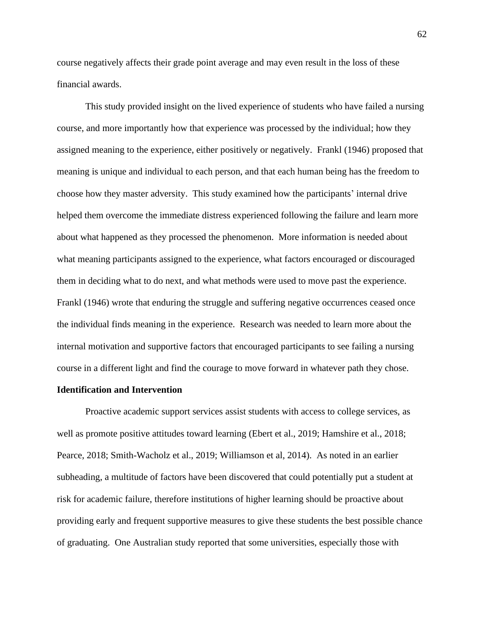course negatively affects their grade point average and may even result in the loss of these financial awards.

This study provided insight on the lived experience of students who have failed a nursing course, and more importantly how that experience was processed by the individual; how they assigned meaning to the experience, either positively or negatively. Frankl (1946) proposed that meaning is unique and individual to each person, and that each human being has the freedom to choose how they master adversity. This study examined how the participants' internal drive helped them overcome the immediate distress experienced following the failure and learn more about what happened as they processed the phenomenon. More information is needed about what meaning participants assigned to the experience, what factors encouraged or discouraged them in deciding what to do next, and what methods were used to move past the experience. Frankl (1946) wrote that enduring the struggle and suffering negative occurrences ceased once the individual finds meaning in the experience. Research was needed to learn more about the internal motivation and supportive factors that encouraged participants to see failing a nursing course in a different light and find the courage to move forward in whatever path they chose.

## **Identification and Intervention**

Proactive academic support services assist students with access to college services, as well as promote positive attitudes toward learning (Ebert et al., 2019; Hamshire et al., 2018; Pearce, 2018; Smith-Wacholz et al., 2019; Williamson et al, 2014). As noted in an earlier subheading, a multitude of factors have been discovered that could potentially put a student at risk for academic failure, therefore institutions of higher learning should be proactive about providing early and frequent supportive measures to give these students the best possible chance of graduating. One Australian study reported that some universities, especially those with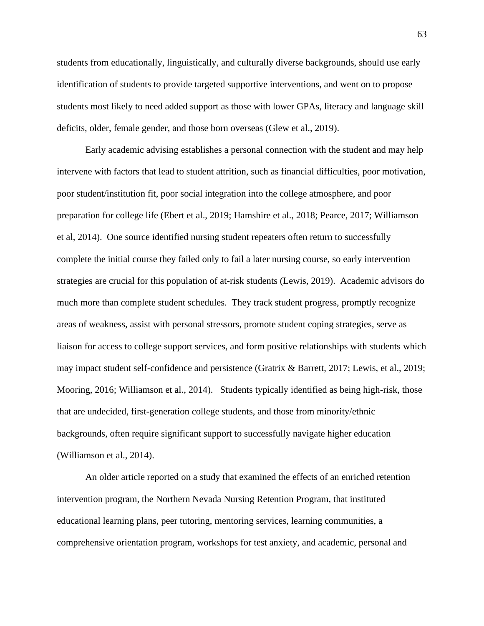students from educationally, linguistically, and culturally diverse backgrounds, should use early identification of students to provide targeted supportive interventions, and went on to propose students most likely to need added support as those with lower GPAs, literacy and language skill deficits, older, female gender, and those born overseas (Glew et al., 2019).

Early academic advising establishes a personal connection with the student and may help intervene with factors that lead to student attrition, such as financial difficulties, poor motivation, poor student/institution fit, poor social integration into the college atmosphere, and poor preparation for college life (Ebert et al., 2019; Hamshire et al., 2018; Pearce, 2017; Williamson et al, 2014). One source identified nursing student repeaters often return to successfully complete the initial course they failed only to fail a later nursing course, so early intervention strategies are crucial for this population of at-risk students (Lewis, 2019). Academic advisors do much more than complete student schedules. They track student progress, promptly recognize areas of weakness, assist with personal stressors, promote student coping strategies, serve as liaison for access to college support services, and form positive relationships with students which may impact student self-confidence and persistence (Gratrix & Barrett, 2017; Lewis, et al., 2019; Mooring, 2016; Williamson et al., 2014). Students typically identified as being high-risk, those that are undecided, first-generation college students, and those from minority/ethnic backgrounds, often require significant support to successfully navigate higher education (Williamson et al., 2014).

An older article reported on a study that examined the effects of an enriched retention intervention program, the Northern Nevada Nursing Retention Program, that instituted educational learning plans, peer tutoring, mentoring services, learning communities, a comprehensive orientation program, workshops for test anxiety, and academic, personal and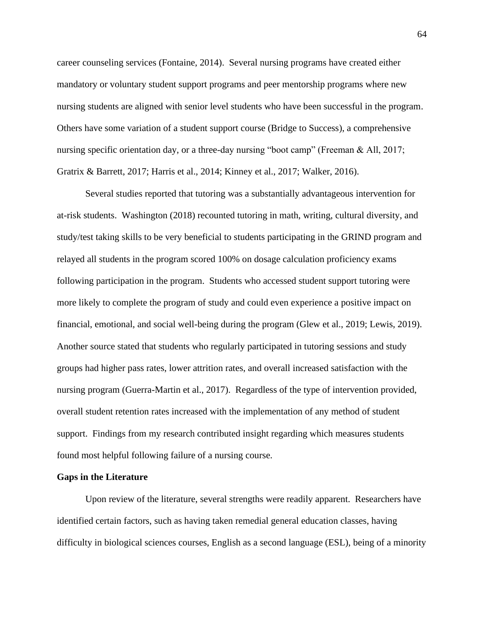career counseling services (Fontaine, 2014). Several nursing programs have created either mandatory or voluntary student support programs and peer mentorship programs where new nursing students are aligned with senior level students who have been successful in the program. Others have some variation of a student support course (Bridge to Success), a comprehensive nursing specific orientation day, or a three-day nursing "boot camp" (Freeman & All, 2017; Gratrix & Barrett, 2017; Harris et al., 2014; Kinney et al., 2017; Walker, 2016).

Several studies reported that tutoring was a substantially advantageous intervention for at-risk students. Washington (2018) recounted tutoring in math, writing, cultural diversity, and study/test taking skills to be very beneficial to students participating in the GRIND program and relayed all students in the program scored 100% on dosage calculation proficiency exams following participation in the program. Students who accessed student support tutoring were more likely to complete the program of study and could even experience a positive impact on financial, emotional, and social well-being during the program (Glew et al., 2019; Lewis, 2019). Another source stated that students who regularly participated in tutoring sessions and study groups had higher pass rates, lower attrition rates, and overall increased satisfaction with the nursing program (Guerra-Martin et al., 2017). Regardless of the type of intervention provided, overall student retention rates increased with the implementation of any method of student support. Findings from my research contributed insight regarding which measures students found most helpful following failure of a nursing course.

### **Gaps in the Literature**

Upon review of the literature, several strengths were readily apparent. Researchers have identified certain factors, such as having taken remedial general education classes, having difficulty in biological sciences courses, English as a second language (ESL), being of a minority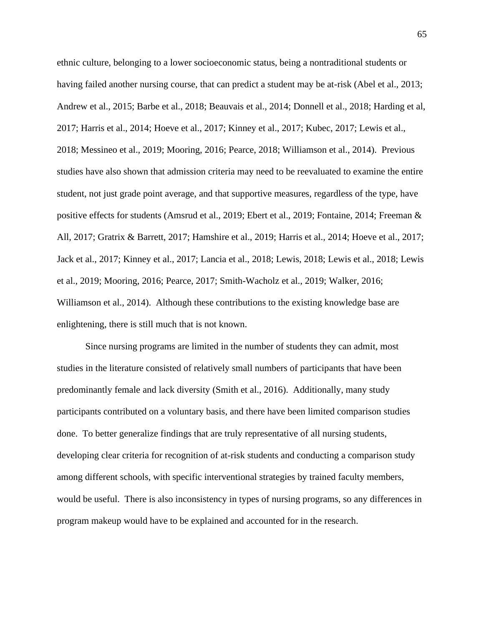ethnic culture, belonging to a lower socioeconomic status, being a nontraditional students or having failed another nursing course, that can predict a student may be at-risk (Abel et al., 2013; Andrew et al., 2015; Barbe et al., 2018; Beauvais et al., 2014; Donnell et al., 2018; Harding et al, 2017; Harris et al., 2014; Hoeve et al., 2017; Kinney et al., 2017; Kubec, 2017; Lewis et al., 2018; Messineo et al., 2019; Mooring, 2016; Pearce, 2018; Williamson et al., 2014). Previous studies have also shown that admission criteria may need to be reevaluated to examine the entire student, not just grade point average, and that supportive measures, regardless of the type, have positive effects for students (Amsrud et al., 2019; Ebert et al., 2019; Fontaine, 2014; Freeman & All, 2017; Gratrix & Barrett, 2017; Hamshire et al., 2019; Harris et al., 2014; Hoeve et al., 2017; Jack et al., 2017; Kinney et al., 2017; Lancia et al., 2018; Lewis, 2018; Lewis et al., 2018; Lewis et al., 2019; Mooring, 2016; Pearce, 2017; Smith-Wacholz et al., 2019; Walker, 2016; Williamson et al., 2014). Although these contributions to the existing knowledge base are enlightening, there is still much that is not known.

Since nursing programs are limited in the number of students they can admit, most studies in the literature consisted of relatively small numbers of participants that have been predominantly female and lack diversity (Smith et al., 2016). Additionally, many study participants contributed on a voluntary basis, and there have been limited comparison studies done. To better generalize findings that are truly representative of all nursing students, developing clear criteria for recognition of at-risk students and conducting a comparison study among different schools, with specific interventional strategies by trained faculty members, would be useful. There is also inconsistency in types of nursing programs, so any differences in program makeup would have to be explained and accounted for in the research.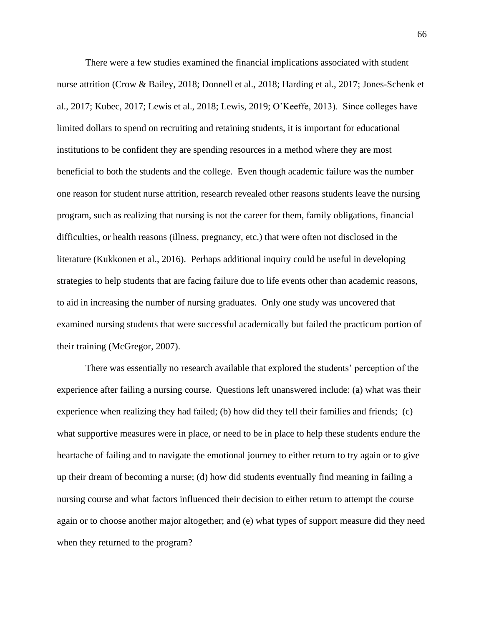There were a few studies examined the financial implications associated with student nurse attrition (Crow & Bailey, 2018; Donnell et al., 2018; Harding et al., 2017; Jones-Schenk et al., 2017; Kubec, 2017; Lewis et al., 2018; Lewis, 2019; O'Keeffe, 2013). Since colleges have limited dollars to spend on recruiting and retaining students, it is important for educational institutions to be confident they are spending resources in a method where they are most beneficial to both the students and the college. Even though academic failure was the number one reason for student nurse attrition, research revealed other reasons students leave the nursing program, such as realizing that nursing is not the career for them, family obligations, financial difficulties, or health reasons (illness, pregnancy, etc.) that were often not disclosed in the literature (Kukkonen et al., 2016). Perhaps additional inquiry could be useful in developing strategies to help students that are facing failure due to life events other than academic reasons, to aid in increasing the number of nursing graduates. Only one study was uncovered that examined nursing students that were successful academically but failed the practicum portion of their training (McGregor, 2007).

There was essentially no research available that explored the students' perception of the experience after failing a nursing course. Questions left unanswered include: (a) what was their experience when realizing they had failed; (b) how did they tell their families and friends; (c) what supportive measures were in place, or need to be in place to help these students endure the heartache of failing and to navigate the emotional journey to either return to try again or to give up their dream of becoming a nurse; (d) how did students eventually find meaning in failing a nursing course and what factors influenced their decision to either return to attempt the course again or to choose another major altogether; and (e) what types of support measure did they need when they returned to the program?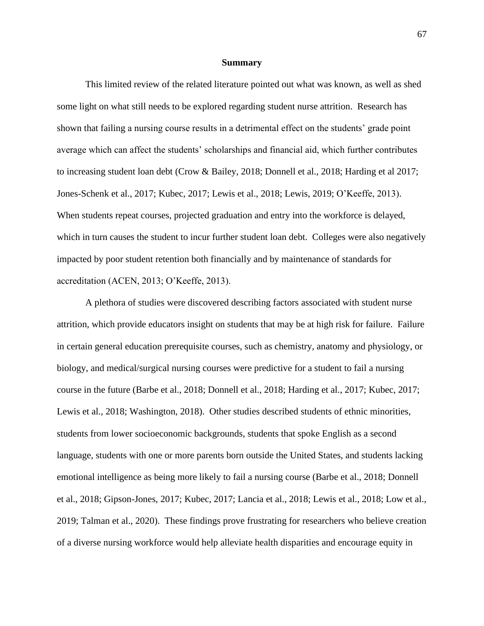#### **Summary**

This limited review of the related literature pointed out what was known, as well as shed some light on what still needs to be explored regarding student nurse attrition. Research has shown that failing a nursing course results in a detrimental effect on the students' grade point average which can affect the students' scholarships and financial aid, which further contributes to increasing student loan debt (Crow & Bailey, 2018; Donnell et al., 2018; Harding et al 2017; Jones-Schenk et al., 2017; Kubec, 2017; Lewis et al., 2018; Lewis, 2019; O'Keeffe, 2013). When students repeat courses, projected graduation and entry into the workforce is delayed, which in turn causes the student to incur further student loan debt. Colleges were also negatively impacted by poor student retention both financially and by maintenance of standards for accreditation (ACEN, 2013; O'Keeffe, 2013).

A plethora of studies were discovered describing factors associated with student nurse attrition, which provide educators insight on students that may be at high risk for failure. Failure in certain general education prerequisite courses, such as chemistry, anatomy and physiology, or biology, and medical/surgical nursing courses were predictive for a student to fail a nursing course in the future (Barbe et al., 2018; Donnell et al., 2018; Harding et al., 2017; Kubec, 2017; Lewis et al., 2018; Washington, 2018). Other studies described students of ethnic minorities, students from lower socioeconomic backgrounds, students that spoke English as a second language, students with one or more parents born outside the United States, and students lacking emotional intelligence as being more likely to fail a nursing course (Barbe et al., 2018; Donnell et al., 2018; Gipson-Jones, 2017; Kubec, 2017; Lancia et al., 2018; Lewis et al., 2018; Low et al., 2019; Talman et al., 2020). These findings prove frustrating for researchers who believe creation of a diverse nursing workforce would help alleviate health disparities and encourage equity in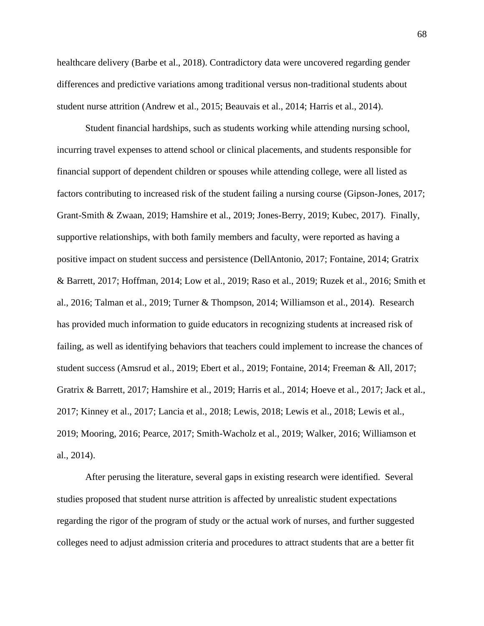healthcare delivery (Barbe et al., 2018). Contradictory data were uncovered regarding gender differences and predictive variations among traditional versus non-traditional students about student nurse attrition (Andrew et al., 2015; Beauvais et al., 2014; Harris et al., 2014).

Student financial hardships, such as students working while attending nursing school, incurring travel expenses to attend school or clinical placements, and students responsible for financial support of dependent children or spouses while attending college, were all listed as factors contributing to increased risk of the student failing a nursing course (Gipson-Jones, 2017; Grant-Smith & Zwaan, 2019; Hamshire et al., 2019; Jones-Berry, 2019; Kubec, 2017). Finally, supportive relationships, with both family members and faculty, were reported as having a positive impact on student success and persistence (DellAntonio, 2017; Fontaine, 2014; Gratrix & Barrett, 2017; Hoffman, 2014; Low et al., 2019; Raso et al., 2019; Ruzek et al., 2016; Smith et al., 2016; Talman et al., 2019; Turner & Thompson, 2014; Williamson et al., 2014). Research has provided much information to guide educators in recognizing students at increased risk of failing, as well as identifying behaviors that teachers could implement to increase the chances of student success (Amsrud et al., 2019; Ebert et al., 2019; Fontaine, 2014; Freeman & All, 2017; Gratrix & Barrett, 2017; Hamshire et al., 2019; Harris et al., 2014; Hoeve et al., 2017; Jack et al., 2017; Kinney et al., 2017; Lancia et al., 2018; Lewis, 2018; Lewis et al., 2018; Lewis et al., 2019; Mooring, 2016; Pearce, 2017; Smith-Wacholz et al., 2019; Walker, 2016; Williamson et al., 2014).

After perusing the literature, several gaps in existing research were identified. Several studies proposed that student nurse attrition is affected by unrealistic student expectations regarding the rigor of the program of study or the actual work of nurses, and further suggested colleges need to adjust admission criteria and procedures to attract students that are a better fit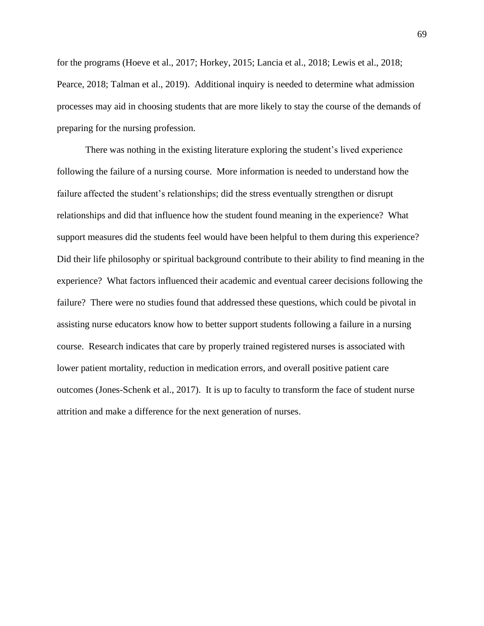for the programs (Hoeve et al., 2017; Horkey, 2015; Lancia et al., 2018; Lewis et al., 2018; Pearce, 2018; Talman et al., 2019). Additional inquiry is needed to determine what admission processes may aid in choosing students that are more likely to stay the course of the demands of preparing for the nursing profession.

There was nothing in the existing literature exploring the student's lived experience following the failure of a nursing course. More information is needed to understand how the failure affected the student's relationships; did the stress eventually strengthen or disrupt relationships and did that influence how the student found meaning in the experience? What support measures did the students feel would have been helpful to them during this experience? Did their life philosophy or spiritual background contribute to their ability to find meaning in the experience? What factors influenced their academic and eventual career decisions following the failure? There were no studies found that addressed these questions, which could be pivotal in assisting nurse educators know how to better support students following a failure in a nursing course. Research indicates that care by properly trained registered nurses is associated with lower patient mortality, reduction in medication errors, and overall positive patient care outcomes (Jones-Schenk et al., 2017). It is up to faculty to transform the face of student nurse attrition and make a difference for the next generation of nurses.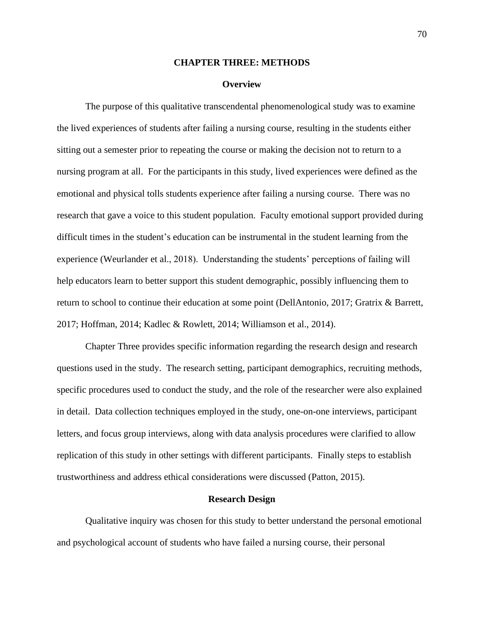## **CHAPTER THREE: METHODS**

### **Overview**

The purpose of this qualitative transcendental phenomenological study was to examine the lived experiences of students after failing a nursing course, resulting in the students either sitting out a semester prior to repeating the course or making the decision not to return to a nursing program at all. For the participants in this study, lived experiences were defined as the emotional and physical tolls students experience after failing a nursing course. There was no research that gave a voice to this student population. Faculty emotional support provided during difficult times in the student's education can be instrumental in the student learning from the experience (Weurlander et al., 2018). Understanding the students' perceptions of failing will help educators learn to better support this student demographic, possibly influencing them to return to school to continue their education at some point (DellAntonio, 2017; Gratrix & Barrett, 2017; Hoffman, 2014; Kadlec & Rowlett, 2014; Williamson et al., 2014).

Chapter Three provides specific information regarding the research design and research questions used in the study. The research setting, participant demographics, recruiting methods, specific procedures used to conduct the study, and the role of the researcher were also explained in detail. Data collection techniques employed in the study, one-on-one interviews, participant letters, and focus group interviews, along with data analysis procedures were clarified to allow replication of this study in other settings with different participants. Finally steps to establish trustworthiness and address ethical considerations were discussed (Patton, 2015).

## **Research Design**

Qualitative inquiry was chosen for this study to better understand the personal emotional and psychological account of students who have failed a nursing course, their personal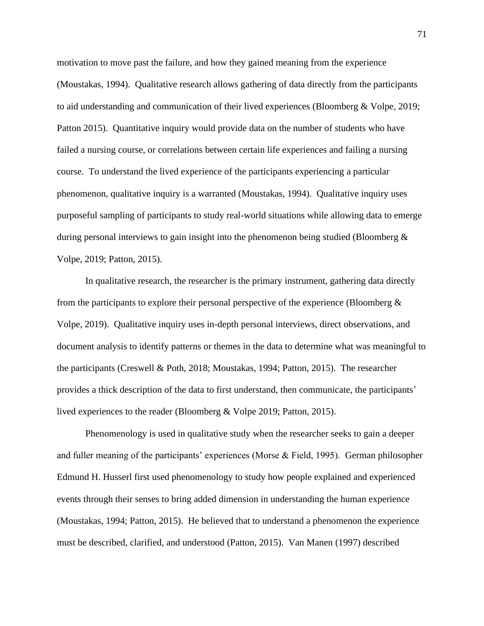motivation to move past the failure, and how they gained meaning from the experience (Moustakas, 1994). Qualitative research allows gathering of data directly from the participants to aid understanding and communication of their lived experiences (Bloomberg & Volpe, 2019; Patton 2015). Quantitative inquiry would provide data on the number of students who have failed a nursing course, or correlations between certain life experiences and failing a nursing course. To understand the lived experience of the participants experiencing a particular phenomenon, qualitative inquiry is a warranted (Moustakas, 1994). Qualitative inquiry uses purposeful sampling of participants to study real-world situations while allowing data to emerge during personal interviews to gain insight into the phenomenon being studied (Bloomberg & Volpe, 2019; Patton, 2015).

In qualitative research, the researcher is the primary instrument, gathering data directly from the participants to explore their personal perspective of the experience (Bloomberg & Volpe, 2019). Qualitative inquiry uses in-depth personal interviews, direct observations, and document analysis to identify patterns or themes in the data to determine what was meaningful to the participants (Creswell & Poth, 2018; Moustakas, 1994; Patton, 2015). The researcher provides a thick description of the data to first understand, then communicate, the participants' lived experiences to the reader (Bloomberg & Volpe 2019; Patton, 2015).

Phenomenology is used in qualitative study when the researcher seeks to gain a deeper and fuller meaning of the participants' experiences (Morse & Field, 1995). German philosopher Edmund H. Husserl first used phenomenology to study how people explained and experienced events through their senses to bring added dimension in understanding the human experience (Moustakas, 1994; Patton, 2015). He believed that to understand a phenomenon the experience must be described, clarified, and understood (Patton, 2015). Van Manen (1997) described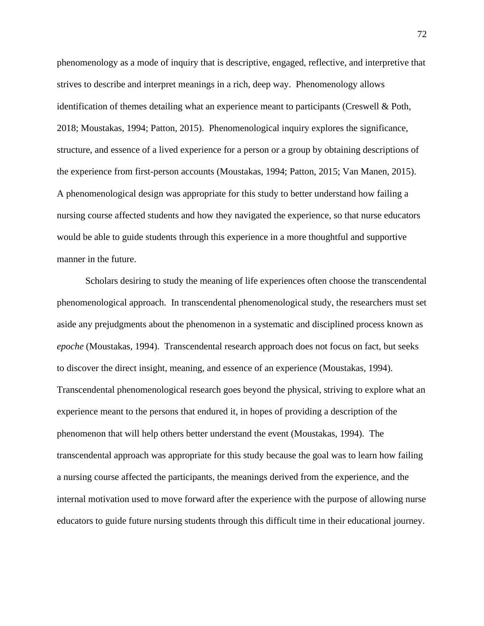phenomenology as a mode of inquiry that is descriptive, engaged, reflective, and interpretive that strives to describe and interpret meanings in a rich, deep way. Phenomenology allows identification of themes detailing what an experience meant to participants (Creswell & Poth, 2018; Moustakas, 1994; Patton, 2015). Phenomenological inquiry explores the significance, structure, and essence of a lived experience for a person or a group by obtaining descriptions of the experience from first-person accounts (Moustakas, 1994; Patton, 2015; Van Manen, 2015). A phenomenological design was appropriate for this study to better understand how failing a nursing course affected students and how they navigated the experience, so that nurse educators would be able to guide students through this experience in a more thoughtful and supportive manner in the future.

Scholars desiring to study the meaning of life experiences often choose the transcendental phenomenological approach. In transcendental phenomenological study, the researchers must set aside any prejudgments about the phenomenon in a systematic and disciplined process known as *epoche* (Moustakas, 1994). Transcendental research approach does not focus on fact, but seeks to discover the direct insight, meaning, and essence of an experience (Moustakas, 1994). Transcendental phenomenological research goes beyond the physical, striving to explore what an experience meant to the persons that endured it, in hopes of providing a description of the phenomenon that will help others better understand the event (Moustakas, 1994). The transcendental approach was appropriate for this study because the goal was to learn how failing a nursing course affected the participants, the meanings derived from the experience, and the internal motivation used to move forward after the experience with the purpose of allowing nurse educators to guide future nursing students through this difficult time in their educational journey.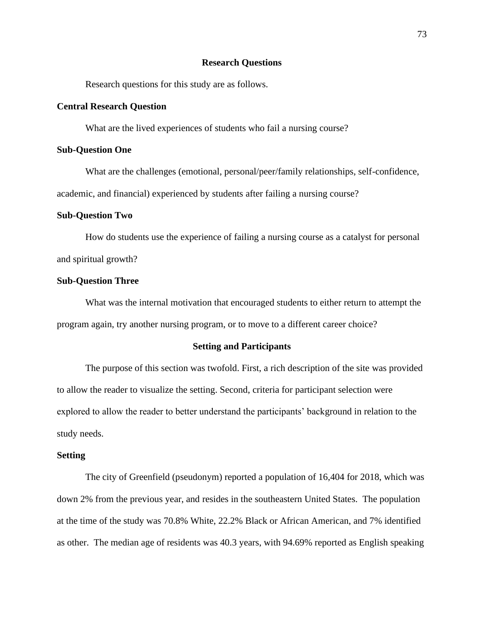# **Research Questions**

Research questions for this study are as follows.

# **Central Research Question**

What are the lived experiences of students who fail a nursing course?

# **Sub-Question One**

What are the challenges (emotional, personal/peer/family relationships, self-confidence, academic, and financial) experienced by students after failing a nursing course?

## **Sub-Question Two**

How do students use the experience of failing a nursing course as a catalyst for personal and spiritual growth?

## **Sub-Question Three**

What was the internal motivation that encouraged students to either return to attempt the program again, try another nursing program, or to move to a different career choice?

## **Setting and Participants**

The purpose of this section was twofold. First, a rich description of the site was provided to allow the reader to visualize the setting. Second, criteria for participant selection were explored to allow the reader to better understand the participants' background in relation to the study needs.

### **Setting**

The city of Greenfield (pseudonym) reported a population of 16,404 for 2018, which was down 2% from the previous year, and resides in the southeastern United States. The population at the time of the study was 70.8% White, 22.2% Black or African American, and 7% identified as other. The median age of residents was 40.3 years, with 94.69% reported as English speaking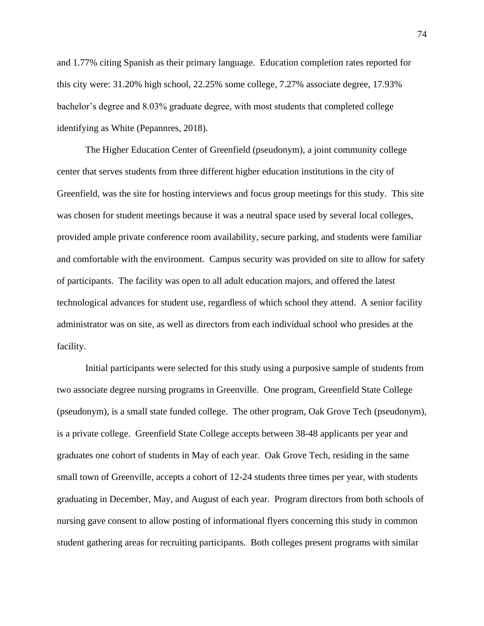and 1.77% citing Spanish as their primary language. Education completion rates reported for this city were: 31.20% high school, 22.25% some college, 7.27% associate degree, 17.93% bachelor's degree and 8.03% graduate degree, with most students that completed college identifying as White (Pepannres, 2018).

The Higher Education Center of Greenfield (pseudonym), a joint community college center that serves students from three different higher education institutions in the city of Greenfield, was the site for hosting interviews and focus group meetings for this study. This site was chosen for student meetings because it was a neutral space used by several local colleges, provided ample private conference room availability, secure parking, and students were familiar and comfortable with the environment. Campus security was provided on site to allow for safety of participants. The facility was open to all adult education majors, and offered the latest technological advances for student use, regardless of which school they attend. A senior facility administrator was on site, as well as directors from each individual school who presides at the facility.

Initial participants were selected for this study using a purposive sample of students from two associate degree nursing programs in Greenville. One program, Greenfield State College (pseudonym), is a small state funded college. The other program, Oak Grove Tech (pseudonym), is a private college. Greenfield State College accepts between 38-48 applicants per year and graduates one cohort of students in May of each year. Oak Grove Tech, residing in the same small town of Greenville, accepts a cohort of 12-24 students three times per year, with students graduating in December, May, and August of each year. Program directors from both schools of nursing gave consent to allow posting of informational flyers concerning this study in common student gathering areas for recruiting participants. Both colleges present programs with similar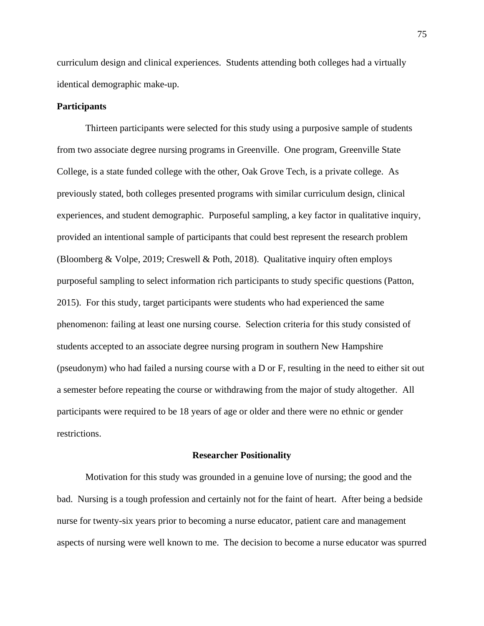curriculum design and clinical experiences. Students attending both colleges had a virtually identical demographic make-up.

# **Participants**

Thirteen participants were selected for this study using a purposive sample of students from two associate degree nursing programs in Greenville. One program, Greenville State College, is a state funded college with the other, Oak Grove Tech, is a private college. As previously stated, both colleges presented programs with similar curriculum design, clinical experiences, and student demographic. Purposeful sampling, a key factor in qualitative inquiry, provided an intentional sample of participants that could best represent the research problem (Bloomberg & Volpe, 2019; Creswell & Poth, 2018). Qualitative inquiry often employs purposeful sampling to select information rich participants to study specific questions (Patton, 2015). For this study, target participants were students who had experienced the same phenomenon: failing at least one nursing course. Selection criteria for this study consisted of students accepted to an associate degree nursing program in southern New Hampshire (pseudonym) who had failed a nursing course with a D or F, resulting in the need to either sit out a semester before repeating the course or withdrawing from the major of study altogether. All participants were required to be 18 years of age or older and there were no ethnic or gender restrictions.

### **Researcher Positionality**

Motivation for this study was grounded in a genuine love of nursing; the good and the bad. Nursing is a tough profession and certainly not for the faint of heart. After being a bedside nurse for twenty-six years prior to becoming a nurse educator, patient care and management aspects of nursing were well known to me. The decision to become a nurse educator was spurred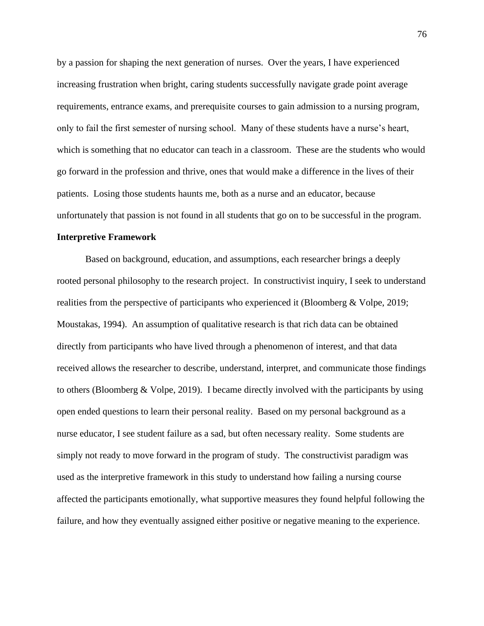by a passion for shaping the next generation of nurses. Over the years, I have experienced increasing frustration when bright, caring students successfully navigate grade point average requirements, entrance exams, and prerequisite courses to gain admission to a nursing program, only to fail the first semester of nursing school. Many of these students have a nurse's heart, which is something that no educator can teach in a classroom. These are the students who would go forward in the profession and thrive, ones that would make a difference in the lives of their patients. Losing those students haunts me, both as a nurse and an educator, because unfortunately that passion is not found in all students that go on to be successful in the program.

### **Interpretive Framework**

Based on background, education, and assumptions, each researcher brings a deeply rooted personal philosophy to the research project. In constructivist inquiry, I seek to understand realities from the perspective of participants who experienced it (Bloomberg & Volpe, 2019; Moustakas, 1994). An assumption of qualitative research is that rich data can be obtained directly from participants who have lived through a phenomenon of interest, and that data received allows the researcher to describe, understand, interpret, and communicate those findings to others (Bloomberg  $& \text{Volpe}, 2019$ ). I became directly involved with the participants by using open ended questions to learn their personal reality. Based on my personal background as a nurse educator, I see student failure as a sad, but often necessary reality. Some students are simply not ready to move forward in the program of study. The constructivist paradigm was used as the interpretive framework in this study to understand how failing a nursing course affected the participants emotionally, what supportive measures they found helpful following the failure, and how they eventually assigned either positive or negative meaning to the experience.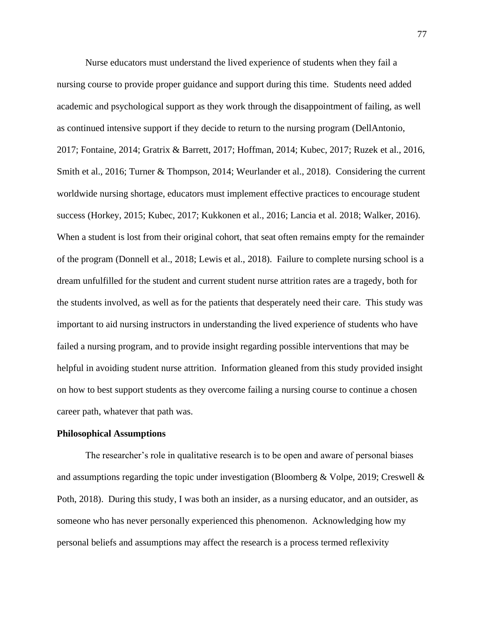Nurse educators must understand the lived experience of students when they fail a nursing course to provide proper guidance and support during this time. Students need added academic and psychological support as they work through the disappointment of failing, as well as continued intensive support if they decide to return to the nursing program (DellAntonio, 2017; Fontaine, 2014; Gratrix & Barrett, 2017; Hoffman, 2014; Kubec, 2017; Ruzek et al., 2016, Smith et al., 2016; Turner & Thompson, 2014; Weurlander et al., 2018). Considering the current worldwide nursing shortage, educators must implement effective practices to encourage student success (Horkey, 2015; Kubec, 2017; Kukkonen et al., 2016; Lancia et al. 2018; Walker, 2016). When a student is lost from their original cohort, that seat often remains empty for the remainder of the program (Donnell et al., 2018; Lewis et al., 2018). Failure to complete nursing school is a dream unfulfilled for the student and current student nurse attrition rates are a tragedy, both for the students involved, as well as for the patients that desperately need their care. This study was important to aid nursing instructors in understanding the lived experience of students who have failed a nursing program, and to provide insight regarding possible interventions that may be helpful in avoiding student nurse attrition. Information gleaned from this study provided insight on how to best support students as they overcome failing a nursing course to continue a chosen career path, whatever that path was.

# **Philosophical Assumptions**

The researcher's role in qualitative research is to be open and aware of personal biases and assumptions regarding the topic under investigation (Bloomberg & Volpe, 2019; Creswell & Poth, 2018). During this study, I was both an insider, as a nursing educator, and an outsider, as someone who has never personally experienced this phenomenon. Acknowledging how my personal beliefs and assumptions may affect the research is a process termed reflexivity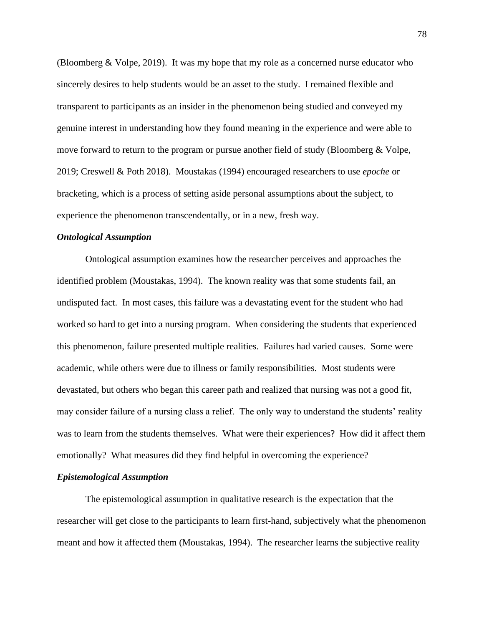(Bloomberg & Volpe, 2019). It was my hope that my role as a concerned nurse educator who sincerely desires to help students would be an asset to the study. I remained flexible and transparent to participants as an insider in the phenomenon being studied and conveyed my genuine interest in understanding how they found meaning in the experience and were able to move forward to return to the program or pursue another field of study (Bloomberg & Volpe, 2019; Creswell & Poth 2018). Moustakas (1994) encouraged researchers to use *epoche* or bracketing, which is a process of setting aside personal assumptions about the subject, to experience the phenomenon transcendentally, or in a new, fresh way.

## *Ontological Assumption*

Ontological assumption examines how the researcher perceives and approaches the identified problem (Moustakas, 1994). The known reality was that some students fail, an undisputed fact. In most cases, this failure was a devastating event for the student who had worked so hard to get into a nursing program. When considering the students that experienced this phenomenon, failure presented multiple realities. Failures had varied causes. Some were academic, while others were due to illness or family responsibilities. Most students were devastated, but others who began this career path and realized that nursing was not a good fit, may consider failure of a nursing class a relief. The only way to understand the students' reality was to learn from the students themselves. What were their experiences? How did it affect them emotionally? What measures did they find helpful in overcoming the experience?

# *Epistemological Assumption*

The epistemological assumption in qualitative research is the expectation that the researcher will get close to the participants to learn first-hand, subjectively what the phenomenon meant and how it affected them (Moustakas, 1994). The researcher learns the subjective reality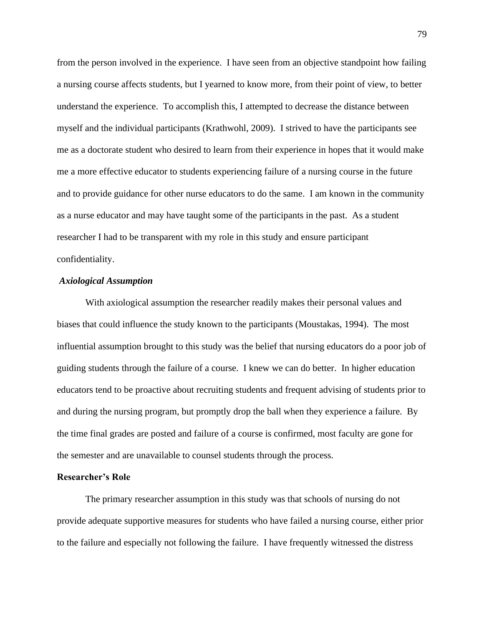from the person involved in the experience. I have seen from an objective standpoint how failing a nursing course affects students, but I yearned to know more, from their point of view, to better understand the experience. To accomplish this, I attempted to decrease the distance between myself and the individual participants (Krathwohl, 2009). I strived to have the participants see me as a doctorate student who desired to learn from their experience in hopes that it would make me a more effective educator to students experiencing failure of a nursing course in the future and to provide guidance for other nurse educators to do the same. I am known in the community as a nurse educator and may have taught some of the participants in the past. As a student researcher I had to be transparent with my role in this study and ensure participant confidentiality.

## *Axiological Assumption*

With axiological assumption the researcher readily makes their personal values and biases that could influence the study known to the participants (Moustakas, 1994). The most influential assumption brought to this study was the belief that nursing educators do a poor job of guiding students through the failure of a course. I knew we can do better. In higher education educators tend to be proactive about recruiting students and frequent advising of students prior to and during the nursing program, but promptly drop the ball when they experience a failure. By the time final grades are posted and failure of a course is confirmed, most faculty are gone for the semester and are unavailable to counsel students through the process.

# **Researcher's Role**

The primary researcher assumption in this study was that schools of nursing do not provide adequate supportive measures for students who have failed a nursing course, either prior to the failure and especially not following the failure. I have frequently witnessed the distress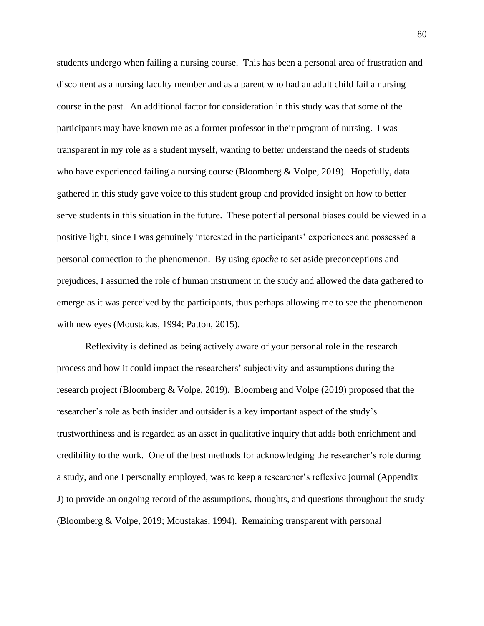students undergo when failing a nursing course. This has been a personal area of frustration and discontent as a nursing faculty member and as a parent who had an adult child fail a nursing course in the past. An additional factor for consideration in this study was that some of the participants may have known me as a former professor in their program of nursing. I was transparent in my role as a student myself, wanting to better understand the needs of students who have experienced failing a nursing course (Bloomberg  $& \text{Volpe}, 2019$ ). Hopefully, data gathered in this study gave voice to this student group and provided insight on how to better serve students in this situation in the future. These potential personal biases could be viewed in a positive light, since I was genuinely interested in the participants' experiences and possessed a personal connection to the phenomenon. By using *epoche* to set aside preconceptions and prejudices, I assumed the role of human instrument in the study and allowed the data gathered to emerge as it was perceived by the participants, thus perhaps allowing me to see the phenomenon with new eyes (Moustakas, 1994; Patton, 2015).

Reflexivity is defined as being actively aware of your personal role in the research process and how it could impact the researchers' subjectivity and assumptions during the research project (Bloomberg & Volpe, 2019). Bloomberg and Volpe (2019) proposed that the researcher's role as both insider and outsider is a key important aspect of the study's trustworthiness and is regarded as an asset in qualitative inquiry that adds both enrichment and credibility to the work. One of the best methods for acknowledging the researcher's role during a study, and one I personally employed, was to keep a researcher's reflexive journal (Appendix J) to provide an ongoing record of the assumptions, thoughts, and questions throughout the study (Bloomberg & Volpe, 2019; Moustakas, 1994). Remaining transparent with personal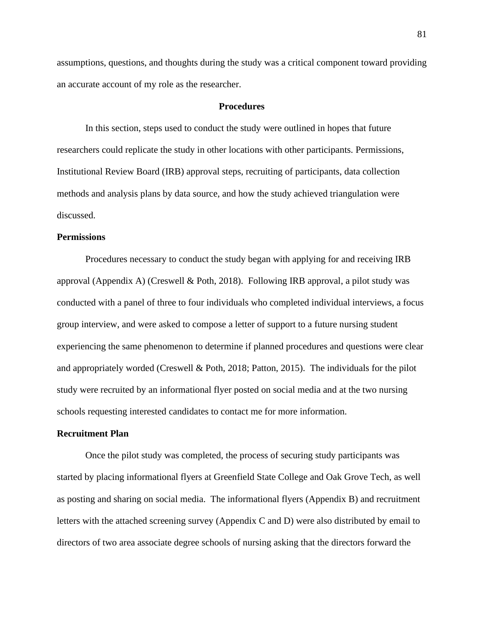assumptions, questions, and thoughts during the study was a critical component toward providing an accurate account of my role as the researcher.

## **Procedures**

In this section, steps used to conduct the study were outlined in hopes that future researchers could replicate the study in other locations with other participants. Permissions, Institutional Review Board (IRB) approval steps, recruiting of participants, data collection methods and analysis plans by data source, and how the study achieved triangulation were discussed.

# **Permissions**

Procedures necessary to conduct the study began with applying for and receiving IRB approval (Appendix A) (Creswell & Poth, 2018). Following IRB approval, a pilot study was conducted with a panel of three to four individuals who completed individual interviews, a focus group interview, and were asked to compose a letter of support to a future nursing student experiencing the same phenomenon to determine if planned procedures and questions were clear and appropriately worded (Creswell & Poth, 2018; Patton, 2015). The individuals for the pilot study were recruited by an informational flyer posted on social media and at the two nursing schools requesting interested candidates to contact me for more information.

### **Recruitment Plan**

Once the pilot study was completed, the process of securing study participants was started by placing informational flyers at Greenfield State College and Oak Grove Tech, as well as posting and sharing on social media. The informational flyers (Appendix B) and recruitment letters with the attached screening survey (Appendix C and D) were also distributed by email to directors of two area associate degree schools of nursing asking that the directors forward the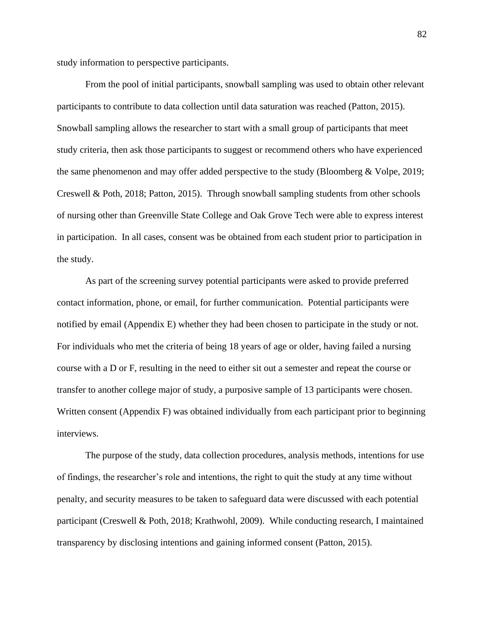study information to perspective participants.

From the pool of initial participants, snowball sampling was used to obtain other relevant participants to contribute to data collection until data saturation was reached (Patton, 2015). Snowball sampling allows the researcher to start with a small group of participants that meet study criteria, then ask those participants to suggest or recommend others who have experienced the same phenomenon and may offer added perspective to the study (Bloomberg & Volpe, 2019; Creswell & Poth, 2018; Patton, 2015). Through snowball sampling students from other schools of nursing other than Greenville State College and Oak Grove Tech were able to express interest in participation. In all cases, consent was be obtained from each student prior to participation in the study.

As part of the screening survey potential participants were asked to provide preferred contact information, phone, or email, for further communication. Potential participants were notified by email (Appendix E) whether they had been chosen to participate in the study or not. For individuals who met the criteria of being 18 years of age or older, having failed a nursing course with a D or F, resulting in the need to either sit out a semester and repeat the course or transfer to another college major of study, a purposive sample of 13 participants were chosen. Written consent (Appendix F) was obtained individually from each participant prior to beginning interviews.

The purpose of the study, data collection procedures, analysis methods, intentions for use of findings, the researcher's role and intentions, the right to quit the study at any time without penalty, and security measures to be taken to safeguard data were discussed with each potential participant (Creswell & Poth, 2018; Krathwohl, 2009). While conducting research, I maintained transparency by disclosing intentions and gaining informed consent (Patton, 2015).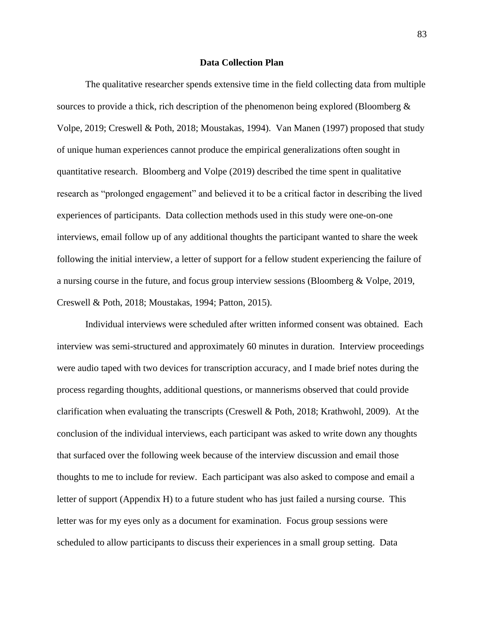# **Data Collection Plan**

The qualitative researcher spends extensive time in the field collecting data from multiple sources to provide a thick, rich description of the phenomenon being explored (Bloomberg & Volpe, 2019; Creswell & Poth, 2018; Moustakas, 1994). Van Manen (1997) proposed that study of unique human experiences cannot produce the empirical generalizations often sought in quantitative research. Bloomberg and Volpe (2019) described the time spent in qualitative research as "prolonged engagement" and believed it to be a critical factor in describing the lived experiences of participants. Data collection methods used in this study were one-on-one interviews, email follow up of any additional thoughts the participant wanted to share the week following the initial interview, a letter of support for a fellow student experiencing the failure of a nursing course in the future, and focus group interview sessions (Bloomberg & Volpe, 2019, Creswell & Poth, 2018; Moustakas, 1994; Patton, 2015).

Individual interviews were scheduled after written informed consent was obtained. Each interview was semi-structured and approximately 60 minutes in duration. Interview proceedings were audio taped with two devices for transcription accuracy, and I made brief notes during the process regarding thoughts, additional questions, or mannerisms observed that could provide clarification when evaluating the transcripts (Creswell & Poth, 2018; Krathwohl, 2009). At the conclusion of the individual interviews, each participant was asked to write down any thoughts that surfaced over the following week because of the interview discussion and email those thoughts to me to include for review. Each participant was also asked to compose and email a letter of support (Appendix H) to a future student who has just failed a nursing course. This letter was for my eyes only as a document for examination. Focus group sessions were scheduled to allow participants to discuss their experiences in a small group setting. Data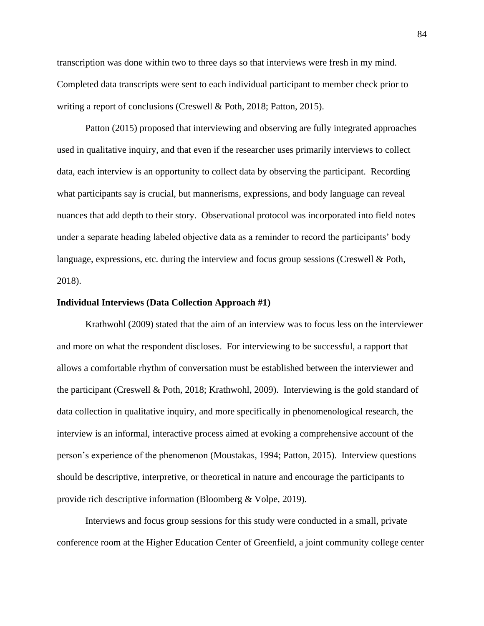transcription was done within two to three days so that interviews were fresh in my mind. Completed data transcripts were sent to each individual participant to member check prior to writing a report of conclusions (Creswell & Poth, 2018; Patton, 2015).

Patton (2015) proposed that interviewing and observing are fully integrated approaches used in qualitative inquiry, and that even if the researcher uses primarily interviews to collect data, each interview is an opportunity to collect data by observing the participant. Recording what participants say is crucial, but mannerisms, expressions, and body language can reveal nuances that add depth to their story. Observational protocol was incorporated into field notes under a separate heading labeled objective data as a reminder to record the participants' body language, expressions, etc. during the interview and focus group sessions (Creswell & Poth, 2018).

## **Individual Interviews (Data Collection Approach #1)**

Krathwohl (2009) stated that the aim of an interview was to focus less on the interviewer and more on what the respondent discloses. For interviewing to be successful, a rapport that allows a comfortable rhythm of conversation must be established between the interviewer and the participant (Creswell & Poth, 2018; Krathwohl, 2009). Interviewing is the gold standard of data collection in qualitative inquiry, and more specifically in phenomenological research, the interview is an informal, interactive process aimed at evoking a comprehensive account of the person's experience of the phenomenon (Moustakas, 1994; Patton, 2015). Interview questions should be descriptive, interpretive, or theoretical in nature and encourage the participants to provide rich descriptive information (Bloomberg & Volpe, 2019).

Interviews and focus group sessions for this study were conducted in a small, private conference room at the Higher Education Center of Greenfield, a joint community college center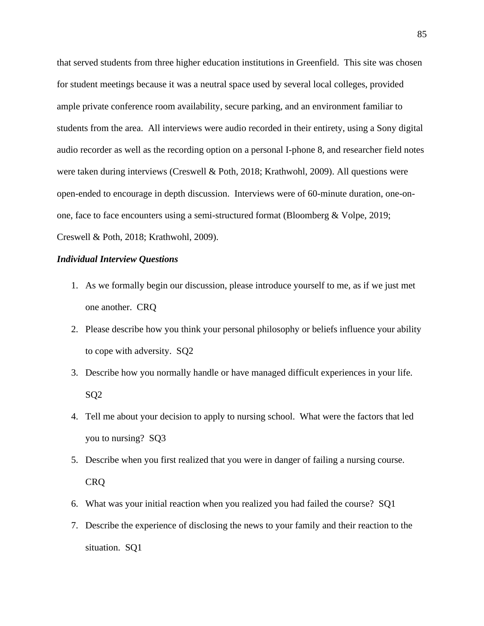that served students from three higher education institutions in Greenfield. This site was chosen for student meetings because it was a neutral space used by several local colleges, provided ample private conference room availability, secure parking, and an environment familiar to students from the area. All interviews were audio recorded in their entirety, using a Sony digital audio recorder as well as the recording option on a personal I-phone 8, and researcher field notes were taken during interviews (Creswell & Poth, 2018; Krathwohl, 2009). All questions were open-ended to encourage in depth discussion. Interviews were of 60-minute duration, one-onone, face to face encounters using a semi-structured format (Bloomberg & Volpe, 2019; Creswell & Poth, 2018; Krathwohl, 2009).

# *Individual Interview Questions*

- 1. As we formally begin our discussion, please introduce yourself to me, as if we just met one another. CRQ
- 2. Please describe how you think your personal philosophy or beliefs influence your ability to cope with adversity. SQ2
- 3. Describe how you normally handle or have managed difficult experiences in your life. SQ2
- 4. Tell me about your decision to apply to nursing school. What were the factors that led you to nursing? SQ3
- 5. Describe when you first realized that you were in danger of failing a nursing course. CRQ
- 6. What was your initial reaction when you realized you had failed the course? SQ1
- 7. Describe the experience of disclosing the news to your family and their reaction to the situation. SQ1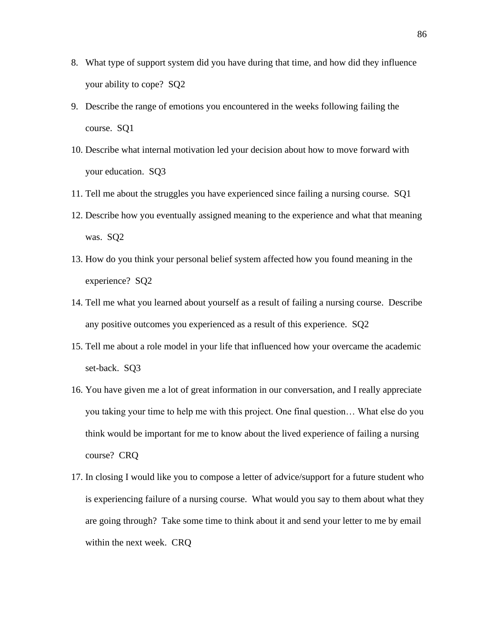- 8. What type of support system did you have during that time, and how did they influence your ability to cope? SQ2
- 9. Describe the range of emotions you encountered in the weeks following failing the course. SQ1
- 10. Describe what internal motivation led your decision about how to move forward with your education. SQ3
- 11. Tell me about the struggles you have experienced since failing a nursing course. SQ1
- 12. Describe how you eventually assigned meaning to the experience and what that meaning was. SQ2
- 13. How do you think your personal belief system affected how you found meaning in the experience? SQ2
- 14. Tell me what you learned about yourself as a result of failing a nursing course. Describe any positive outcomes you experienced as a result of this experience. SQ2
- 15. Tell me about a role model in your life that influenced how your overcame the academic set-back. SQ3
- 16. You have given me a lot of great information in our conversation, and I really appreciate you taking your time to help me with this project. One final question… What else do you think would be important for me to know about the lived experience of failing a nursing course? CRQ
- 17. In closing I would like you to compose a letter of advice/support for a future student who is experiencing failure of a nursing course. What would you say to them about what they are going through? Take some time to think about it and send your letter to me by email within the next week. CRQ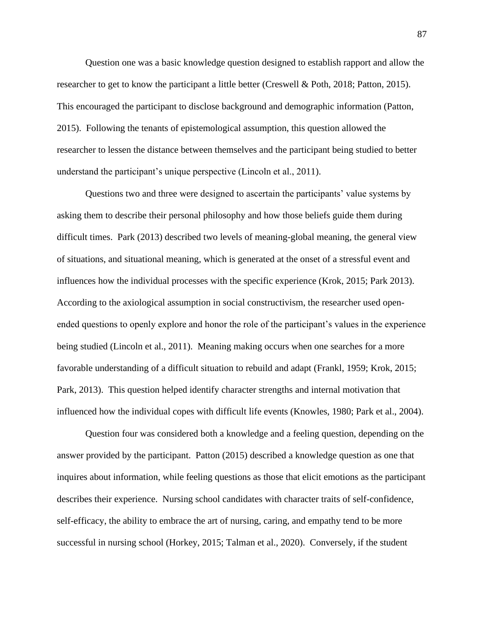Question one was a basic knowledge question designed to establish rapport and allow the researcher to get to know the participant a little better (Creswell & Poth, 2018; Patton, 2015). This encouraged the participant to disclose background and demographic information (Patton, 2015). Following the tenants of epistemological assumption, this question allowed the researcher to lessen the distance between themselves and the participant being studied to better understand the participant's unique perspective (Lincoln et al., 2011).

Questions two and three were designed to ascertain the participants' value systems by asking them to describe their personal philosophy and how those beliefs guide them during difficult times. Park (2013) described two levels of meaning-global meaning, the general view of situations, and situational meaning, which is generated at the onset of a stressful event and influences how the individual processes with the specific experience (Krok, 2015; Park 2013). According to the axiological assumption in social constructivism, the researcher used openended questions to openly explore and honor the role of the participant's values in the experience being studied (Lincoln et al., 2011). Meaning making occurs when one searches for a more favorable understanding of a difficult situation to rebuild and adapt (Frankl, 1959; Krok, 2015; Park, 2013). This question helped identify character strengths and internal motivation that influenced how the individual copes with difficult life events (Knowles, 1980; Park et al., 2004).

Question four was considered both a knowledge and a feeling question, depending on the answer provided by the participant. Patton (2015) described a knowledge question as one that inquires about information, while feeling questions as those that elicit emotions as the participant describes their experience. Nursing school candidates with character traits of self-confidence, self-efficacy, the ability to embrace the art of nursing, caring, and empathy tend to be more successful in nursing school (Horkey, 2015; Talman et al., 2020). Conversely, if the student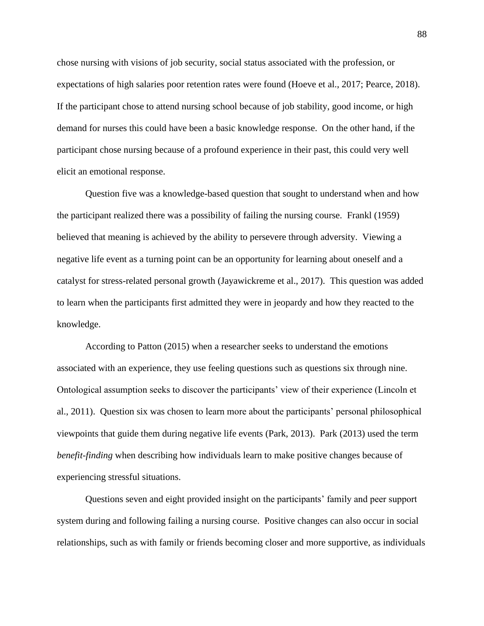chose nursing with visions of job security, social status associated with the profession, or expectations of high salaries poor retention rates were found (Hoeve et al., 2017; Pearce, 2018). If the participant chose to attend nursing school because of job stability, good income, or high demand for nurses this could have been a basic knowledge response. On the other hand, if the participant chose nursing because of a profound experience in their past, this could very well elicit an emotional response.

Question five was a knowledge-based question that sought to understand when and how the participant realized there was a possibility of failing the nursing course. Frankl (1959) believed that meaning is achieved by the ability to persevere through adversity. Viewing a negative life event as a turning point can be an opportunity for learning about oneself and a catalyst for stress-related personal growth (Jayawickreme et al., 2017). This question was added to learn when the participants first admitted they were in jeopardy and how they reacted to the knowledge.

According to Patton (2015) when a researcher seeks to understand the emotions associated with an experience, they use feeling questions such as questions six through nine. Ontological assumption seeks to discover the participants' view of their experience (Lincoln et al., 2011). Question six was chosen to learn more about the participants' personal philosophical viewpoints that guide them during negative life events (Park, 2013). Park (2013) used the term *benefit-finding* when describing how individuals learn to make positive changes because of experiencing stressful situations.

Questions seven and eight provided insight on the participants' family and peer support system during and following failing a nursing course. Positive changes can also occur in social relationships, such as with family or friends becoming closer and more supportive, as individuals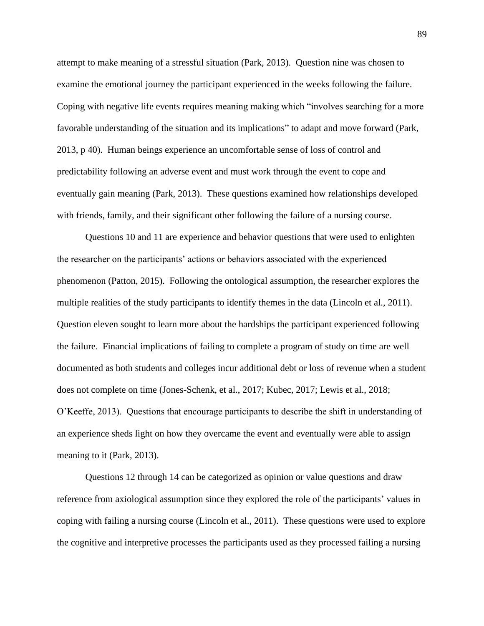attempt to make meaning of a stressful situation (Park, 2013). Question nine was chosen to examine the emotional journey the participant experienced in the weeks following the failure. Coping with negative life events requires meaning making which "involves searching for a more favorable understanding of the situation and its implications" to adapt and move forward (Park, 2013, p 40). Human beings experience an uncomfortable sense of loss of control and predictability following an adverse event and must work through the event to cope and eventually gain meaning (Park, 2013). These questions examined how relationships developed with friends, family, and their significant other following the failure of a nursing course.

Questions 10 and 11 are experience and behavior questions that were used to enlighten the researcher on the participants' actions or behaviors associated with the experienced phenomenon (Patton, 2015). Following the ontological assumption, the researcher explores the multiple realities of the study participants to identify themes in the data (Lincoln et al., 2011). Question eleven sought to learn more about the hardships the participant experienced following the failure. Financial implications of failing to complete a program of study on time are well documented as both students and colleges incur additional debt or loss of revenue when a student does not complete on time (Jones-Schenk, et al., 2017; Kubec, 2017; Lewis et al., 2018; O'Keeffe, 2013). Questions that encourage participants to describe the shift in understanding of an experience sheds light on how they overcame the event and eventually were able to assign meaning to it (Park, 2013).

Questions 12 through 14 can be categorized as opinion or value questions and draw reference from axiological assumption since they explored the role of the participants' values in coping with failing a nursing course (Lincoln et al., 2011). These questions were used to explore the cognitive and interpretive processes the participants used as they processed failing a nursing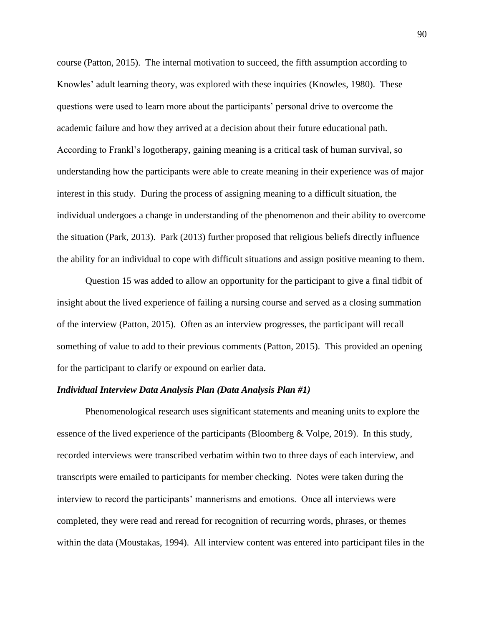course (Patton, 2015). The internal motivation to succeed, the fifth assumption according to Knowles' adult learning theory, was explored with these inquiries (Knowles, 1980). These questions were used to learn more about the participants' personal drive to overcome the academic failure and how they arrived at a decision about their future educational path. According to Frankl's logotherapy, gaining meaning is a critical task of human survival, so understanding how the participants were able to create meaning in their experience was of major interest in this study. During the process of assigning meaning to a difficult situation, the individual undergoes a change in understanding of the phenomenon and their ability to overcome the situation (Park, 2013). Park (2013) further proposed that religious beliefs directly influence the ability for an individual to cope with difficult situations and assign positive meaning to them.

Question 15 was added to allow an opportunity for the participant to give a final tidbit of insight about the lived experience of failing a nursing course and served as a closing summation of the interview (Patton, 2015). Often as an interview progresses, the participant will recall something of value to add to their previous comments (Patton, 2015). This provided an opening for the participant to clarify or expound on earlier data.

# *Individual Interview Data Analysis Plan (Data Analysis Plan #1)*

Phenomenological research uses significant statements and meaning units to explore the essence of the lived experience of the participants (Bloomberg & Volpe, 2019). In this study, recorded interviews were transcribed verbatim within two to three days of each interview, and transcripts were emailed to participants for member checking. Notes were taken during the interview to record the participants' mannerisms and emotions. Once all interviews were completed, they were read and reread for recognition of recurring words, phrases, or themes within the data (Moustakas, 1994). All interview content was entered into participant files in the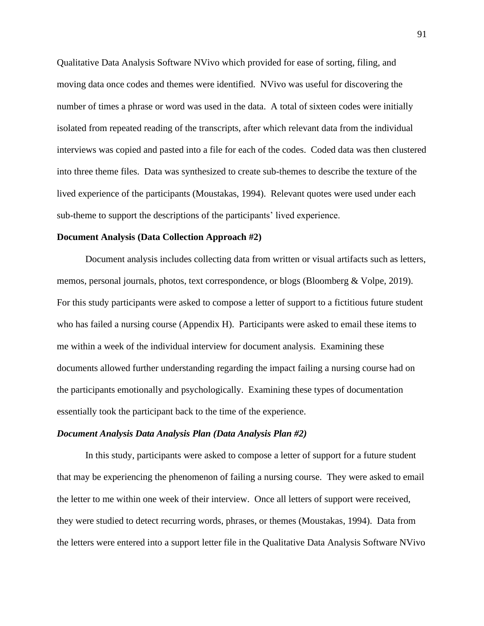Qualitative Data Analysis Software NVivo which provided for ease of sorting, filing, and moving data once codes and themes were identified. NVivo was useful for discovering the number of times a phrase or word was used in the data. A total of sixteen codes were initially isolated from repeated reading of the transcripts, after which relevant data from the individual interviews was copied and pasted into a file for each of the codes. Coded data was then clustered into three theme files. Data was synthesized to create sub-themes to describe the texture of the lived experience of the participants (Moustakas, 1994). Relevant quotes were used under each sub-theme to support the descriptions of the participants' lived experience.

## **Document Analysis (Data Collection Approach #2)**

Document analysis includes collecting data from written or visual artifacts such as letters, memos, personal journals, photos, text correspondence, or blogs (Bloomberg & Volpe, 2019). For this study participants were asked to compose a letter of support to a fictitious future student who has failed a nursing course (Appendix H). Participants were asked to email these items to me within a week of the individual interview for document analysis. Examining these documents allowed further understanding regarding the impact failing a nursing course had on the participants emotionally and psychologically. Examining these types of documentation essentially took the participant back to the time of the experience.

# *Document Analysis Data Analysis Plan (Data Analysis Plan #2)*

In this study, participants were asked to compose a letter of support for a future student that may be experiencing the phenomenon of failing a nursing course. They were asked to email the letter to me within one week of their interview. Once all letters of support were received, they were studied to detect recurring words, phrases, or themes (Moustakas, 1994). Data from the letters were entered into a support letter file in the Qualitative Data Analysis Software NVivo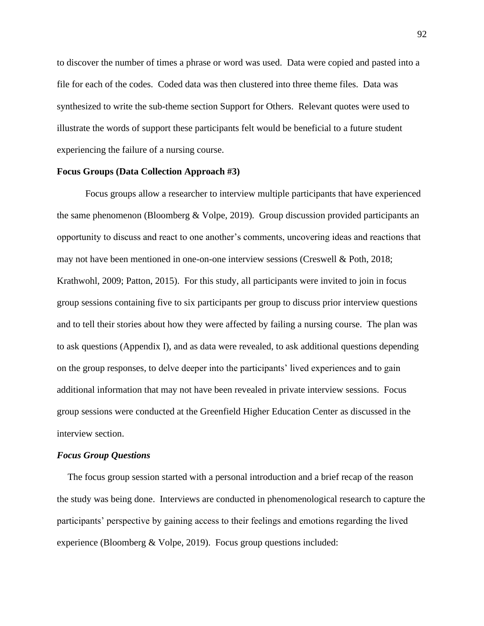to discover the number of times a phrase or word was used. Data were copied and pasted into a file for each of the codes. Coded data was then clustered into three theme files. Data was synthesized to write the sub-theme section Support for Others. Relevant quotes were used to illustrate the words of support these participants felt would be beneficial to a future student experiencing the failure of a nursing course.

# **Focus Groups (Data Collection Approach #3)**

Focus groups allow a researcher to interview multiple participants that have experienced the same phenomenon (Bloomberg & Volpe, 2019). Group discussion provided participants an opportunity to discuss and react to one another's comments, uncovering ideas and reactions that may not have been mentioned in one-on-one interview sessions (Creswell & Poth, 2018; Krathwohl, 2009; Patton, 2015). For this study, all participants were invited to join in focus group sessions containing five to six participants per group to discuss prior interview questions and to tell their stories about how they were affected by failing a nursing course. The plan was to ask questions (Appendix I), and as data were revealed, to ask additional questions depending on the group responses, to delve deeper into the participants' lived experiences and to gain additional information that may not have been revealed in private interview sessions. Focus group sessions were conducted at the Greenfield Higher Education Center as discussed in the interview section.

### *Focus Group Questions*

The focus group session started with a personal introduction and a brief recap of the reason the study was being done. Interviews are conducted in phenomenological research to capture the participants' perspective by gaining access to their feelings and emotions regarding the lived experience (Bloomberg & Volpe, 2019). Focus group questions included: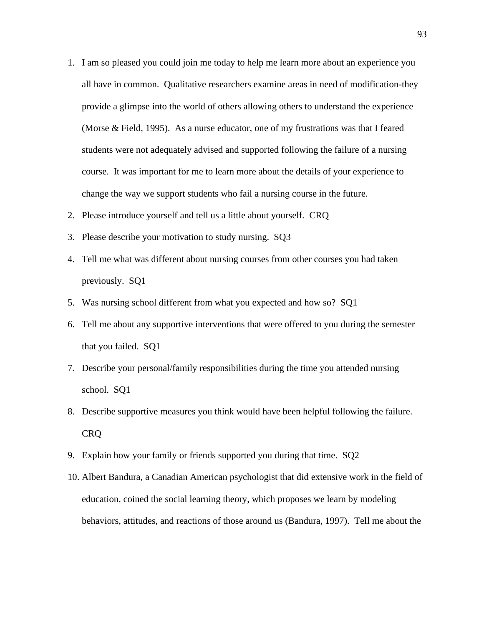- 1. I am so pleased you could join me today to help me learn more about an experience you all have in common. Qualitative researchers examine areas in need of modification-they provide a glimpse into the world of others allowing others to understand the experience (Morse & Field, 1995). As a nurse educator, one of my frustrations was that I feared students were not adequately advised and supported following the failure of a nursing course. It was important for me to learn more about the details of your experience to change the way we support students who fail a nursing course in the future.
- 2. Please introduce yourself and tell us a little about yourself. CRQ
- 3. Please describe your motivation to study nursing. SQ3
- 4. Tell me what was different about nursing courses from other courses you had taken previously. SQ1
- 5. Was nursing school different from what you expected and how so? SQ1
- 6. Tell me about any supportive interventions that were offered to you during the semester that you failed. SQ1
- 7. Describe your personal/family responsibilities during the time you attended nursing school. SQ1
- 8. Describe supportive measures you think would have been helpful following the failure. CRQ
- 9. Explain how your family or friends supported you during that time. SQ2
- 10. Albert Bandura, a Canadian American psychologist that did extensive work in the field of education, coined the social learning theory, which proposes we learn by modeling behaviors, attitudes, and reactions of those around us (Bandura, 1997). Tell me about the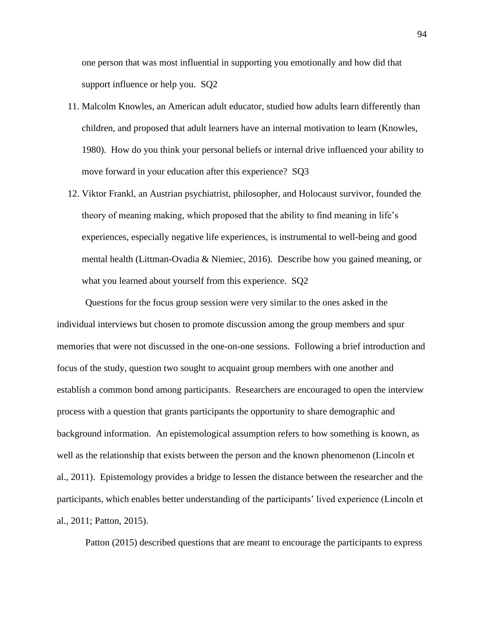one person that was most influential in supporting you emotionally and how did that support influence or help you. SQ2

- 11. Malcolm Knowles, an American adult educator, studied how adults learn differently than children, and proposed that adult learners have an internal motivation to learn (Knowles, 1980). How do you think your personal beliefs or internal drive influenced your ability to move forward in your education after this experience? SQ3
- 12. Viktor Frankl, an Austrian psychiatrist, philosopher, and Holocaust survivor, founded the theory of meaning making, which proposed that the ability to find meaning in life's experiences, especially negative life experiences, is instrumental to well-being and good mental health (Littman-Ovadia & Niemiec, 2016). Describe how you gained meaning, or what you learned about yourself from this experience. SQ2

Questions for the focus group session were very similar to the ones asked in the individual interviews but chosen to promote discussion among the group members and spur memories that were not discussed in the one-on-one sessions. Following a brief introduction and focus of the study, question two sought to acquaint group members with one another and establish a common bond among participants. Researchers are encouraged to open the interview process with a question that grants participants the opportunity to share demographic and background information. An epistemological assumption refers to how something is known, as well as the relationship that exists between the person and the known phenomenon (Lincoln et al., 2011). Epistemology provides a bridge to lessen the distance between the researcher and the participants, which enables better understanding of the participants' lived experience (Lincoln et al., 2011; Patton, 2015).

Patton (2015) described questions that are meant to encourage the participants to express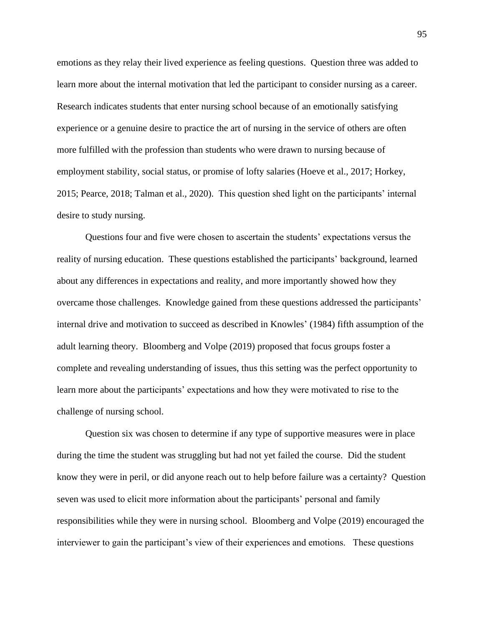emotions as they relay their lived experience as feeling questions. Question three was added to learn more about the internal motivation that led the participant to consider nursing as a career. Research indicates students that enter nursing school because of an emotionally satisfying experience or a genuine desire to practice the art of nursing in the service of others are often more fulfilled with the profession than students who were drawn to nursing because of employment stability, social status, or promise of lofty salaries (Hoeve et al., 2017; Horkey, 2015; Pearce, 2018; Talman et al., 2020). This question shed light on the participants' internal desire to study nursing.

Questions four and five were chosen to ascertain the students' expectations versus the reality of nursing education. These questions established the participants' background, learned about any differences in expectations and reality, and more importantly showed how they overcame those challenges. Knowledge gained from these questions addressed the participants' internal drive and motivation to succeed as described in Knowles' (1984) fifth assumption of the adult learning theory. Bloomberg and Volpe (2019) proposed that focus groups foster a complete and revealing understanding of issues, thus this setting was the perfect opportunity to learn more about the participants' expectations and how they were motivated to rise to the challenge of nursing school.

Question six was chosen to determine if any type of supportive measures were in place during the time the student was struggling but had not yet failed the course. Did the student know they were in peril, or did anyone reach out to help before failure was a certainty? Question seven was used to elicit more information about the participants' personal and family responsibilities while they were in nursing school. Bloomberg and Volpe (2019) encouraged the interviewer to gain the participant's view of their experiences and emotions. These questions

95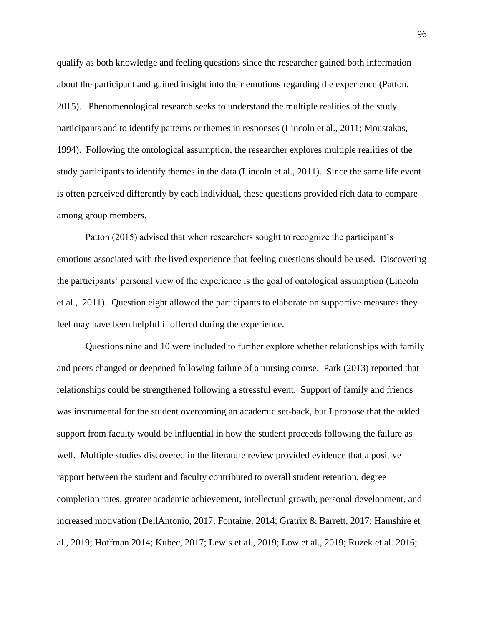qualify as both knowledge and feeling questions since the researcher gained both information about the participant and gained insight into their emotions regarding the experience (Patton, 2015). Phenomenological research seeks to understand the multiple realities of the study participants and to identify patterns or themes in responses (Lincoln et al., 2011; Moustakas, 1994). Following the ontological assumption, the researcher explores multiple realities of the study participants to identify themes in the data (Lincoln et al., 2011). Since the same life event is often perceived differently by each individual, these questions provided rich data to compare among group members.

Patton (2015) advised that when researchers sought to recognize the participant's emotions associated with the lived experience that feeling questions should be used. Discovering the participants' personal view of the experience is the goal of ontological assumption (Lincoln et al., 2011). Question eight allowed the participants to elaborate on supportive measures they feel may have been helpful if offered during the experience.

Questions nine and 10 were included to further explore whether relationships with family and peers changed or deepened following failure of a nursing course. Park (2013) reported that relationships could be strengthened following a stressful event. Support of family and friends was instrumental for the student overcoming an academic set-back, but I propose that the added support from faculty would be influential in how the student proceeds following the failure as well. Multiple studies discovered in the literature review provided evidence that a positive rapport between the student and faculty contributed to overall student retention, degree completion rates, greater academic achievement, intellectual growth, personal development, and increased motivation (DellAntonio, 2017; Fontaine, 2014; Gratrix & Barrett, 2017; Hamshire et al., 2019; Hoffman 2014; Kubec, 2017; Lewis et al., 2019; Low et al., 2019; Ruzek et al. 2016;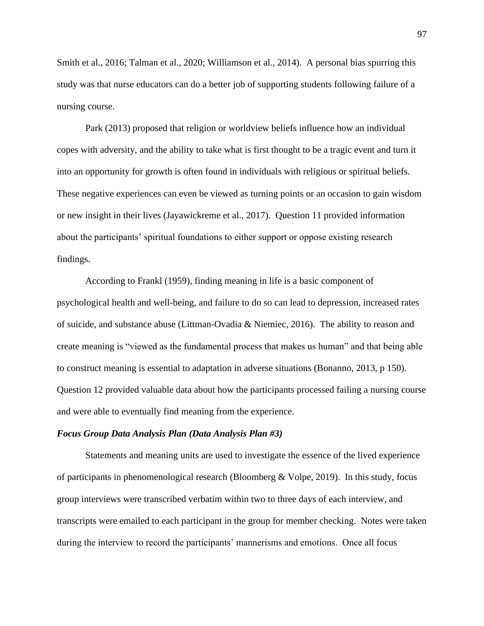Smith et al., 2016; Talman et al., 2020; Williamson et al., 2014). A personal bias spurring this study was that nurse educators can do a better job of supporting students following failure of a nursing course.

Park (2013) proposed that religion or worldview beliefs influence how an individual copes with adversity, and the ability to take what is first thought to be a tragic event and turn it into an opportunity for growth is often found in individuals with religious or spiritual beliefs. These negative experiences can even be viewed as turning points or an occasion to gain wisdom or new insight in their lives (Jayawickreme et al., 2017). Question 11 provided information about the participants' spiritual foundations to either support or oppose existing research findings.

According to Frankl (1959), finding meaning in life is a basic component of psychological health and well-being, and failure to do so can lead to depression, increased rates of suicide, and substance abuse (Littman-Ovadia & Niemiec, 2016). The ability to reason and create meaning is "viewed as the fundamental process that makes us human" and that being able to construct meaning is essential to adaptation in adverse situations (Bonanno, 2013, p 150). Question 12 provided valuable data about how the participants processed failing a nursing course and were able to eventually find meaning from the experience.

# *Focus Group Data Analysis Plan (Data Analysis Plan #3)*

Statements and meaning units are used to investigate the essence of the lived experience of participants in phenomenological research (Bloomberg & Volpe, 2019). In this study, focus group interviews were transcribed verbatim within two to three days of each interview, and transcripts were emailed to each participant in the group for member checking. Notes were taken during the interview to record the participants' mannerisms and emotions. Once all focus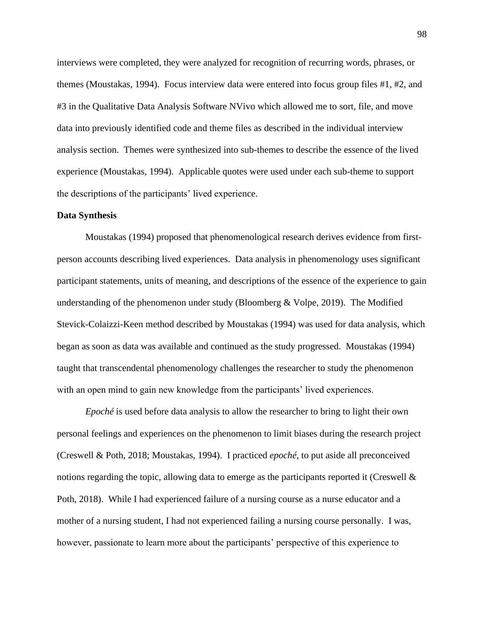interviews were completed, they were analyzed for recognition of recurring words, phrases, or themes (Moustakas, 1994). Focus interview data were entered into focus group files #1, #2, and #3 in the Qualitative Data Analysis Software NVivo which allowed me to sort, file, and move data into previously identified code and theme files as described in the individual interview analysis section. Themes were synthesized into sub-themes to describe the essence of the lived experience (Moustakas, 1994). Applicable quotes were used under each sub-theme to support the descriptions of the participants' lived experience.

### **Data Synthesis**

Moustakas (1994) proposed that phenomenological research derives evidence from firstperson accounts describing lived experiences. Data analysis in phenomenology uses significant participant statements, units of meaning, and descriptions of the essence of the experience to gain understanding of the phenomenon under study (Bloomberg & Volpe, 2019). The Modified Stevick-Colaizzi-Keen method described by Moustakas (1994) was used for data analysis, which began as soon as data was available and continued as the study progressed. Moustakas (1994) taught that transcendental phenomenology challenges the researcher to study the phenomenon with an open mind to gain new knowledge from the participants' lived experiences.

*Epoché* is used before data analysis to allow the researcher to bring to light their own personal feelings and experiences on the phenomenon to limit biases during the research project (Creswell & Poth, 2018; Moustakas, 1994). I practiced *epoché,* to put aside all preconceived notions regarding the topic, allowing data to emerge as the participants reported it (Creswell & Poth, 2018). While I had experienced failure of a nursing course as a nurse educator and a mother of a nursing student, I had not experienced failing a nursing course personally. I was, however, passionate to learn more about the participants' perspective of this experience to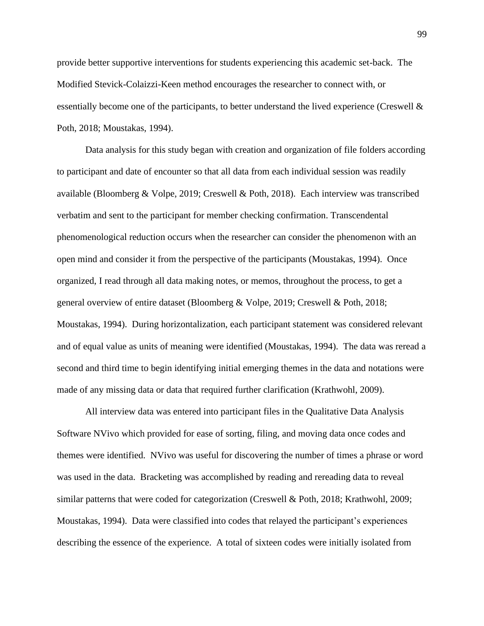provide better supportive interventions for students experiencing this academic set-back. The Modified Stevick-Colaizzi-Keen method encourages the researcher to connect with, or essentially become one of the participants, to better understand the lived experience (Creswell  $\&$ Poth, 2018; Moustakas, 1994).

Data analysis for this study began with creation and organization of file folders according to participant and date of encounter so that all data from each individual session was readily available (Bloomberg & Volpe, 2019; Creswell & Poth, 2018). Each interview was transcribed verbatim and sent to the participant for member checking confirmation. Transcendental phenomenological reduction occurs when the researcher can consider the phenomenon with an open mind and consider it from the perspective of the participants (Moustakas, 1994). Once organized, I read through all data making notes, or memos, throughout the process, to get a general overview of entire dataset (Bloomberg & Volpe, 2019; Creswell & Poth, 2018; Moustakas, 1994). During horizontalization, each participant statement was considered relevant and of equal value as units of meaning were identified (Moustakas, 1994). The data was reread a second and third time to begin identifying initial emerging themes in the data and notations were made of any missing data or data that required further clarification (Krathwohl, 2009).

All interview data was entered into participant files in the Qualitative Data Analysis Software NVivo which provided for ease of sorting, filing, and moving data once codes and themes were identified. NVivo was useful for discovering the number of times a phrase or word was used in the data. Bracketing was accomplished by reading and rereading data to reveal similar patterns that were coded for categorization (Creswell & Poth, 2018; Krathwohl, 2009; Moustakas, 1994). Data were classified into codes that relayed the participant's experiences describing the essence of the experience. A total of sixteen codes were initially isolated from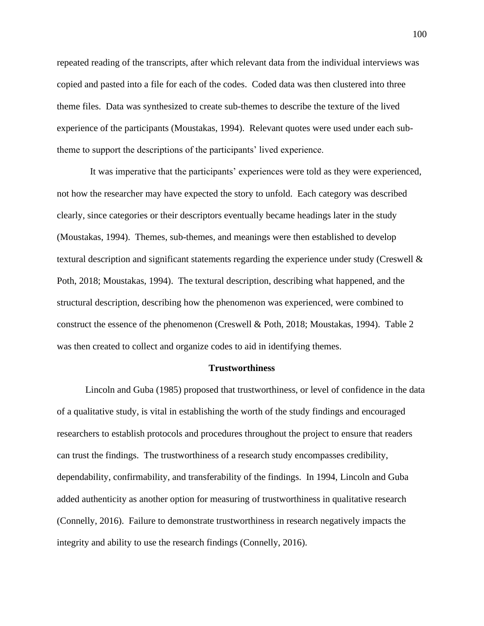repeated reading of the transcripts, after which relevant data from the individual interviews was copied and pasted into a file for each of the codes. Coded data was then clustered into three theme files. Data was synthesized to create sub-themes to describe the texture of the lived experience of the participants (Moustakas, 1994). Relevant quotes were used under each subtheme to support the descriptions of the participants' lived experience.

 It was imperative that the participants' experiences were told as they were experienced, not how the researcher may have expected the story to unfold. Each category was described clearly, since categories or their descriptors eventually became headings later in the study (Moustakas, 1994). Themes, sub-themes, and meanings were then established to develop textural description and significant statements regarding the experience under study (Creswell & Poth, 2018; Moustakas, 1994). The textural description, describing what happened, and the structural description, describing how the phenomenon was experienced, were combined to construct the essence of the phenomenon (Creswell & Poth, 2018; Moustakas, 1994). Table 2 was then created to collect and organize codes to aid in identifying themes.

### **Trustworthiness**

Lincoln and Guba (1985) proposed that trustworthiness, or level of confidence in the data of a qualitative study, is vital in establishing the worth of the study findings and encouraged researchers to establish protocols and procedures throughout the project to ensure that readers can trust the findings. The trustworthiness of a research study encompasses credibility, dependability, confirmability, and transferability of the findings. In 1994, Lincoln and Guba added authenticity as another option for measuring of trustworthiness in qualitative research (Connelly, 2016). Failure to demonstrate trustworthiness in research negatively impacts the integrity and ability to use the research findings (Connelly, 2016).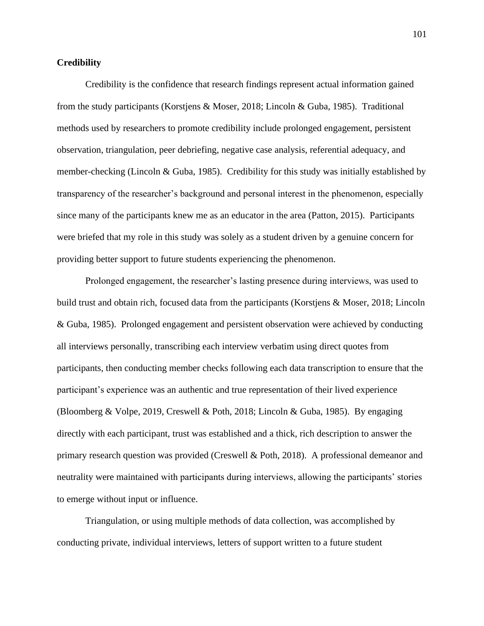# **Credibility**

Credibility is the confidence that research findings represent actual information gained from the study participants (Korstjens & Moser, 2018; Lincoln & Guba, 1985). Traditional methods used by researchers to promote credibility include prolonged engagement, persistent observation, triangulation, peer debriefing, negative case analysis, referential adequacy, and member-checking (Lincoln & Guba, 1985). Credibility for this study was initially established by transparency of the researcher's background and personal interest in the phenomenon, especially since many of the participants knew me as an educator in the area (Patton, 2015). Participants were briefed that my role in this study was solely as a student driven by a genuine concern for providing better support to future students experiencing the phenomenon.

Prolonged engagement, the researcher's lasting presence during interviews, was used to build trust and obtain rich, focused data from the participants (Korstjens & Moser, 2018; Lincoln & Guba, 1985). Prolonged engagement and persistent observation were achieved by conducting all interviews personally, transcribing each interview verbatim using direct quotes from participants, then conducting member checks following each data transcription to ensure that the participant's experience was an authentic and true representation of their lived experience (Bloomberg & Volpe, 2019, Creswell & Poth, 2018; Lincoln & Guba, 1985). By engaging directly with each participant, trust was established and a thick, rich description to answer the primary research question was provided (Creswell & Poth, 2018). A professional demeanor and neutrality were maintained with participants during interviews, allowing the participants' stories to emerge without input or influence.

Triangulation, or using multiple methods of data collection, was accomplished by conducting private, individual interviews, letters of support written to a future student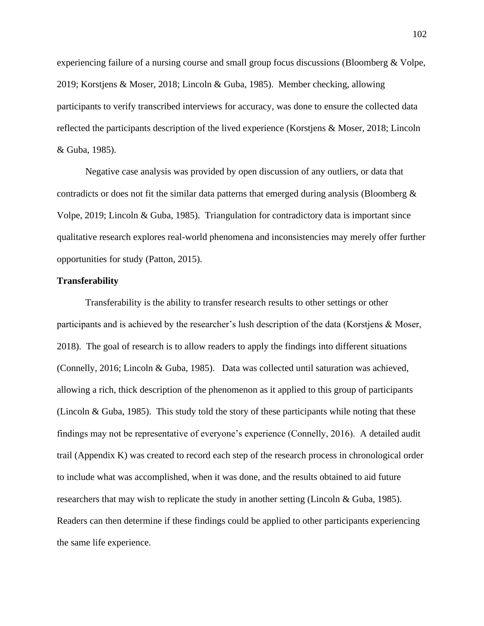experiencing failure of a nursing course and small group focus discussions (Bloomberg & Volpe, 2019; Korstjens & Moser, 2018; Lincoln & Guba, 1985). Member checking, allowing participants to verify transcribed interviews for accuracy, was done to ensure the collected data reflected the participants description of the lived experience (Korstjens & Moser, 2018; Lincoln & Guba, 1985).

Negative case analysis was provided by open discussion of any outliers, or data that contradicts or does not fit the similar data patterns that emerged during analysis (Bloomberg  $\&$ Volpe, 2019; Lincoln & Guba, 1985). Triangulation for contradictory data is important since qualitative research explores real-world phenomena and inconsistencies may merely offer further opportunities for study (Patton, 2015).

# **Transferability**

Transferability is the ability to transfer research results to other settings or other participants and is achieved by the researcher's lush description of the data (Korstjens & Moser, 2018). The goal of research is to allow readers to apply the findings into different situations (Connelly, 2016; Lincoln & Guba, 1985). Data was collected until saturation was achieved, allowing a rich, thick description of the phenomenon as it applied to this group of participants (Lincoln & Guba, 1985). This study told the story of these participants while noting that these findings may not be representative of everyone's experience (Connelly, 2016). A detailed audit trail (Appendix K) was created to record each step of the research process in chronological order to include what was accomplished, when it was done, and the results obtained to aid future researchers that may wish to replicate the study in another setting (Lincoln & Guba, 1985). Readers can then determine if these findings could be applied to other participants experiencing the same life experience.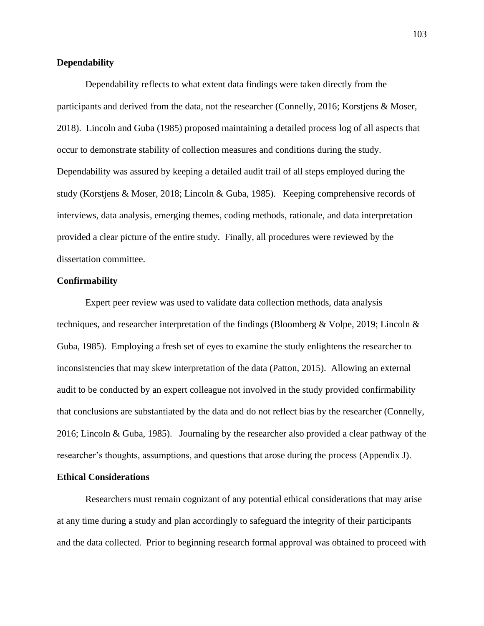# **Dependability**

Dependability reflects to what extent data findings were taken directly from the participants and derived from the data, not the researcher (Connelly, 2016; Korstjens & Moser, 2018). Lincoln and Guba (1985) proposed maintaining a detailed process log of all aspects that occur to demonstrate stability of collection measures and conditions during the study. Dependability was assured by keeping a detailed audit trail of all steps employed during the study (Korstjens & Moser, 2018; Lincoln & Guba, 1985). Keeping comprehensive records of interviews, data analysis, emerging themes, coding methods, rationale, and data interpretation provided a clear picture of the entire study. Finally, all procedures were reviewed by the dissertation committee.

# **Confirmability**

Expert peer review was used to validate data collection methods, data analysis techniques, and researcher interpretation of the findings (Bloomberg & Volpe, 2019; Lincoln & Guba, 1985). Employing a fresh set of eyes to examine the study enlightens the researcher to inconsistencies that may skew interpretation of the data (Patton, 2015). Allowing an external audit to be conducted by an expert colleague not involved in the study provided confirmability that conclusions are substantiated by the data and do not reflect bias by the researcher (Connelly, 2016; Lincoln & Guba, 1985). Journaling by the researcher also provided a clear pathway of the researcher's thoughts, assumptions, and questions that arose during the process (Appendix J).

# **Ethical Considerations**

Researchers must remain cognizant of any potential ethical considerations that may arise at any time during a study and plan accordingly to safeguard the integrity of their participants and the data collected. Prior to beginning research formal approval was obtained to proceed with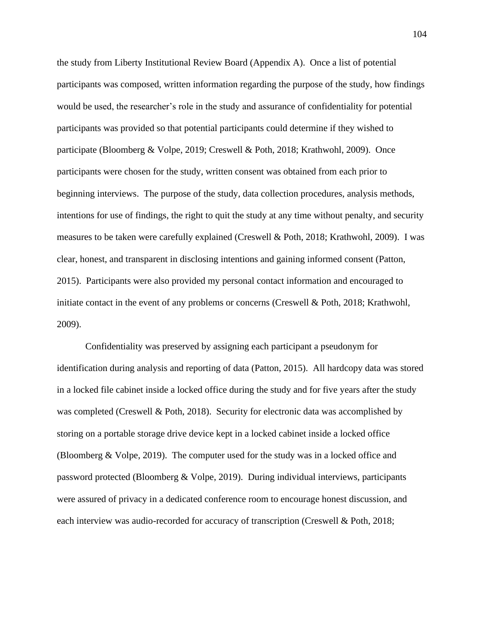the study from Liberty Institutional Review Board (Appendix A). Once a list of potential participants was composed, written information regarding the purpose of the study, how findings would be used, the researcher's role in the study and assurance of confidentiality for potential participants was provided so that potential participants could determine if they wished to participate (Bloomberg & Volpe, 2019; Creswell & Poth, 2018; Krathwohl, 2009). Once participants were chosen for the study, written consent was obtained from each prior to beginning interviews. The purpose of the study, data collection procedures, analysis methods, intentions for use of findings, the right to quit the study at any time without penalty, and security measures to be taken were carefully explained (Creswell & Poth, 2018; Krathwohl, 2009). I was clear, honest, and transparent in disclosing intentions and gaining informed consent (Patton, 2015). Participants were also provided my personal contact information and encouraged to initiate contact in the event of any problems or concerns (Creswell & Poth, 2018; Krathwohl, 2009).

Confidentiality was preserved by assigning each participant a pseudonym for identification during analysis and reporting of data (Patton, 2015). All hardcopy data was stored in a locked file cabinet inside a locked office during the study and for five years after the study was completed (Creswell & Poth, 2018). Security for electronic data was accomplished by storing on a portable storage drive device kept in a locked cabinet inside a locked office (Bloomberg & Volpe, 2019). The computer used for the study was in a locked office and password protected (Bloomberg & Volpe, 2019). During individual interviews, participants were assured of privacy in a dedicated conference room to encourage honest discussion, and each interview was audio-recorded for accuracy of transcription (Creswell & Poth, 2018;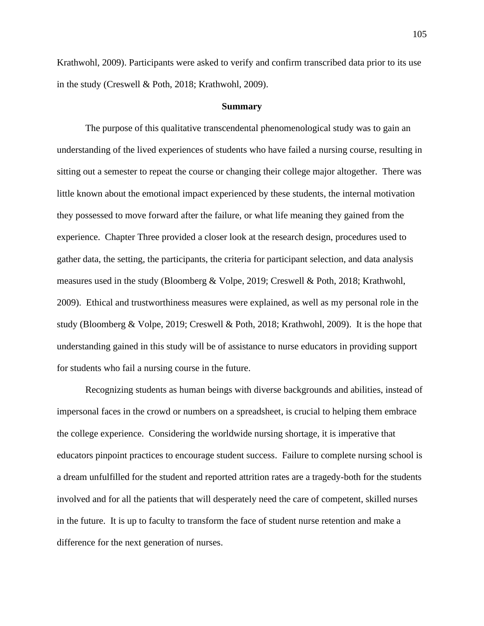Krathwohl, 2009). Participants were asked to verify and confirm transcribed data prior to its use in the study (Creswell & Poth, 2018; Krathwohl, 2009).

### **Summary**

The purpose of this qualitative transcendental phenomenological study was to gain an understanding of the lived experiences of students who have failed a nursing course, resulting in sitting out a semester to repeat the course or changing their college major altogether. There was little known about the emotional impact experienced by these students, the internal motivation they possessed to move forward after the failure, or what life meaning they gained from the experience. Chapter Three provided a closer look at the research design, procedures used to gather data, the setting, the participants, the criteria for participant selection, and data analysis measures used in the study (Bloomberg & Volpe, 2019; Creswell & Poth, 2018; Krathwohl, 2009). Ethical and trustworthiness measures were explained, as well as my personal role in the study (Bloomberg & Volpe, 2019; Creswell & Poth, 2018; Krathwohl, 2009). It is the hope that understanding gained in this study will be of assistance to nurse educators in providing support for students who fail a nursing course in the future.

Recognizing students as human beings with diverse backgrounds and abilities, instead of impersonal faces in the crowd or numbers on a spreadsheet, is crucial to helping them embrace the college experience. Considering the worldwide nursing shortage, it is imperative that educators pinpoint practices to encourage student success. Failure to complete nursing school is a dream unfulfilled for the student and reported attrition rates are a tragedy-both for the students involved and for all the patients that will desperately need the care of competent, skilled nurses in the future. It is up to faculty to transform the face of student nurse retention and make a difference for the next generation of nurses.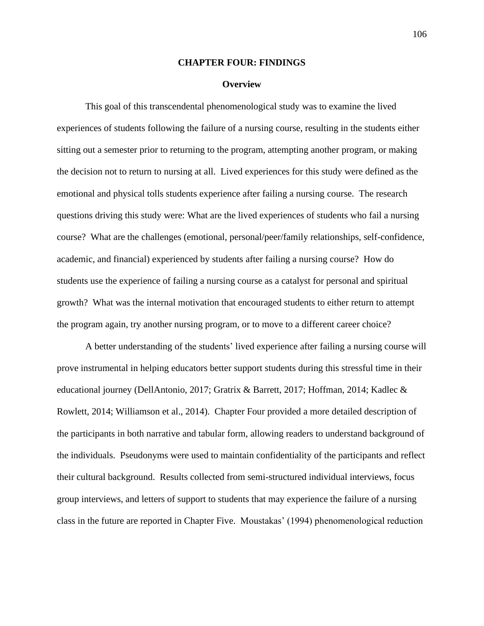## **CHAPTER FOUR: FINDINGS**

### **Overview**

This goal of this transcendental phenomenological study was to examine the lived experiences of students following the failure of a nursing course, resulting in the students either sitting out a semester prior to returning to the program, attempting another program, or making the decision not to return to nursing at all. Lived experiences for this study were defined as the emotional and physical tolls students experience after failing a nursing course. The research questions driving this study were: What are the lived experiences of students who fail a nursing course? What are the challenges (emotional, personal/peer/family relationships, self-confidence, academic, and financial) experienced by students after failing a nursing course? How do students use the experience of failing a nursing course as a catalyst for personal and spiritual growth? What was the internal motivation that encouraged students to either return to attempt the program again, try another nursing program, or to move to a different career choice?

A better understanding of the students' lived experience after failing a nursing course will prove instrumental in helping educators better support students during this stressful time in their educational journey (DellAntonio, 2017; Gratrix & Barrett, 2017; Hoffman, 2014; Kadlec & Rowlett, 2014; Williamson et al., 2014). Chapter Four provided a more detailed description of the participants in both narrative and tabular form, allowing readers to understand background of the individuals. Pseudonyms were used to maintain confidentiality of the participants and reflect their cultural background. Results collected from semi-structured individual interviews, focus group interviews, and letters of support to students that may experience the failure of a nursing class in the future are reported in Chapter Five. Moustakas' (1994) phenomenological reduction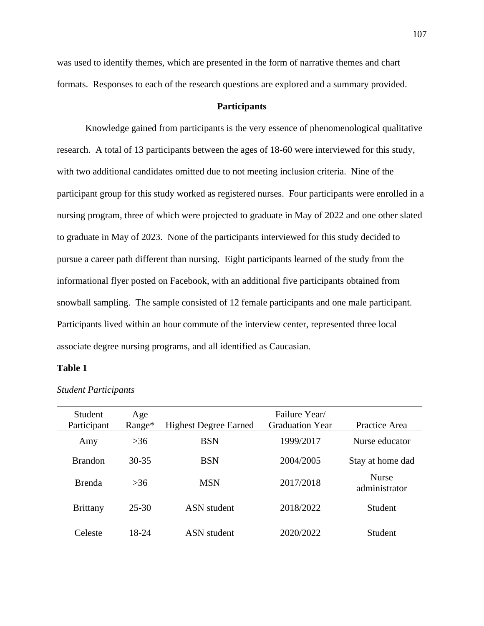was used to identify themes, which are presented in the form of narrative themes and chart formats. Responses to each of the research questions are explored and a summary provided.

# **Participants**

Knowledge gained from participants is the very essence of phenomenological qualitative research. A total of 13 participants between the ages of 18-60 were interviewed for this study, with two additional candidates omitted due to not meeting inclusion criteria. Nine of the participant group for this study worked as registered nurses. Four participants were enrolled in a nursing program, three of which were projected to graduate in May of 2022 and one other slated to graduate in May of 2023. None of the participants interviewed for this study decided to pursue a career path different than nursing. Eight participants learned of the study from the informational flyer posted on Facebook, with an additional five participants obtained from snowball sampling. The sample consisted of 12 female participants and one male participant. Participants lived within an hour commute of the interview center, represented three local associate degree nursing programs, and all identified as Caucasian.

# **Table 1**

| Student<br>Participant | Age<br>Range* | <b>Highest Degree Earned</b> | Failure Year/<br><b>Graduation Year</b> | Practice Area                 |
|------------------------|---------------|------------------------------|-----------------------------------------|-------------------------------|
| Amy                    | $>36$         | <b>BSN</b>                   | 1999/2017                               | Nurse educator                |
| <b>Brandon</b>         | $30 - 35$     | <b>BSN</b>                   | 2004/2005                               | Stay at home dad              |
| <b>Brenda</b>          | >36           | <b>MSN</b>                   | 2017/2018                               | <b>Nurse</b><br>administrator |
| <b>Brittany</b>        | 25-30         | <b>ASN</b> student           | 2018/2022                               | Student                       |
| Celeste                | 18-24         | ASN student                  | 2020/2022                               | Student                       |

*Student Participants*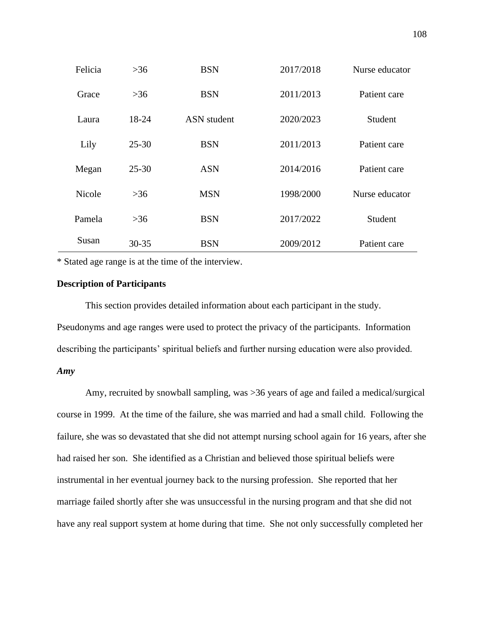| Felicia | $>36$     | <b>BSN</b>         | 2017/2018 | Nurse educator |
|---------|-----------|--------------------|-----------|----------------|
| Grace   | >36       | <b>BSN</b>         | 2011/2013 | Patient care   |
| Laura   | 18-24     | <b>ASN</b> student | 2020/2023 | Student        |
| Lily    | $25 - 30$ | <b>BSN</b>         | 2011/2013 | Patient care   |
| Megan   | $25 - 30$ | <b>ASN</b>         | 2014/2016 | Patient care   |
| Nicole  | >36       | <b>MSN</b>         | 1998/2000 | Nurse educator |
| Pamela  | >36       | <b>BSN</b>         | 2017/2022 | Student        |
| Susan   | $30 - 35$ | <b>BSN</b>         | 2009/2012 | Patient care   |

\* Stated age range is at the time of the interview.

# **Description of Participants**

This section provides detailed information about each participant in the study. Pseudonyms and age ranges were used to protect the privacy of the participants. Information describing the participants' spiritual beliefs and further nursing education were also provided. *Amy*

Amy, recruited by snowball sampling, was >36 years of age and failed a medical/surgical course in 1999. At the time of the failure, she was married and had a small child. Following the failure, she was so devastated that she did not attempt nursing school again for 16 years, after she had raised her son. She identified as a Christian and believed those spiritual beliefs were instrumental in her eventual journey back to the nursing profession. She reported that her marriage failed shortly after she was unsuccessful in the nursing program and that she did not have any real support system at home during that time. She not only successfully completed her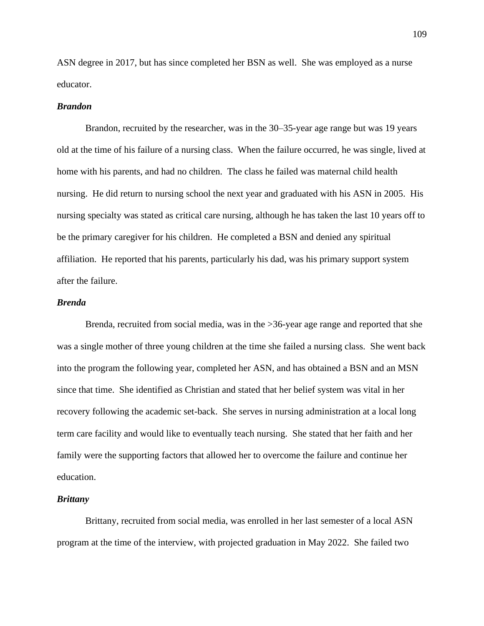ASN degree in 2017, but has since completed her BSN as well. She was employed as a nurse educator.

### *Brandon*

Brandon, recruited by the researcher, was in the 30–35-year age range but was 19 years old at the time of his failure of a nursing class. When the failure occurred, he was single, lived at home with his parents, and had no children. The class he failed was maternal child health nursing. He did return to nursing school the next year and graduated with his ASN in 2005. His nursing specialty was stated as critical care nursing, although he has taken the last 10 years off to be the primary caregiver for his children. He completed a BSN and denied any spiritual affiliation. He reported that his parents, particularly his dad, was his primary support system after the failure.

# *Brenda*

Brenda, recruited from social media, was in the >36-year age range and reported that she was a single mother of three young children at the time she failed a nursing class. She went back into the program the following year, completed her ASN, and has obtained a BSN and an MSN since that time. She identified as Christian and stated that her belief system was vital in her recovery following the academic set-back. She serves in nursing administration at a local long term care facility and would like to eventually teach nursing. She stated that her faith and her family were the supporting factors that allowed her to overcome the failure and continue her education.

#### *Brittany*

Brittany, recruited from social media, was enrolled in her last semester of a local ASN program at the time of the interview, with projected graduation in May 2022. She failed two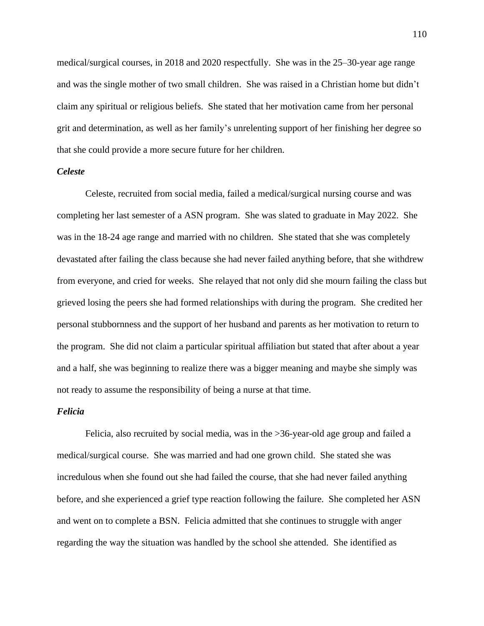medical/surgical courses, in 2018 and 2020 respectfully. She was in the 25–30-year age range and was the single mother of two small children. She was raised in a Christian home but didn't claim any spiritual or religious beliefs. She stated that her motivation came from her personal grit and determination, as well as her family's unrelenting support of her finishing her degree so that she could provide a more secure future for her children.

## *Celeste*

Celeste, recruited from social media, failed a medical/surgical nursing course and was completing her last semester of a ASN program. She was slated to graduate in May 2022. She was in the 18-24 age range and married with no children. She stated that she was completely devastated after failing the class because she had never failed anything before, that she withdrew from everyone, and cried for weeks. She relayed that not only did she mourn failing the class but grieved losing the peers she had formed relationships with during the program. She credited her personal stubbornness and the support of her husband and parents as her motivation to return to the program. She did not claim a particular spiritual affiliation but stated that after about a year and a half, she was beginning to realize there was a bigger meaning and maybe she simply was not ready to assume the responsibility of being a nurse at that time.

#### *Felicia*

Felicia, also recruited by social media, was in the >36-year-old age group and failed a medical/surgical course. She was married and had one grown child. She stated she was incredulous when she found out she had failed the course, that she had never failed anything before, and she experienced a grief type reaction following the failure. She completed her ASN and went on to complete a BSN. Felicia admitted that she continues to struggle with anger regarding the way the situation was handled by the school she attended. She identified as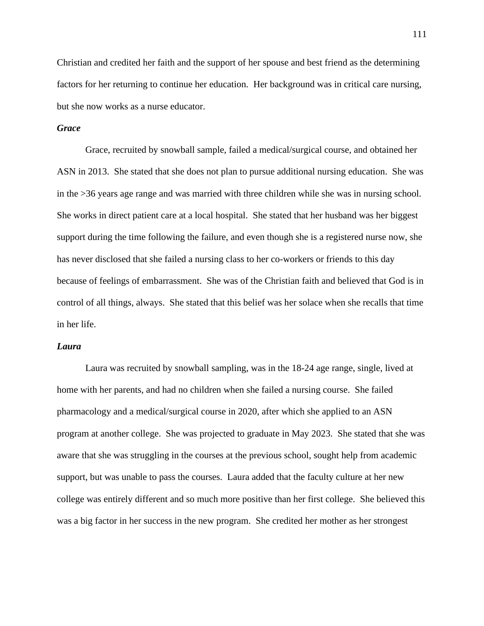Christian and credited her faith and the support of her spouse and best friend as the determining factors for her returning to continue her education. Her background was in critical care nursing, but she now works as a nurse educator.

# *Grace*

Grace, recruited by snowball sample, failed a medical/surgical course, and obtained her ASN in 2013. She stated that she does not plan to pursue additional nursing education. She was in the >36 years age range and was married with three children while she was in nursing school. She works in direct patient care at a local hospital. She stated that her husband was her biggest support during the time following the failure, and even though she is a registered nurse now, she has never disclosed that she failed a nursing class to her co-workers or friends to this day because of feelings of embarrassment. She was of the Christian faith and believed that God is in control of all things, always. She stated that this belief was her solace when she recalls that time in her life.

## *Laura*

Laura was recruited by snowball sampling, was in the 18-24 age range, single, lived at home with her parents, and had no children when she failed a nursing course. She failed pharmacology and a medical/surgical course in 2020, after which she applied to an ASN program at another college. She was projected to graduate in May 2023. She stated that she was aware that she was struggling in the courses at the previous school, sought help from academic support, but was unable to pass the courses. Laura added that the faculty culture at her new college was entirely different and so much more positive than her first college. She believed this was a big factor in her success in the new program. She credited her mother as her strongest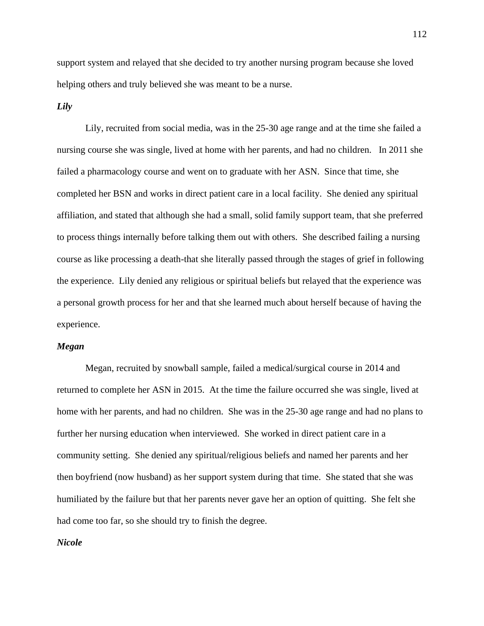support system and relayed that she decided to try another nursing program because she loved helping others and truly believed she was meant to be a nurse.

### *Lily*

Lily, recruited from social media, was in the 25-30 age range and at the time she failed a nursing course she was single, lived at home with her parents, and had no children. In 2011 she failed a pharmacology course and went on to graduate with her ASN. Since that time, she completed her BSN and works in direct patient care in a local facility. She denied any spiritual affiliation, and stated that although she had a small, solid family support team, that she preferred to process things internally before talking them out with others. She described failing a nursing course as like processing a death-that she literally passed through the stages of grief in following the experience. Lily denied any religious or spiritual beliefs but relayed that the experience was a personal growth process for her and that she learned much about herself because of having the experience.

## *Megan*

Megan, recruited by snowball sample, failed a medical/surgical course in 2014 and returned to complete her ASN in 2015. At the time the failure occurred she was single, lived at home with her parents, and had no children. She was in the 25-30 age range and had no plans to further her nursing education when interviewed. She worked in direct patient care in a community setting. She denied any spiritual/religious beliefs and named her parents and her then boyfriend (now husband) as her support system during that time. She stated that she was humiliated by the failure but that her parents never gave her an option of quitting. She felt she had come too far, so she should try to finish the degree.

## *Nicole*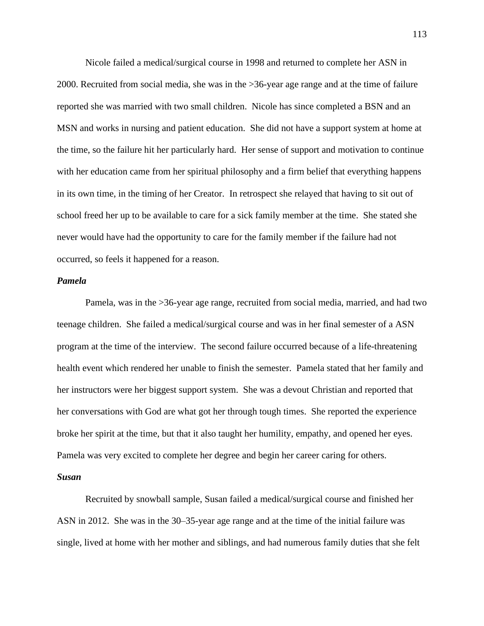Nicole failed a medical/surgical course in 1998 and returned to complete her ASN in 2000. Recruited from social media, she was in the >36-year age range and at the time of failure reported she was married with two small children. Nicole has since completed a BSN and an MSN and works in nursing and patient education. She did not have a support system at home at the time, so the failure hit her particularly hard. Her sense of support and motivation to continue with her education came from her spiritual philosophy and a firm belief that everything happens in its own time, in the timing of her Creator. In retrospect she relayed that having to sit out of school freed her up to be available to care for a sick family member at the time. She stated she never would have had the opportunity to care for the family member if the failure had not occurred, so feels it happened for a reason.

## *Pamela*

Pamela, was in the >36-year age range, recruited from social media, married, and had two teenage children. She failed a medical/surgical course and was in her final semester of a ASN program at the time of the interview. The second failure occurred because of a life-threatening health event which rendered her unable to finish the semester. Pamela stated that her family and her instructors were her biggest support system. She was a devout Christian and reported that her conversations with God are what got her through tough times. She reported the experience broke her spirit at the time, but that it also taught her humility, empathy, and opened her eyes. Pamela was very excited to complete her degree and begin her career caring for others.

# *Susan*

Recruited by snowball sample, Susan failed a medical/surgical course and finished her ASN in 2012. She was in the 30–35-year age range and at the time of the initial failure was single, lived at home with her mother and siblings, and had numerous family duties that she felt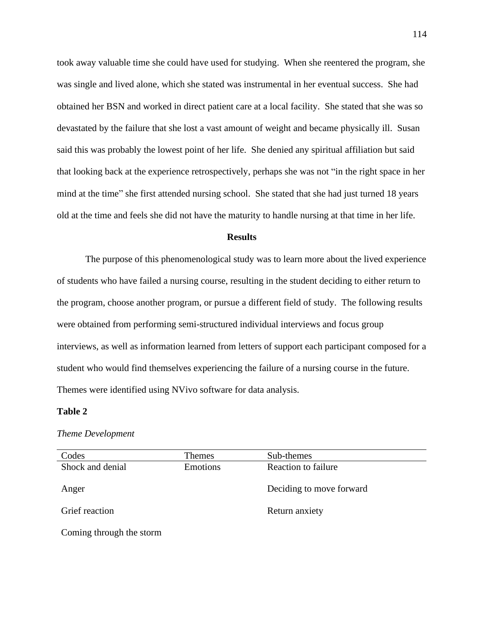took away valuable time she could have used for studying. When she reentered the program, she was single and lived alone, which she stated was instrumental in her eventual success. She had obtained her BSN and worked in direct patient care at a local facility. She stated that she was so devastated by the failure that she lost a vast amount of weight and became physically ill. Susan said this was probably the lowest point of her life. She denied any spiritual affiliation but said that looking back at the experience retrospectively, perhaps she was not "in the right space in her mind at the time" she first attended nursing school. She stated that she had just turned 18 years old at the time and feels she did not have the maturity to handle nursing at that time in her life.

## **Results**

The purpose of this phenomenological study was to learn more about the lived experience of students who have failed a nursing course, resulting in the student deciding to either return to the program, choose another program, or pursue a different field of study. The following results were obtained from performing semi-structured individual interviews and focus group interviews, as well as information learned from letters of support each participant composed for a student who would find themselves experiencing the failure of a nursing course in the future. Themes were identified using NVivo software for data analysis.

## **Table 2**

#### *Theme Development*

| Codes                    | <b>Themes</b> | Sub-themes               |
|--------------------------|---------------|--------------------------|
| Shock and denial         | Emotions      | Reaction to failure      |
|                          |               |                          |
| Anger                    |               | Deciding to move forward |
|                          |               |                          |
| Grief reaction           |               | Return anxiety           |
|                          |               |                          |
| Coming through the storm |               |                          |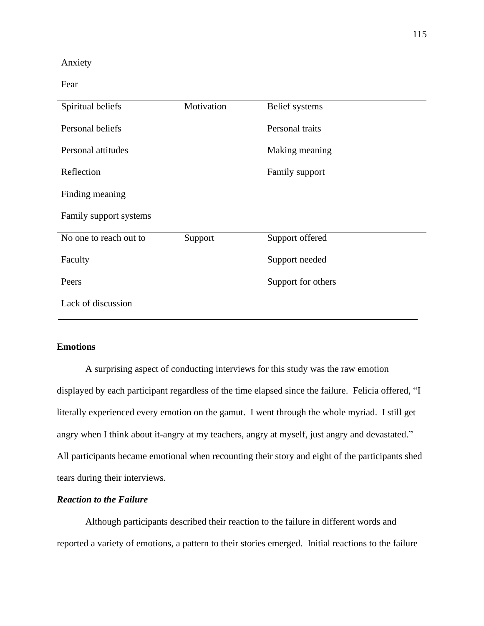# Anxiety

Fear

| Spiritual beliefs      | Motivation | Belief systems     |
|------------------------|------------|--------------------|
| Personal beliefs       |            | Personal traits    |
| Personal attitudes     |            | Making meaning     |
| Reflection             |            | Family support     |
| Finding meaning        |            |                    |
| Family support systems |            |                    |
| No one to reach out to | Support    | Support offered    |
| Faculty                |            | Support needed     |
| Peers                  |            | Support for others |
| Lack of discussion     |            |                    |

# **Emotions**

A surprising aspect of conducting interviews for this study was the raw emotion displayed by each participant regardless of the time elapsed since the failure. Felicia offered, "I literally experienced every emotion on the gamut. I went through the whole myriad. I still get angry when I think about it-angry at my teachers, angry at myself, just angry and devastated." All participants became emotional when recounting their story and eight of the participants shed tears during their interviews.

# *Reaction to the Failure*

Although participants described their reaction to the failure in different words and reported a variety of emotions, a pattern to their stories emerged. Initial reactions to the failure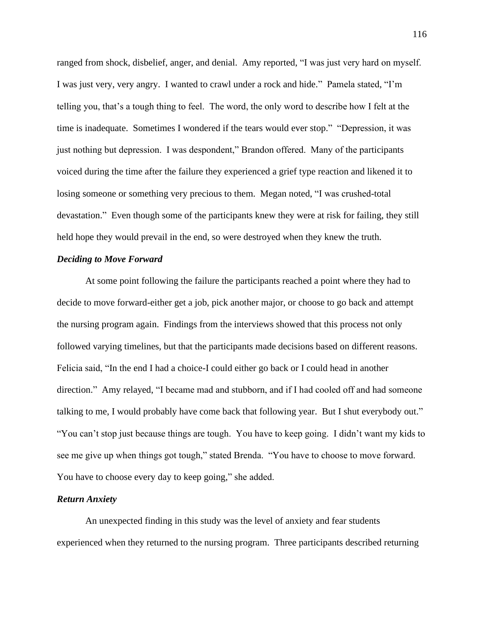ranged from shock, disbelief, anger, and denial. Amy reported, "I was just very hard on myself. I was just very, very angry. I wanted to crawl under a rock and hide." Pamela stated, "I'm telling you, that's a tough thing to feel. The word, the only word to describe how I felt at the time is inadequate. Sometimes I wondered if the tears would ever stop." "Depression, it was just nothing but depression. I was despondent," Brandon offered. Many of the participants voiced during the time after the failure they experienced a grief type reaction and likened it to losing someone or something very precious to them. Megan noted, "I was crushed-total devastation." Even though some of the participants knew they were at risk for failing, they still held hope they would prevail in the end, so were destroyed when they knew the truth.

# *Deciding to Move Forward*

At some point following the failure the participants reached a point where they had to decide to move forward-either get a job, pick another major, or choose to go back and attempt the nursing program again. Findings from the interviews showed that this process not only followed varying timelines, but that the participants made decisions based on different reasons. Felicia said, "In the end I had a choice-I could either go back or I could head in another direction." Amy relayed, "I became mad and stubborn, and if I had cooled off and had someone talking to me, I would probably have come back that following year. But I shut everybody out." "You can't stop just because things are tough. You have to keep going. I didn't want my kids to see me give up when things got tough," stated Brenda. "You have to choose to move forward. You have to choose every day to keep going," she added.

#### *Return Anxiety*

An unexpected finding in this study was the level of anxiety and fear students experienced when they returned to the nursing program. Three participants described returning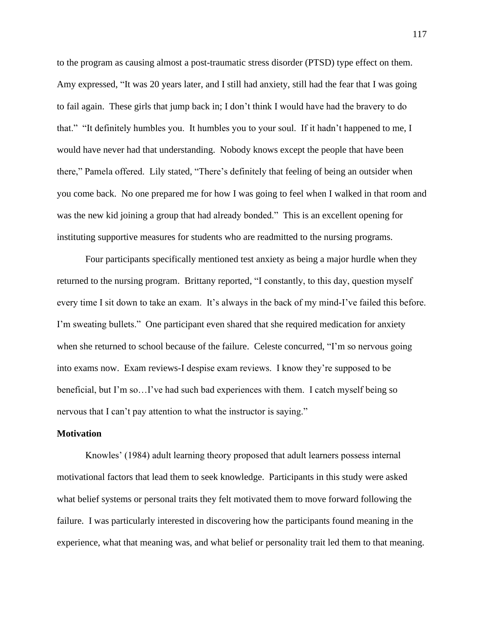to the program as causing almost a post-traumatic stress disorder (PTSD) type effect on them. Amy expressed, "It was 20 years later, and I still had anxiety, still had the fear that I was going to fail again. These girls that jump back in; I don't think I would have had the bravery to do that." "It definitely humbles you. It humbles you to your soul. If it hadn't happened to me, I would have never had that understanding. Nobody knows except the people that have been there," Pamela offered. Lily stated, "There's definitely that feeling of being an outsider when you come back. No one prepared me for how I was going to feel when I walked in that room and was the new kid joining a group that had already bonded." This is an excellent opening for instituting supportive measures for students who are readmitted to the nursing programs.

Four participants specifically mentioned test anxiety as being a major hurdle when they returned to the nursing program. Brittany reported, "I constantly, to this day, question myself every time I sit down to take an exam. It's always in the back of my mind-I've failed this before. I'm sweating bullets." One participant even shared that she required medication for anxiety when she returned to school because of the failure. Celeste concurred, "I'm so nervous going into exams now. Exam reviews-I despise exam reviews. I know they're supposed to be beneficial, but I'm so…I've had such bad experiences with them. I catch myself being so nervous that I can't pay attention to what the instructor is saying."

## **Motivation**

Knowles' (1984) adult learning theory proposed that adult learners possess internal motivational factors that lead them to seek knowledge. Participants in this study were asked what belief systems or personal traits they felt motivated them to move forward following the failure. I was particularly interested in discovering how the participants found meaning in the experience, what that meaning was, and what belief or personality trait led them to that meaning.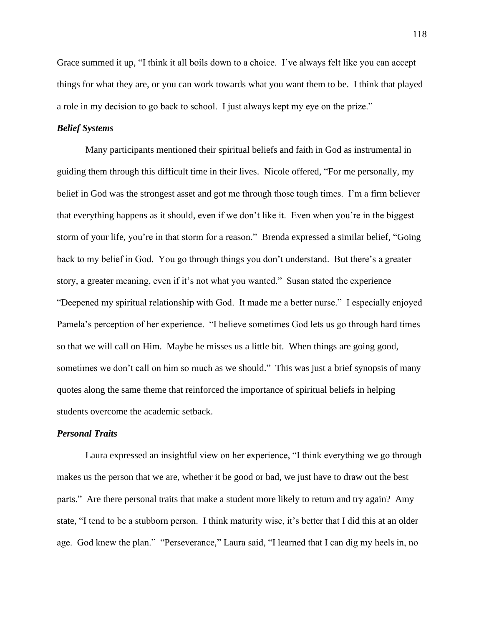Grace summed it up, "I think it all boils down to a choice. I've always felt like you can accept things for what they are, or you can work towards what you want them to be. I think that played a role in my decision to go back to school. I just always kept my eye on the prize."

# *Belief Systems*

Many participants mentioned their spiritual beliefs and faith in God as instrumental in guiding them through this difficult time in their lives. Nicole offered, "For me personally, my belief in God was the strongest asset and got me through those tough times. I'm a firm believer that everything happens as it should, even if we don't like it. Even when you're in the biggest storm of your life, you're in that storm for a reason." Brenda expressed a similar belief, "Going back to my belief in God. You go through things you don't understand. But there's a greater story, a greater meaning, even if it's not what you wanted." Susan stated the experience "Deepened my spiritual relationship with God. It made me a better nurse." I especially enjoyed Pamela's perception of her experience. "I believe sometimes God lets us go through hard times so that we will call on Him. Maybe he misses us a little bit. When things are going good, sometimes we don't call on him so much as we should." This was just a brief synopsis of many quotes along the same theme that reinforced the importance of spiritual beliefs in helping students overcome the academic setback.

### *Personal Traits*

Laura expressed an insightful view on her experience, "I think everything we go through makes us the person that we are, whether it be good or bad, we just have to draw out the best parts." Are there personal traits that make a student more likely to return and try again? Amy state, "I tend to be a stubborn person. I think maturity wise, it's better that I did this at an older age. God knew the plan." "Perseverance," Laura said, "I learned that I can dig my heels in, no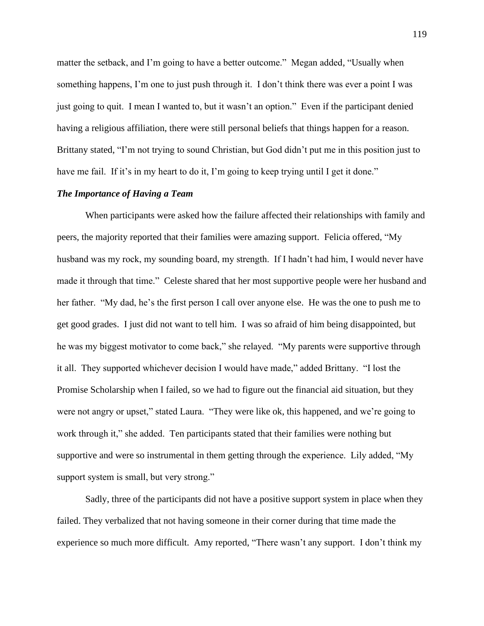matter the setback, and I'm going to have a better outcome." Megan added, "Usually when something happens, I'm one to just push through it. I don't think there was ever a point I was just going to quit. I mean I wanted to, but it wasn't an option." Even if the participant denied having a religious affiliation, there were still personal beliefs that things happen for a reason. Brittany stated, "I'm not trying to sound Christian, but God didn't put me in this position just to have me fail. If it's in my heart to do it, I'm going to keep trying until I get it done."

## *The Importance of Having a Team*

When participants were asked how the failure affected their relationships with family and peers, the majority reported that their families were amazing support. Felicia offered, "My husband was my rock, my sounding board, my strength. If I hadn't had him, I would never have made it through that time." Celeste shared that her most supportive people were her husband and her father. "My dad, he's the first person I call over anyone else. He was the one to push me to get good grades. I just did not want to tell him. I was so afraid of him being disappointed, but he was my biggest motivator to come back," she relayed. "My parents were supportive through it all. They supported whichever decision I would have made," added Brittany. "I lost the Promise Scholarship when I failed, so we had to figure out the financial aid situation, but they were not angry or upset," stated Laura. "They were like ok, this happened, and we're going to work through it," she added. Ten participants stated that their families were nothing but supportive and were so instrumental in them getting through the experience. Lily added, "My support system is small, but very strong."

Sadly, three of the participants did not have a positive support system in place when they failed. They verbalized that not having someone in their corner during that time made the experience so much more difficult. Amy reported, "There wasn't any support. I don't think my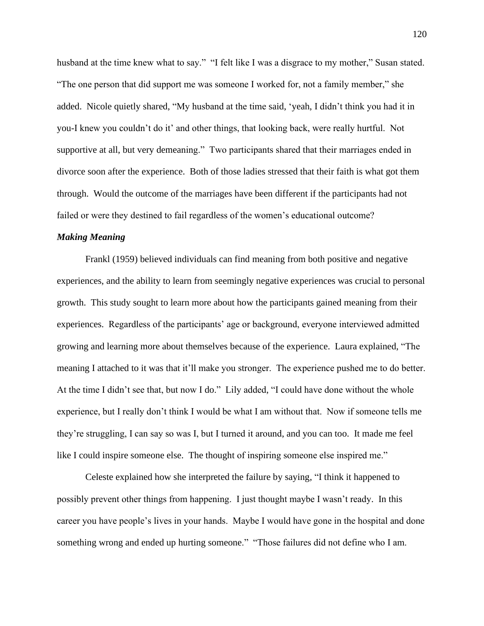husband at the time knew what to say." "I felt like I was a disgrace to my mother," Susan stated. "The one person that did support me was someone I worked for, not a family member," she added. Nicole quietly shared, "My husband at the time said, 'yeah, I didn't think you had it in you-I knew you couldn't do it' and other things, that looking back, were really hurtful. Not supportive at all, but very demeaning." Two participants shared that their marriages ended in divorce soon after the experience. Both of those ladies stressed that their faith is what got them through. Would the outcome of the marriages have been different if the participants had not failed or were they destined to fail regardless of the women's educational outcome?

### *Making Meaning*

Frankl (1959) believed individuals can find meaning from both positive and negative experiences, and the ability to learn from seemingly negative experiences was crucial to personal growth. This study sought to learn more about how the participants gained meaning from their experiences. Regardless of the participants' age or background, everyone interviewed admitted growing and learning more about themselves because of the experience. Laura explained, "The meaning I attached to it was that it'll make you stronger. The experience pushed me to do better. At the time I didn't see that, but now I do." Lily added, "I could have done without the whole experience, but I really don't think I would be what I am without that. Now if someone tells me they're struggling, I can say so was I, but I turned it around, and you can too. It made me feel like I could inspire someone else. The thought of inspiring someone else inspired me."

Celeste explained how she interpreted the failure by saying, "I think it happened to possibly prevent other things from happening. I just thought maybe I wasn't ready. In this career you have people's lives in your hands. Maybe I would have gone in the hospital and done something wrong and ended up hurting someone." "Those failures did not define who I am.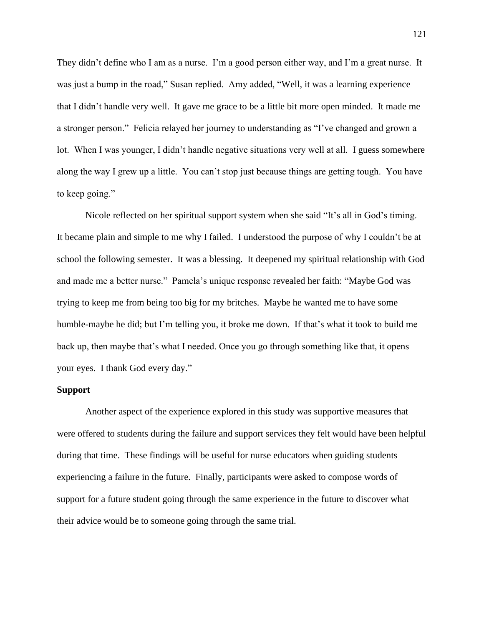They didn't define who I am as a nurse. I'm a good person either way, and I'm a great nurse. It was just a bump in the road," Susan replied. Amy added, "Well, it was a learning experience that I didn't handle very well. It gave me grace to be a little bit more open minded. It made me a stronger person." Felicia relayed her journey to understanding as "I've changed and grown a lot. When I was younger, I didn't handle negative situations very well at all. I guess somewhere along the way I grew up a little. You can't stop just because things are getting tough. You have to keep going."

Nicole reflected on her spiritual support system when she said "It's all in God's timing. It became plain and simple to me why I failed. I understood the purpose of why I couldn't be at school the following semester. It was a blessing. It deepened my spiritual relationship with God and made me a better nurse." Pamela's unique response revealed her faith: "Maybe God was trying to keep me from being too big for my britches. Maybe he wanted me to have some humble-maybe he did; but I'm telling you, it broke me down. If that's what it took to build me back up, then maybe that's what I needed. Once you go through something like that, it opens your eyes. I thank God every day."

# **Support**

Another aspect of the experience explored in this study was supportive measures that were offered to students during the failure and support services they felt would have been helpful during that time. These findings will be useful for nurse educators when guiding students experiencing a failure in the future. Finally, participants were asked to compose words of support for a future student going through the same experience in the future to discover what their advice would be to someone going through the same trial.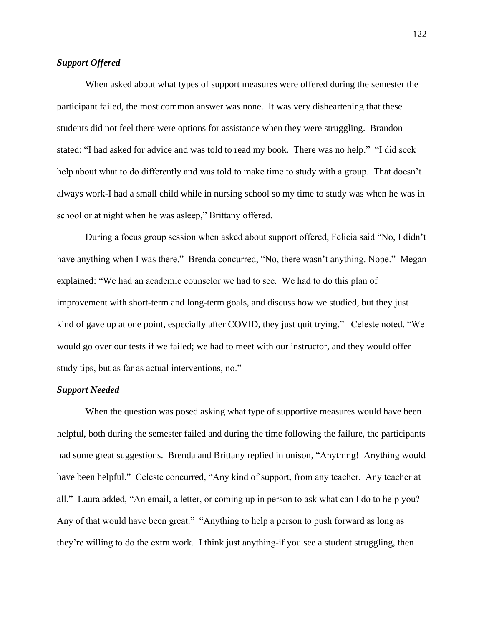# *Support Offered*

When asked about what types of support measures were offered during the semester the participant failed, the most common answer was none. It was very disheartening that these students did not feel there were options for assistance when they were struggling. Brandon stated: "I had asked for advice and was told to read my book. There was no help." "I did seek help about what to do differently and was told to make time to study with a group. That doesn't always work-I had a small child while in nursing school so my time to study was when he was in school or at night when he was asleep," Brittany offered.

During a focus group session when asked about support offered, Felicia said "No, I didn't have anything when I was there." Brenda concurred, "No, there wasn't anything. Nope." Megan explained: "We had an academic counselor we had to see. We had to do this plan of improvement with short-term and long-term goals, and discuss how we studied, but they just kind of gave up at one point, especially after COVID, they just quit trying." Celeste noted, "We would go over our tests if we failed; we had to meet with our instructor, and they would offer study tips, but as far as actual interventions, no."

# *Support Needed*

When the question was posed asking what type of supportive measures would have been helpful, both during the semester failed and during the time following the failure, the participants had some great suggestions. Brenda and Brittany replied in unison, "Anything! Anything would have been helpful." Celeste concurred, "Any kind of support, from any teacher. Any teacher at all." Laura added, "An email, a letter, or coming up in person to ask what can I do to help you? Any of that would have been great." "Anything to help a person to push forward as long as they're willing to do the extra work. I think just anything-if you see a student struggling, then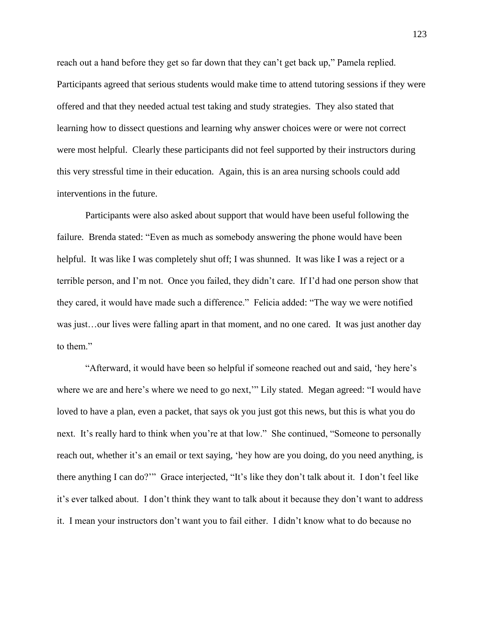reach out a hand before they get so far down that they can't get back up," Pamela replied. Participants agreed that serious students would make time to attend tutoring sessions if they were offered and that they needed actual test taking and study strategies. They also stated that learning how to dissect questions and learning why answer choices were or were not correct were most helpful. Clearly these participants did not feel supported by their instructors during this very stressful time in their education. Again, this is an area nursing schools could add interventions in the future.

Participants were also asked about support that would have been useful following the failure. Brenda stated: "Even as much as somebody answering the phone would have been helpful. It was like I was completely shut off; I was shunned. It was like I was a reject or a terrible person, and I'm not. Once you failed, they didn't care. If I'd had one person show that they cared, it would have made such a difference." Felicia added: "The way we were notified was just…our lives were falling apart in that moment, and no one cared. It was just another day to them."

"Afterward, it would have been so helpful if someone reached out and said, 'hey here's where we are and here's where we need to go next," Lily stated. Megan agreed: "I would have loved to have a plan, even a packet, that says ok you just got this news, but this is what you do next. It's really hard to think when you're at that low." She continued, "Someone to personally reach out, whether it's an email or text saying, 'hey how are you doing, do you need anything, is there anything I can do?'" Grace interjected, "It's like they don't talk about it. I don't feel like it's ever talked about. I don't think they want to talk about it because they don't want to address it. I mean your instructors don't want you to fail either. I didn't know what to do because no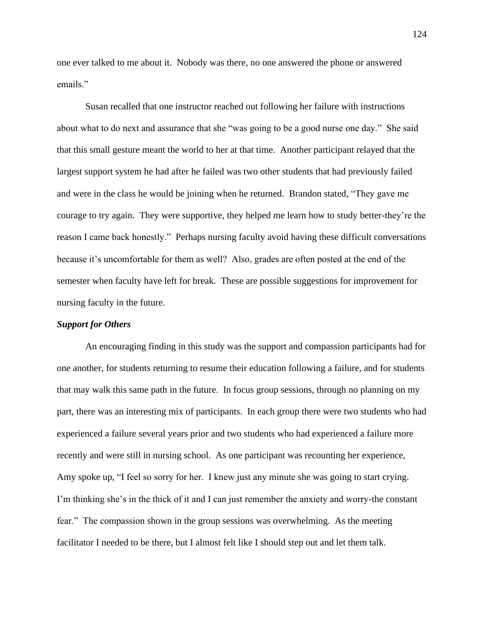one ever talked to me about it. Nobody was there, no one answered the phone or answered emails."

Susan recalled that one instructor reached out following her failure with instructions about what to do next and assurance that she "was going to be a good nurse one day." She said that this small gesture meant the world to her at that time. Another participant relayed that the largest support system he had after he failed was two other students that had previously failed and were in the class he would be joining when he returned. Brandon stated, "They gave me courage to try again. They were supportive, they helped me learn how to study better-they're the reason I came back honestly." Perhaps nursing faculty avoid having these difficult conversations because it's uncomfortable for them as well? Also, grades are often posted at the end of the semester when faculty have left for break. These are possible suggestions for improvement for nursing faculty in the future.

## *Support for Others*

An encouraging finding in this study was the support and compassion participants had for one another, for students returning to resume their education following a failure, and for students that may walk this same path in the future. In focus group sessions, through no planning on my part, there was an interesting mix of participants. In each group there were two students who had experienced a failure several years prior and two students who had experienced a failure more recently and were still in nursing school. As one participant was recounting her experience, Amy spoke up, "I feel so sorry for her. I knew just any minute she was going to start crying. I'm thinking she's in the thick of it and I can just remember the anxiety and worry-the constant fear." The compassion shown in the group sessions was overwhelming. As the meeting facilitator I needed to be there, but I almost felt like I should step out and let them talk.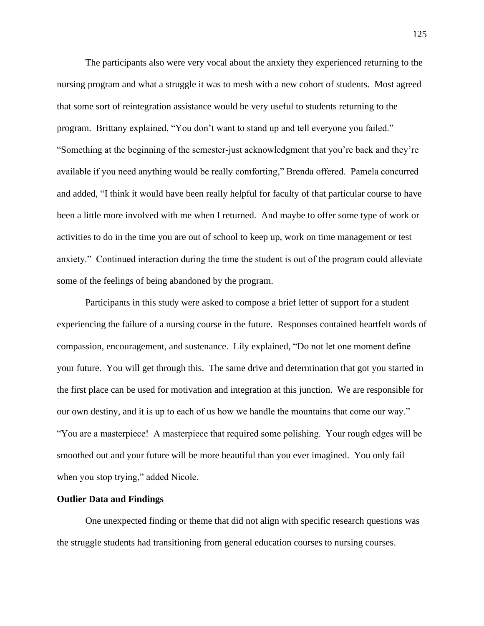The participants also were very vocal about the anxiety they experienced returning to the nursing program and what a struggle it was to mesh with a new cohort of students. Most agreed that some sort of reintegration assistance would be very useful to students returning to the program. Brittany explained, "You don't want to stand up and tell everyone you failed." "Something at the beginning of the semester-just acknowledgment that you're back and they're available if you need anything would be really comforting," Brenda offered. Pamela concurred and added, "I think it would have been really helpful for faculty of that particular course to have been a little more involved with me when I returned. And maybe to offer some type of work or activities to do in the time you are out of school to keep up, work on time management or test anxiety." Continued interaction during the time the student is out of the program could alleviate some of the feelings of being abandoned by the program.

Participants in this study were asked to compose a brief letter of support for a student experiencing the failure of a nursing course in the future. Responses contained heartfelt words of compassion, encouragement, and sustenance. Lily explained, "Do not let one moment define your future. You will get through this. The same drive and determination that got you started in the first place can be used for motivation and integration at this junction. We are responsible for our own destiny, and it is up to each of us how we handle the mountains that come our way." "You are a masterpiece! A masterpiece that required some polishing. Your rough edges will be smoothed out and your future will be more beautiful than you ever imagined. You only fail when you stop trying," added Nicole.

## **Outlier Data and Findings**

One unexpected finding or theme that did not align with specific research questions was the struggle students had transitioning from general education courses to nursing courses.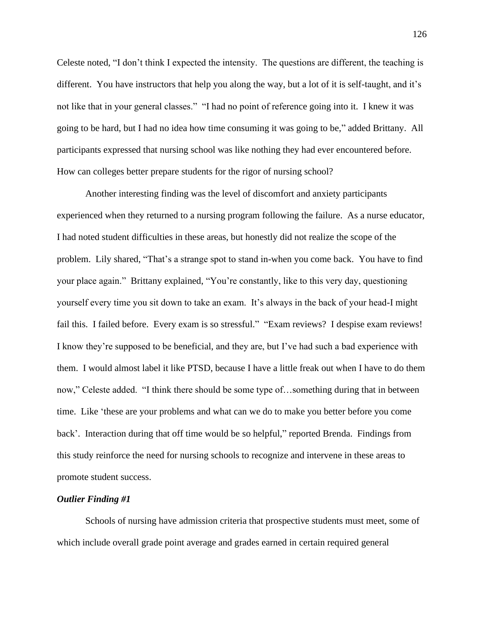Celeste noted, "I don't think I expected the intensity. The questions are different, the teaching is different. You have instructors that help you along the way, but a lot of it is self-taught, and it's not like that in your general classes." "I had no point of reference going into it. I knew it was going to be hard, but I had no idea how time consuming it was going to be," added Brittany. All participants expressed that nursing school was like nothing they had ever encountered before. How can colleges better prepare students for the rigor of nursing school?

Another interesting finding was the level of discomfort and anxiety participants experienced when they returned to a nursing program following the failure. As a nurse educator, I had noted student difficulties in these areas, but honestly did not realize the scope of the problem. Lily shared, "That's a strange spot to stand in-when you come back. You have to find your place again." Brittany explained, "You're constantly, like to this very day, questioning yourself every time you sit down to take an exam. It's always in the back of your head-I might fail this. I failed before. Every exam is so stressful." "Exam reviews? I despise exam reviews! I know they're supposed to be beneficial, and they are, but I've had such a bad experience with them. I would almost label it like PTSD, because I have a little freak out when I have to do them now," Celeste added. "I think there should be some type of…something during that in between time. Like 'these are your problems and what can we do to make you better before you come back'. Interaction during that off time would be so helpful," reported Brenda. Findings from this study reinforce the need for nursing schools to recognize and intervene in these areas to promote student success.

#### *Outlier Finding #1*

Schools of nursing have admission criteria that prospective students must meet, some of which include overall grade point average and grades earned in certain required general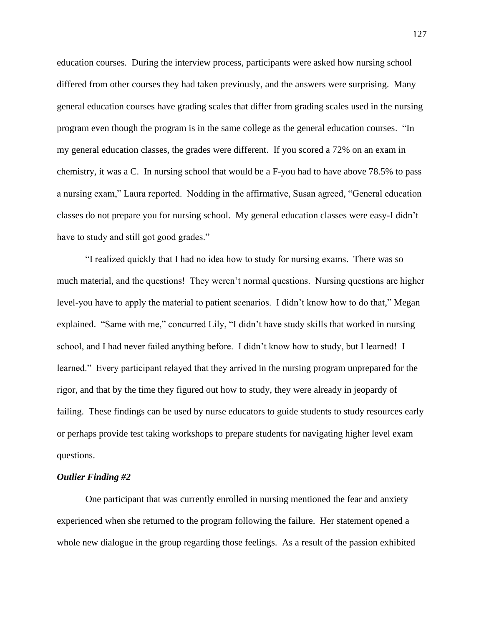education courses. During the interview process, participants were asked how nursing school differed from other courses they had taken previously, and the answers were surprising. Many general education courses have grading scales that differ from grading scales used in the nursing program even though the program is in the same college as the general education courses. "In my general education classes, the grades were different. If you scored a 72% on an exam in chemistry, it was a C. In nursing school that would be a F-you had to have above 78.5% to pass a nursing exam," Laura reported. Nodding in the affirmative, Susan agreed, "General education classes do not prepare you for nursing school. My general education classes were easy-I didn't have to study and still got good grades."

"I realized quickly that I had no idea how to study for nursing exams. There was so much material, and the questions! They weren't normal questions. Nursing questions are higher level-you have to apply the material to patient scenarios. I didn't know how to do that," Megan explained. "Same with me," concurred Lily, "I didn't have study skills that worked in nursing school, and I had never failed anything before. I didn't know how to study, but I learned! I learned." Every participant relayed that they arrived in the nursing program unprepared for the rigor, and that by the time they figured out how to study, they were already in jeopardy of failing. These findings can be used by nurse educators to guide students to study resources early or perhaps provide test taking workshops to prepare students for navigating higher level exam questions.

#### *Outlier Finding #2*

One participant that was currently enrolled in nursing mentioned the fear and anxiety experienced when she returned to the program following the failure. Her statement opened a whole new dialogue in the group regarding those feelings. As a result of the passion exhibited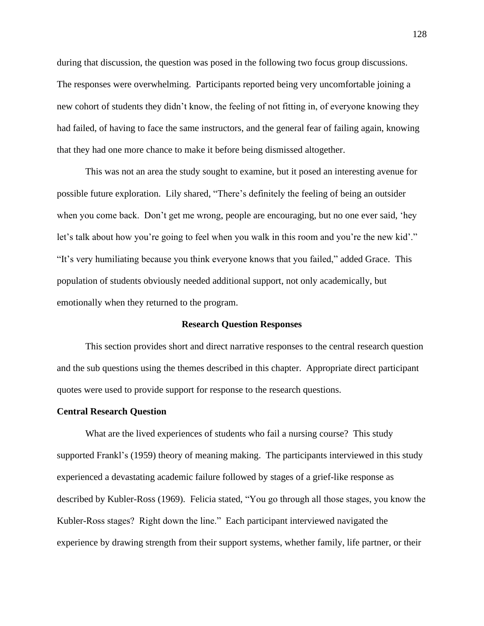during that discussion, the question was posed in the following two focus group discussions. The responses were overwhelming. Participants reported being very uncomfortable joining a new cohort of students they didn't know, the feeling of not fitting in, of everyone knowing they had failed, of having to face the same instructors, and the general fear of failing again, knowing that they had one more chance to make it before being dismissed altogether.

This was not an area the study sought to examine, but it posed an interesting avenue for possible future exploration. Lily shared, "There's definitely the feeling of being an outsider when you come back. Don't get me wrong, people are encouraging, but no one ever said, 'hey let's talk about how you're going to feel when you walk in this room and you're the new kid'." "It's very humiliating because you think everyone knows that you failed," added Grace. This population of students obviously needed additional support, not only academically, but emotionally when they returned to the program.

### **Research Question Responses**

This section provides short and direct narrative responses to the central research question and the sub questions using the themes described in this chapter. Appropriate direct participant quotes were used to provide support for response to the research questions.

#### **Central Research Question**

What are the lived experiences of students who fail a nursing course? This study supported Frankl's (1959) theory of meaning making. The participants interviewed in this study experienced a devastating academic failure followed by stages of a grief-like response as described by Kubler-Ross (1969). Felicia stated, "You go through all those stages, you know the Kubler-Ross stages? Right down the line." Each participant interviewed navigated the experience by drawing strength from their support systems, whether family, life partner, or their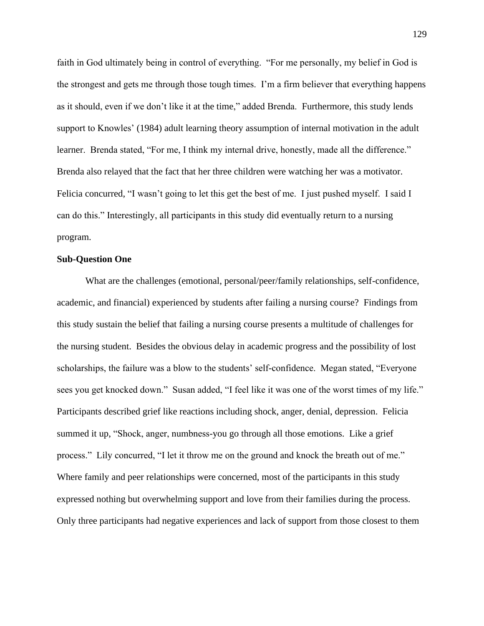faith in God ultimately being in control of everything. "For me personally, my belief in God is the strongest and gets me through those tough times. I'm a firm believer that everything happens as it should, even if we don't like it at the time," added Brenda. Furthermore, this study lends support to Knowles' (1984) adult learning theory assumption of internal motivation in the adult learner. Brenda stated, "For me, I think my internal drive, honestly, made all the difference." Brenda also relayed that the fact that her three children were watching her was a motivator. Felicia concurred, "I wasn't going to let this get the best of me. I just pushed myself. I said I can do this." Interestingly, all participants in this study did eventually return to a nursing program.

# **Sub-Question One**

What are the challenges (emotional, personal/peer/family relationships, self-confidence, academic, and financial) experienced by students after failing a nursing course? Findings from this study sustain the belief that failing a nursing course presents a multitude of challenges for the nursing student. Besides the obvious delay in academic progress and the possibility of lost scholarships, the failure was a blow to the students' self-confidence. Megan stated, "Everyone sees you get knocked down." Susan added, "I feel like it was one of the worst times of my life." Participants described grief like reactions including shock, anger, denial, depression. Felicia summed it up, "Shock, anger, numbness-you go through all those emotions. Like a grief process." Lily concurred, "I let it throw me on the ground and knock the breath out of me." Where family and peer relationships were concerned, most of the participants in this study expressed nothing but overwhelming support and love from their families during the process. Only three participants had negative experiences and lack of support from those closest to them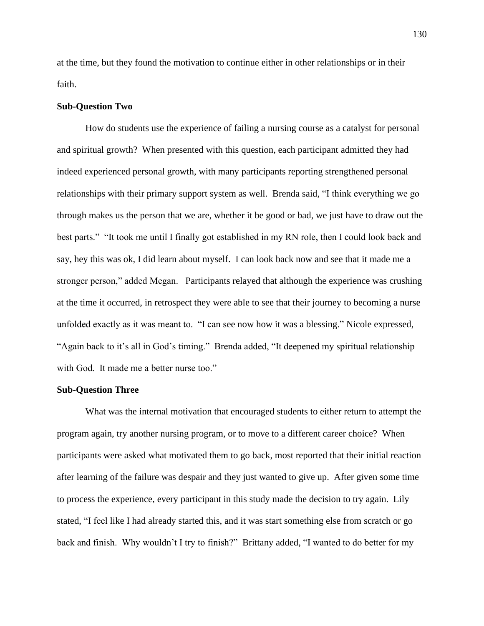at the time, but they found the motivation to continue either in other relationships or in their faith.

## **Sub-Question Two**

How do students use the experience of failing a nursing course as a catalyst for personal and spiritual growth? When presented with this question, each participant admitted they had indeed experienced personal growth, with many participants reporting strengthened personal relationships with their primary support system as well. Brenda said, "I think everything we go through makes us the person that we are, whether it be good or bad, we just have to draw out the best parts." "It took me until I finally got established in my RN role, then I could look back and say, hey this was ok, I did learn about myself. I can look back now and see that it made me a stronger person," added Megan. Participants relayed that although the experience was crushing at the time it occurred, in retrospect they were able to see that their journey to becoming a nurse unfolded exactly as it was meant to. "I can see now how it was a blessing." Nicole expressed, "Again back to it's all in God's timing." Brenda added, "It deepened my spiritual relationship with God. It made me a better nurse too."

#### **Sub-Question Three**

What was the internal motivation that encouraged students to either return to attempt the program again, try another nursing program, or to move to a different career choice? When participants were asked what motivated them to go back, most reported that their initial reaction after learning of the failure was despair and they just wanted to give up. After given some time to process the experience, every participant in this study made the decision to try again. Lily stated, "I feel like I had already started this, and it was start something else from scratch or go back and finish. Why wouldn't I try to finish?" Brittany added, "I wanted to do better for my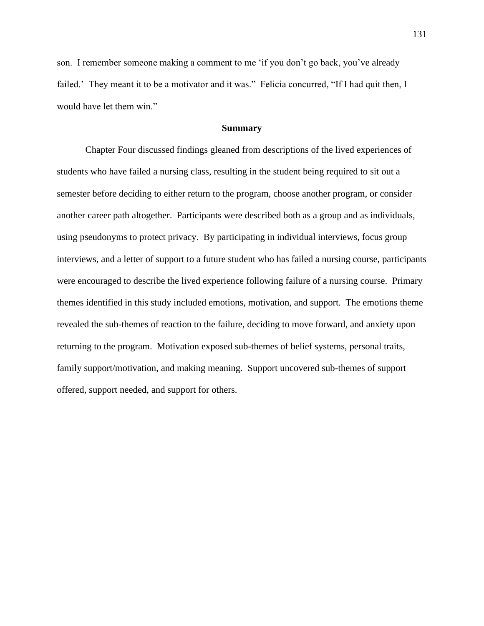son. I remember someone making a comment to me 'if you don't go back, you've already failed.' They meant it to be a motivator and it was." Felicia concurred, "If I had quit then, I would have let them win."

# **Summary**

Chapter Four discussed findings gleaned from descriptions of the lived experiences of students who have failed a nursing class, resulting in the student being required to sit out a semester before deciding to either return to the program, choose another program, or consider another career path altogether. Participants were described both as a group and as individuals, using pseudonyms to protect privacy. By participating in individual interviews, focus group interviews, and a letter of support to a future student who has failed a nursing course, participants were encouraged to describe the lived experience following failure of a nursing course. Primary themes identified in this study included emotions, motivation, and support. The emotions theme revealed the sub-themes of reaction to the failure, deciding to move forward, and anxiety upon returning to the program. Motivation exposed sub-themes of belief systems, personal traits, family support/motivation, and making meaning. Support uncovered sub-themes of support offered, support needed, and support for others.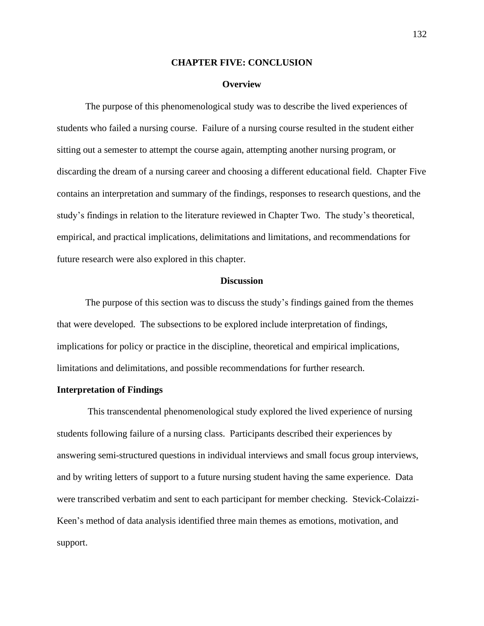### **CHAPTER FIVE: CONCLUSION**

#### **Overview**

The purpose of this phenomenological study was to describe the lived experiences of students who failed a nursing course. Failure of a nursing course resulted in the student either sitting out a semester to attempt the course again, attempting another nursing program, or discarding the dream of a nursing career and choosing a different educational field. Chapter Five contains an interpretation and summary of the findings, responses to research questions, and the study's findings in relation to the literature reviewed in Chapter Two. The study's theoretical, empirical, and practical implications, delimitations and limitations, and recommendations for future research were also explored in this chapter.

### **Discussion**

The purpose of this section was to discuss the study's findings gained from the themes that were developed. The subsections to be explored include interpretation of findings, implications for policy or practice in the discipline, theoretical and empirical implications, limitations and delimitations, and possible recommendations for further research.

## **Interpretation of Findings**

This transcendental phenomenological study explored the lived experience of nursing students following failure of a nursing class. Participants described their experiences by answering semi-structured questions in individual interviews and small focus group interviews, and by writing letters of support to a future nursing student having the same experience. Data were transcribed verbatim and sent to each participant for member checking. Stevick-Colaizzi-Keen's method of data analysis identified three main themes as emotions, motivation, and support.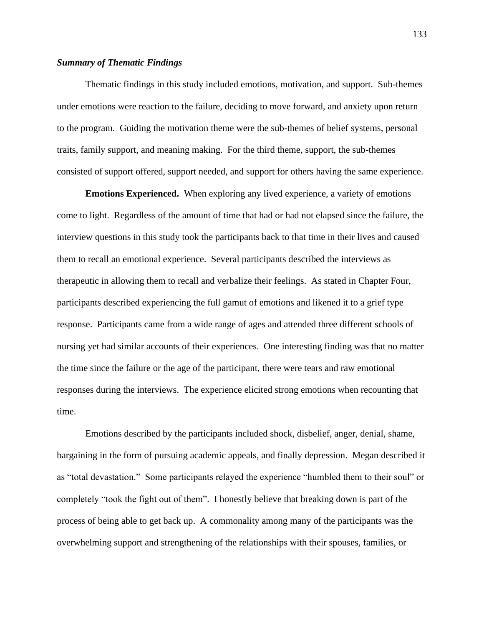## *Summary of Thematic Findings*

Thematic findings in this study included emotions, motivation, and support. Sub-themes under emotions were reaction to the failure, deciding to move forward, and anxiety upon return to the program. Guiding the motivation theme were the sub-themes of belief systems, personal traits, family support, and meaning making. For the third theme, support, the sub-themes consisted of support offered, support needed, and support for others having the same experience.

**Emotions Experienced.** When exploring any lived experience, a variety of emotions come to light. Regardless of the amount of time that had or had not elapsed since the failure, the interview questions in this study took the participants back to that time in their lives and caused them to recall an emotional experience. Several participants described the interviews as therapeutic in allowing them to recall and verbalize their feelings. As stated in Chapter Four, participants described experiencing the full gamut of emotions and likened it to a grief type response. Participants came from a wide range of ages and attended three different schools of nursing yet had similar accounts of their experiences. One interesting finding was that no matter the time since the failure or the age of the participant, there were tears and raw emotional responses during the interviews. The experience elicited strong emotions when recounting that time.

Emotions described by the participants included shock, disbelief, anger, denial, shame, bargaining in the form of pursuing academic appeals, and finally depression. Megan described it as "total devastation." Some participants relayed the experience "humbled them to their soul" or completely "took the fight out of them". I honestly believe that breaking down is part of the process of being able to get back up. A commonality among many of the participants was the overwhelming support and strengthening of the relationships with their spouses, families, or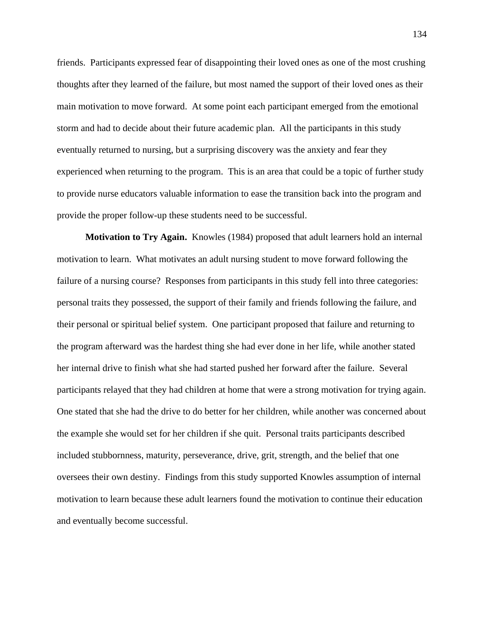friends. Participants expressed fear of disappointing their loved ones as one of the most crushing thoughts after they learned of the failure, but most named the support of their loved ones as their main motivation to move forward. At some point each participant emerged from the emotional storm and had to decide about their future academic plan. All the participants in this study eventually returned to nursing, but a surprising discovery was the anxiety and fear they experienced when returning to the program. This is an area that could be a topic of further study to provide nurse educators valuable information to ease the transition back into the program and provide the proper follow-up these students need to be successful.

**Motivation to Try Again.** Knowles (1984) proposed that adult learners hold an internal motivation to learn. What motivates an adult nursing student to move forward following the failure of a nursing course? Responses from participants in this study fell into three categories: personal traits they possessed, the support of their family and friends following the failure, and their personal or spiritual belief system. One participant proposed that failure and returning to the program afterward was the hardest thing she had ever done in her life, while another stated her internal drive to finish what she had started pushed her forward after the failure. Several participants relayed that they had children at home that were a strong motivation for trying again. One stated that she had the drive to do better for her children, while another was concerned about the example she would set for her children if she quit. Personal traits participants described included stubbornness, maturity, perseverance, drive, grit, strength, and the belief that one oversees their own destiny. Findings from this study supported Knowles assumption of internal motivation to learn because these adult learners found the motivation to continue their education and eventually become successful.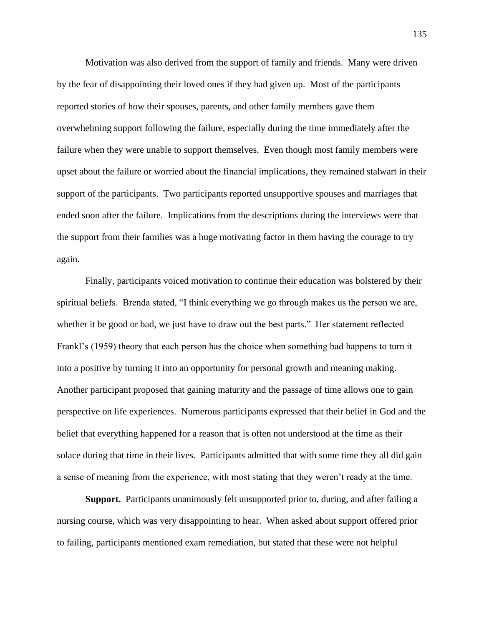Motivation was also derived from the support of family and friends. Many were driven by the fear of disappointing their loved ones if they had given up. Most of the participants reported stories of how their spouses, parents, and other family members gave them overwhelming support following the failure, especially during the time immediately after the failure when they were unable to support themselves. Even though most family members were upset about the failure or worried about the financial implications, they remained stalwart in their support of the participants. Two participants reported unsupportive spouses and marriages that ended soon after the failure. Implications from the descriptions during the interviews were that the support from their families was a huge motivating factor in them having the courage to try again.

Finally, participants voiced motivation to continue their education was bolstered by their spiritual beliefs. Brenda stated, "I think everything we go through makes us the person we are, whether it be good or bad, we just have to draw out the best parts." Her statement reflected Frankl's (1959) theory that each person has the choice when something bad happens to turn it into a positive by turning it into an opportunity for personal growth and meaning making. Another participant proposed that gaining maturity and the passage of time allows one to gain perspective on life experiences. Numerous participants expressed that their belief in God and the belief that everything happened for a reason that is often not understood at the time as their solace during that time in their lives. Participants admitted that with some time they all did gain a sense of meaning from the experience, with most stating that they weren't ready at the time.

**Support.** Participants unanimously felt unsupported prior to, during, and after failing a nursing course, which was very disappointing to hear. When asked about support offered prior to failing, participants mentioned exam remediation, but stated that these were not helpful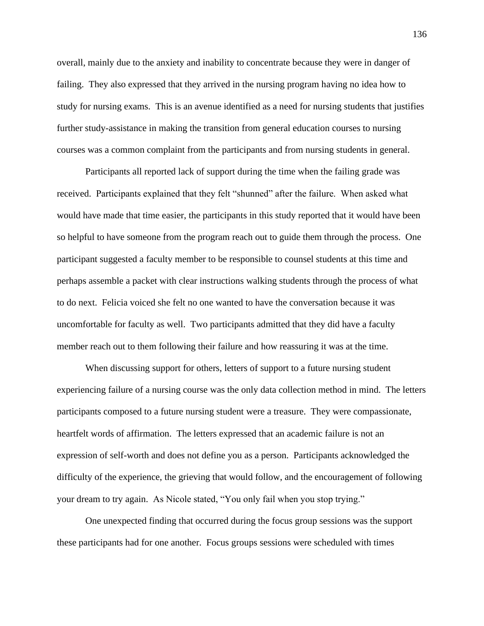overall, mainly due to the anxiety and inability to concentrate because they were in danger of failing. They also expressed that they arrived in the nursing program having no idea how to study for nursing exams. This is an avenue identified as a need for nursing students that justifies further study-assistance in making the transition from general education courses to nursing courses was a common complaint from the participants and from nursing students in general.

Participants all reported lack of support during the time when the failing grade was received. Participants explained that they felt "shunned" after the failure. When asked what would have made that time easier, the participants in this study reported that it would have been so helpful to have someone from the program reach out to guide them through the process. One participant suggested a faculty member to be responsible to counsel students at this time and perhaps assemble a packet with clear instructions walking students through the process of what to do next. Felicia voiced she felt no one wanted to have the conversation because it was uncomfortable for faculty as well. Two participants admitted that they did have a faculty member reach out to them following their failure and how reassuring it was at the time.

When discussing support for others, letters of support to a future nursing student experiencing failure of a nursing course was the only data collection method in mind. The letters participants composed to a future nursing student were a treasure. They were compassionate, heartfelt words of affirmation. The letters expressed that an academic failure is not an expression of self-worth and does not define you as a person. Participants acknowledged the difficulty of the experience, the grieving that would follow, and the encouragement of following your dream to try again. As Nicole stated, "You only fail when you stop trying."

One unexpected finding that occurred during the focus group sessions was the support these participants had for one another. Focus groups sessions were scheduled with times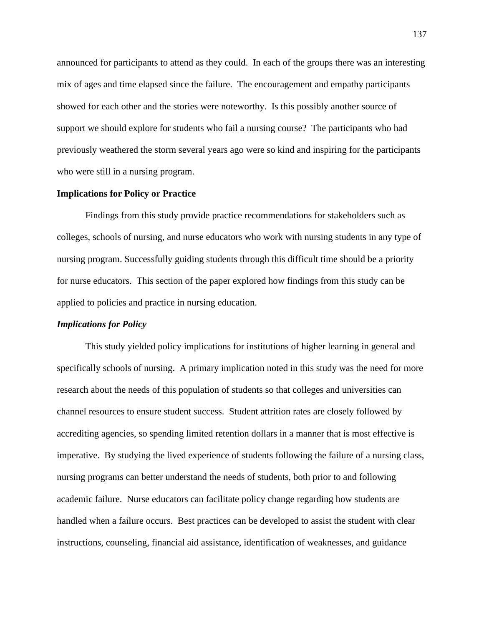announced for participants to attend as they could. In each of the groups there was an interesting mix of ages and time elapsed since the failure. The encouragement and empathy participants showed for each other and the stories were noteworthy. Is this possibly another source of support we should explore for students who fail a nursing course? The participants who had previously weathered the storm several years ago were so kind and inspiring for the participants who were still in a nursing program.

# **Implications for Policy or Practice**

Findings from this study provide practice recommendations for stakeholders such as colleges, schools of nursing, and nurse educators who work with nursing students in any type of nursing program. Successfully guiding students through this difficult time should be a priority for nurse educators. This section of the paper explored how findings from this study can be applied to policies and practice in nursing education.

## *Implications for Policy*

This study yielded policy implications for institutions of higher learning in general and specifically schools of nursing. A primary implication noted in this study was the need for more research about the needs of this population of students so that colleges and universities can channel resources to ensure student success. Student attrition rates are closely followed by accrediting agencies, so spending limited retention dollars in a manner that is most effective is imperative. By studying the lived experience of students following the failure of a nursing class, nursing programs can better understand the needs of students, both prior to and following academic failure. Nurse educators can facilitate policy change regarding how students are handled when a failure occurs. Best practices can be developed to assist the student with clear instructions, counseling, financial aid assistance, identification of weaknesses, and guidance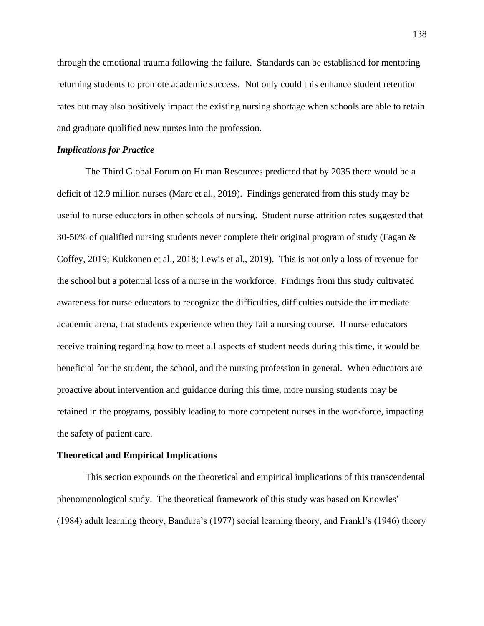through the emotional trauma following the failure. Standards can be established for mentoring returning students to promote academic success. Not only could this enhance student retention rates but may also positively impact the existing nursing shortage when schools are able to retain and graduate qualified new nurses into the profession.

### *Implications for Practice*

The Third Global Forum on Human Resources predicted that by 2035 there would be a deficit of 12.9 million nurses (Marc et al., 2019). Findings generated from this study may be useful to nurse educators in other schools of nursing. Student nurse attrition rates suggested that 30-50% of qualified nursing students never complete their original program of study (Fagan & Coffey, 2019; Kukkonen et al., 2018; Lewis et al., 2019). This is not only a loss of revenue for the school but a potential loss of a nurse in the workforce. Findings from this study cultivated awareness for nurse educators to recognize the difficulties, difficulties outside the immediate academic arena, that students experience when they fail a nursing course. If nurse educators receive training regarding how to meet all aspects of student needs during this time, it would be beneficial for the student, the school, and the nursing profession in general. When educators are proactive about intervention and guidance during this time, more nursing students may be retained in the programs, possibly leading to more competent nurses in the workforce, impacting the safety of patient care.

#### **Theoretical and Empirical Implications**

This section expounds on the theoretical and empirical implications of this transcendental phenomenological study. The theoretical framework of this study was based on Knowles' (1984) adult learning theory, Bandura's (1977) social learning theory, and Frankl's (1946) theory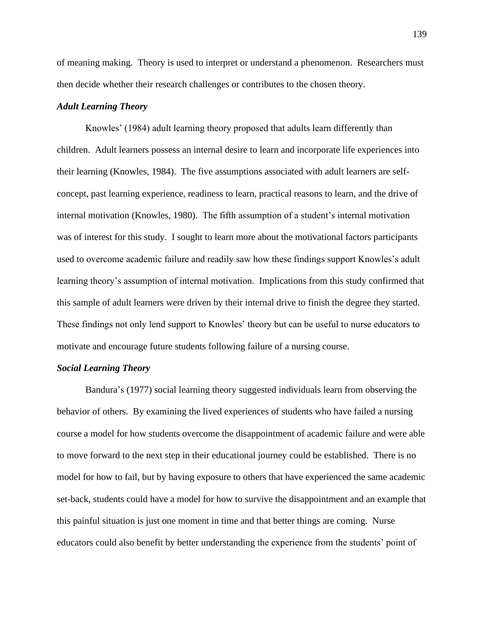of meaning making. Theory is used to interpret or understand a phenomenon. Researchers must then decide whether their research challenges or contributes to the chosen theory.

## *Adult Learning Theory*

Knowles' (1984) adult learning theory proposed that adults learn differently than children. Adult learners possess an internal desire to learn and incorporate life experiences into their learning (Knowles, 1984). The five assumptions associated with adult learners are selfconcept, past learning experience, readiness to learn, practical reasons to learn, and the drive of internal motivation (Knowles, 1980). The fifth assumption of a student's internal motivation was of interest for this study. I sought to learn more about the motivational factors participants used to overcome academic failure and readily saw how these findings support Knowles's adult learning theory's assumption of internal motivation. Implications from this study confirmed that this sample of adult learners were driven by their internal drive to finish the degree they started. These findings not only lend support to Knowles' theory but can be useful to nurse educators to motivate and encourage future students following failure of a nursing course.

#### *Social Learning Theory*

Bandura's (1977) social learning theory suggested individuals learn from observing the behavior of others. By examining the lived experiences of students who have failed a nursing course a model for how students overcome the disappointment of academic failure and were able to move forward to the next step in their educational journey could be established. There is no model for how to fail, but by having exposure to others that have experienced the same academic set-back, students could have a model for how to survive the disappointment and an example that this painful situation is just one moment in time and that better things are coming. Nurse educators could also benefit by better understanding the experience from the students' point of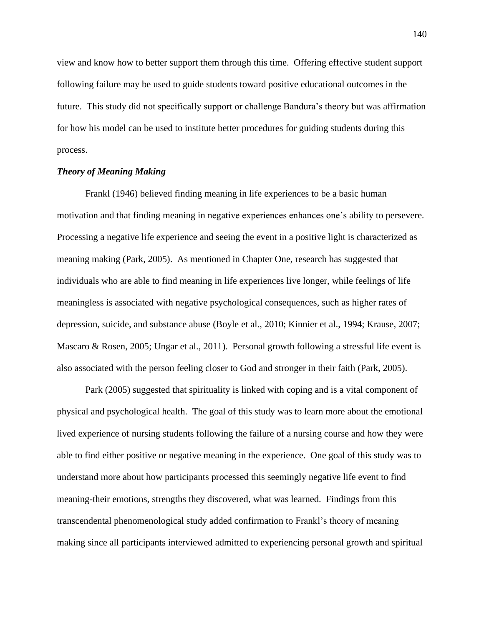view and know how to better support them through this time. Offering effective student support following failure may be used to guide students toward positive educational outcomes in the future. This study did not specifically support or challenge Bandura's theory but was affirmation for how his model can be used to institute better procedures for guiding students during this process.

# *Theory of Meaning Making*

Frankl (1946) believed finding meaning in life experiences to be a basic human motivation and that finding meaning in negative experiences enhances one's ability to persevere. Processing a negative life experience and seeing the event in a positive light is characterized as meaning making (Park, 2005). As mentioned in Chapter One, research has suggested that individuals who are able to find meaning in life experiences live longer, while feelings of life meaningless is associated with negative psychological consequences, such as higher rates of depression, suicide, and substance abuse (Boyle et al., 2010; Kinnier et al., 1994; Krause, 2007; Mascaro & Rosen, 2005; Ungar et al., 2011). Personal growth following a stressful life event is also associated with the person feeling closer to God and stronger in their faith (Park, 2005).

Park (2005) suggested that spirituality is linked with coping and is a vital component of physical and psychological health. The goal of this study was to learn more about the emotional lived experience of nursing students following the failure of a nursing course and how they were able to find either positive or negative meaning in the experience. One goal of this study was to understand more about how participants processed this seemingly negative life event to find meaning-their emotions, strengths they discovered, what was learned. Findings from this transcendental phenomenological study added confirmation to Frankl's theory of meaning making since all participants interviewed admitted to experiencing personal growth and spiritual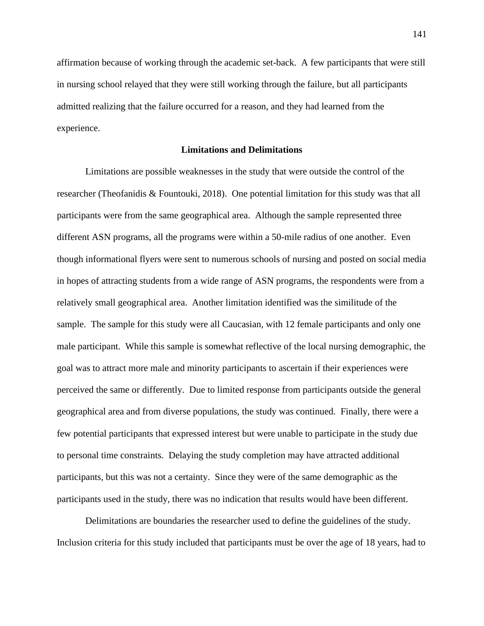affirmation because of working through the academic set-back. A few participants that were still in nursing school relayed that they were still working through the failure, but all participants admitted realizing that the failure occurred for a reason, and they had learned from the experience.

## **Limitations and Delimitations**

Limitations are possible weaknesses in the study that were outside the control of the researcher (Theofanidis & Fountouki, 2018). One potential limitation for this study was that all participants were from the same geographical area. Although the sample represented three different ASN programs, all the programs were within a 50-mile radius of one another. Even though informational flyers were sent to numerous schools of nursing and posted on social media in hopes of attracting students from a wide range of ASN programs, the respondents were from a relatively small geographical area. Another limitation identified was the similitude of the sample. The sample for this study were all Caucasian, with 12 female participants and only one male participant. While this sample is somewhat reflective of the local nursing demographic, the goal was to attract more male and minority participants to ascertain if their experiences were perceived the same or differently. Due to limited response from participants outside the general geographical area and from diverse populations, the study was continued. Finally, there were a few potential participants that expressed interest but were unable to participate in the study due to personal time constraints. Delaying the study completion may have attracted additional participants, but this was not a certainty. Since they were of the same demographic as the participants used in the study, there was no indication that results would have been different.

Delimitations are boundaries the researcher used to define the guidelines of the study. Inclusion criteria for this study included that participants must be over the age of 18 years, had to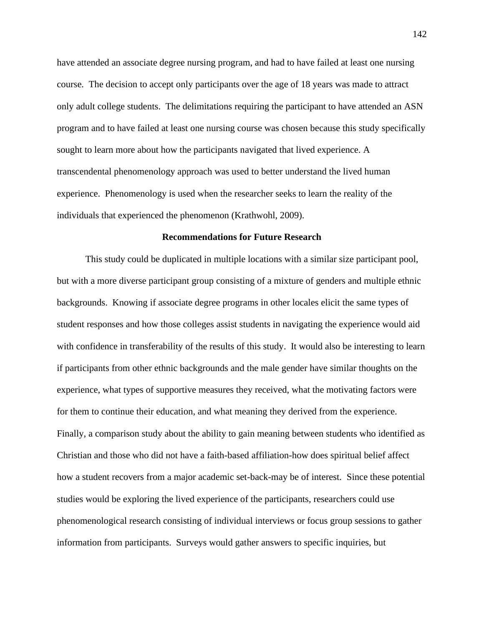have attended an associate degree nursing program, and had to have failed at least one nursing course. The decision to accept only participants over the age of 18 years was made to attract only adult college students. The delimitations requiring the participant to have attended an ASN program and to have failed at least one nursing course was chosen because this study specifically sought to learn more about how the participants navigated that lived experience. A transcendental phenomenology approach was used to better understand the lived human experience. Phenomenology is used when the researcher seeks to learn the reality of the individuals that experienced the phenomenon (Krathwohl, 2009).

### **Recommendations for Future Research**

This study could be duplicated in multiple locations with a similar size participant pool, but with a more diverse participant group consisting of a mixture of genders and multiple ethnic backgrounds. Knowing if associate degree programs in other locales elicit the same types of student responses and how those colleges assist students in navigating the experience would aid with confidence in transferability of the results of this study. It would also be interesting to learn if participants from other ethnic backgrounds and the male gender have similar thoughts on the experience, what types of supportive measures they received, what the motivating factors were for them to continue their education, and what meaning they derived from the experience. Finally, a comparison study about the ability to gain meaning between students who identified as Christian and those who did not have a faith-based affiliation-how does spiritual belief affect how a student recovers from a major academic set-back-may be of interest. Since these potential studies would be exploring the lived experience of the participants, researchers could use phenomenological research consisting of individual interviews or focus group sessions to gather information from participants. Surveys would gather answers to specific inquiries, but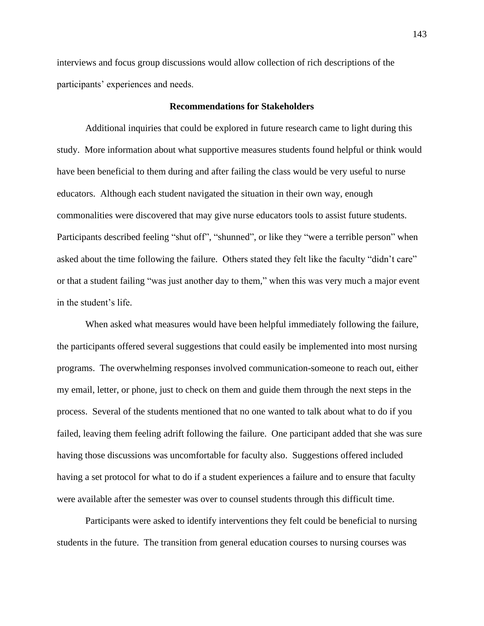interviews and focus group discussions would allow collection of rich descriptions of the participants' experiences and needs.

### **Recommendations for Stakeholders**

Additional inquiries that could be explored in future research came to light during this study. More information about what supportive measures students found helpful or think would have been beneficial to them during and after failing the class would be very useful to nurse educators. Although each student navigated the situation in their own way, enough commonalities were discovered that may give nurse educators tools to assist future students. Participants described feeling "shut off", "shunned", or like they "were a terrible person" when asked about the time following the failure. Others stated they felt like the faculty "didn't care" or that a student failing "was just another day to them," when this was very much a major event in the student's life.

When asked what measures would have been helpful immediately following the failure, the participants offered several suggestions that could easily be implemented into most nursing programs. The overwhelming responses involved communication-someone to reach out, either my email, letter, or phone, just to check on them and guide them through the next steps in the process. Several of the students mentioned that no one wanted to talk about what to do if you failed, leaving them feeling adrift following the failure. One participant added that she was sure having those discussions was uncomfortable for faculty also. Suggestions offered included having a set protocol for what to do if a student experiences a failure and to ensure that faculty were available after the semester was over to counsel students through this difficult time.

Participants were asked to identify interventions they felt could be beneficial to nursing students in the future. The transition from general education courses to nursing courses was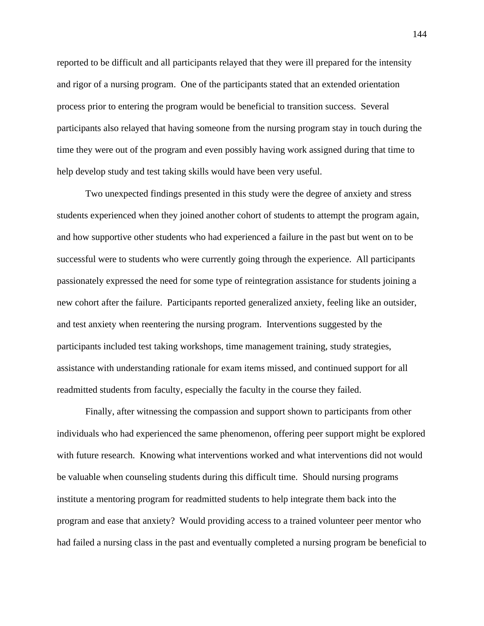reported to be difficult and all participants relayed that they were ill prepared for the intensity and rigor of a nursing program. One of the participants stated that an extended orientation process prior to entering the program would be beneficial to transition success. Several participants also relayed that having someone from the nursing program stay in touch during the time they were out of the program and even possibly having work assigned during that time to help develop study and test taking skills would have been very useful.

Two unexpected findings presented in this study were the degree of anxiety and stress students experienced when they joined another cohort of students to attempt the program again, and how supportive other students who had experienced a failure in the past but went on to be successful were to students who were currently going through the experience. All participants passionately expressed the need for some type of reintegration assistance for students joining a new cohort after the failure. Participants reported generalized anxiety, feeling like an outsider, and test anxiety when reentering the nursing program. Interventions suggested by the participants included test taking workshops, time management training, study strategies, assistance with understanding rationale for exam items missed, and continued support for all readmitted students from faculty, especially the faculty in the course they failed.

Finally, after witnessing the compassion and support shown to participants from other individuals who had experienced the same phenomenon, offering peer support might be explored with future research. Knowing what interventions worked and what interventions did not would be valuable when counseling students during this difficult time. Should nursing programs institute a mentoring program for readmitted students to help integrate them back into the program and ease that anxiety? Would providing access to a trained volunteer peer mentor who had failed a nursing class in the past and eventually completed a nursing program be beneficial to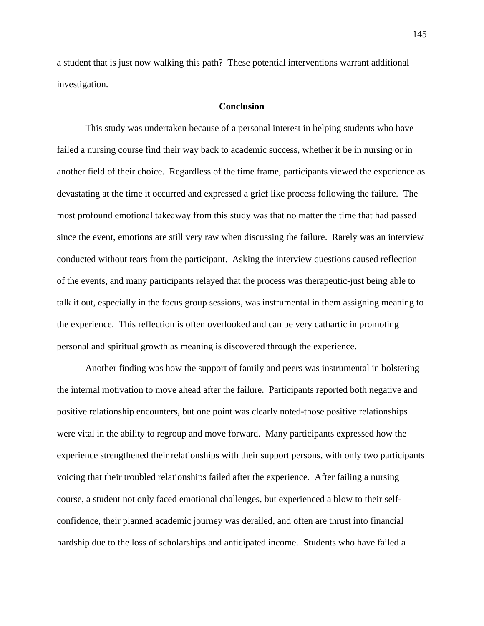a student that is just now walking this path? These potential interventions warrant additional investigation.

#### **Conclusion**

This study was undertaken because of a personal interest in helping students who have failed a nursing course find their way back to academic success, whether it be in nursing or in another field of their choice. Regardless of the time frame, participants viewed the experience as devastating at the time it occurred and expressed a grief like process following the failure. The most profound emotional takeaway from this study was that no matter the time that had passed since the event, emotions are still very raw when discussing the failure. Rarely was an interview conducted without tears from the participant. Asking the interview questions caused reflection of the events, and many participants relayed that the process was therapeutic-just being able to talk it out, especially in the focus group sessions, was instrumental in them assigning meaning to the experience. This reflection is often overlooked and can be very cathartic in promoting personal and spiritual growth as meaning is discovered through the experience.

Another finding was how the support of family and peers was instrumental in bolstering the internal motivation to move ahead after the failure. Participants reported both negative and positive relationship encounters, but one point was clearly noted-those positive relationships were vital in the ability to regroup and move forward. Many participants expressed how the experience strengthened their relationships with their support persons, with only two participants voicing that their troubled relationships failed after the experience. After failing a nursing course, a student not only faced emotional challenges, but experienced a blow to their selfconfidence, their planned academic journey was derailed, and often are thrust into financial hardship due to the loss of scholarships and anticipated income. Students who have failed a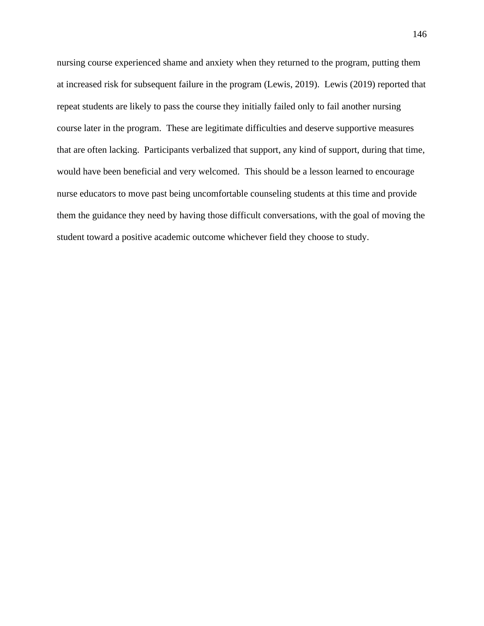nursing course experienced shame and anxiety when they returned to the program, putting them at increased risk for subsequent failure in the program (Lewis, 2019). Lewis (2019) reported that repeat students are likely to pass the course they initially failed only to fail another nursing course later in the program. These are legitimate difficulties and deserve supportive measures that are often lacking. Participants verbalized that support, any kind of support, during that time, would have been beneficial and very welcomed. This should be a lesson learned to encourage nurse educators to move past being uncomfortable counseling students at this time and provide them the guidance they need by having those difficult conversations, with the goal of moving the student toward a positive academic outcome whichever field they choose to study.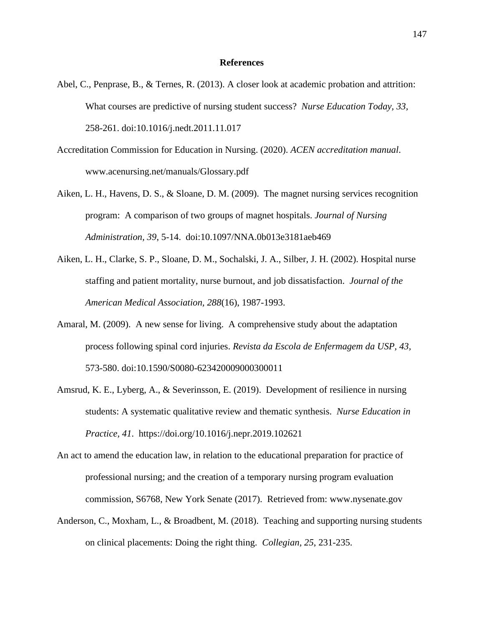#### **References**

- Abel, C., Penprase, B., & Ternes, R. (2013). A closer look at academic probation and attrition: What courses are predictive of nursing student success? *Nurse Education Today, 33,* 258-261. doi:10.1016/j.nedt.2011.11.017
- Accreditation Commission for Education in Nursing. (2020). *ACEN accreditation manual*. [www.acenursing.net/manuals/Glossary.pdf](about:blank)
- Aiken, L. H., Havens, D. S., & Sloane, D. M. (2009). The magnet nursing services recognition program: A comparison of two groups of magnet hospitals. *Journal of Nursing Administration, 39*, 5-14. doi:10.1097/NNA.0b013e3181aeb469
- Aiken, L. H., Clarke, S. P., Sloane, D. M., Sochalski, J. A., Silber, J. H. (2002). Hospital nurse staffing and patient mortality, nurse burnout, and job dissatisfaction. *Journal of the American Medical Association, 288*(16), 1987-1993.
- Amaral, M. (2009). A new sense for living. A comprehensive study about the adaptation process following spinal cord injuries. *Revista da Escola de Enfermagem da USP, 43,* 573-580. doi:10.1590/S0080-623420009000300011
- Amsrud, K. E., Lyberg, A., & Severinsson, E. (2019). Development of resilience in nursing students: A systematic qualitative review and thematic synthesis. *Nurse Education in Practice, 41*. <https://doi.org/10.1016/j.nepr.2019.102621>
- An act to amend the education law, in relation to the educational preparation for practice of professional nursing; and the creation of a temporary nursing program evaluation commission, S6768, New York Senate (2017). Retrieved from: www.nysenate.gov
- Anderson, C., Moxham, L., & Broadbent, M. (2018). Teaching and supporting nursing students on clinical placements: Doing the right thing. *Collegian, 25*, 231-235.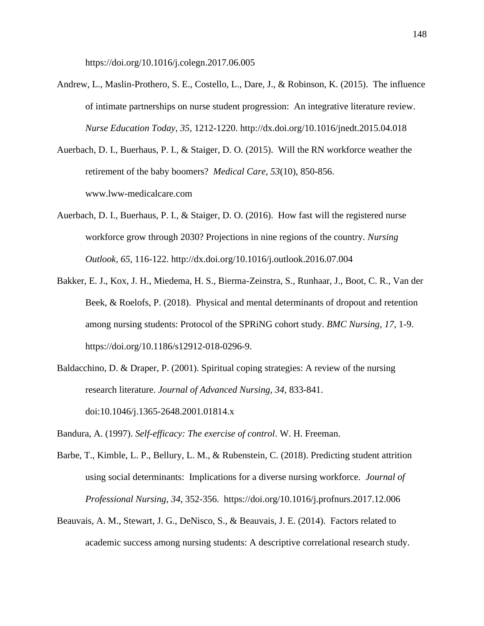https://doi.org/10.1016/j.colegn.2017.06.005

- Andrew, L., Maslin-Prothero, S. E., Costello, L., Dare, J., & Robinson, K. (2015). The influence of intimate partnerships on nurse student progression: An integrative literature review. *Nurse Education Today, 35*, 1212-1220. [http://dx.doi.org/10.1016/jnedt.2015.04.018](about:blank)
- Auerbach, D. I., Buerhaus, P. I., & Staiger, D. O. (2015). Will the RN workforce weather the retirement of the baby boomers? *Medical Care, 53*(10), 850-856. www.lww-medicalcare.com
- Auerbach, D. I., Buerhaus, P. I., & Staiger, D. O. (2016). How fast will the registered nurse workforce grow through 2030? Projections in nine regions of the country. *Nursing Outlook, 65*, 116-122. http://dx.doi.org/10.1016/j.outlook.2016.07.004
- Bakker, E. J., Kox, J. H., Miedema, H. S., Bierma-Zeinstra, S., Runhaar, J., Boot, C. R., Van der Beek, & Roelofs, P. (2018). Physical and mental determinants of dropout and retention among nursing students: Protocol of the SPRiNG cohort study. *BMC Nursing, 17*, 1-9. https://doi.org/10.1186/s12912-018-0296-9.
- Baldacchino, D. & Draper, P. (2001). Spiritual coping strategies: A review of the nursing research literature. *Journal of Advanced Nursing, 34*, 833-841. doi:10.1046/j.1365-2648.2001.01814.x

Bandura, A. (1997). *Self-efficacy: The exercise of control*. W. H. Freeman.

- Barbe, T., Kimble, L. P., Bellury, L. M., & Rubenstein, C. (2018). Predicting student attrition using social determinants: Implications for a diverse nursing workforce. *Journal of Professional Nursing, 34*, 352-356. [https://doi.org/10.1016/j.profnurs.2017.12.006](about:blank)
- Beauvais, A. M., Stewart, J. G., DeNisco, S., & Beauvais, J. E. (2014). Factors related to academic success among nursing students: A descriptive correlational research study.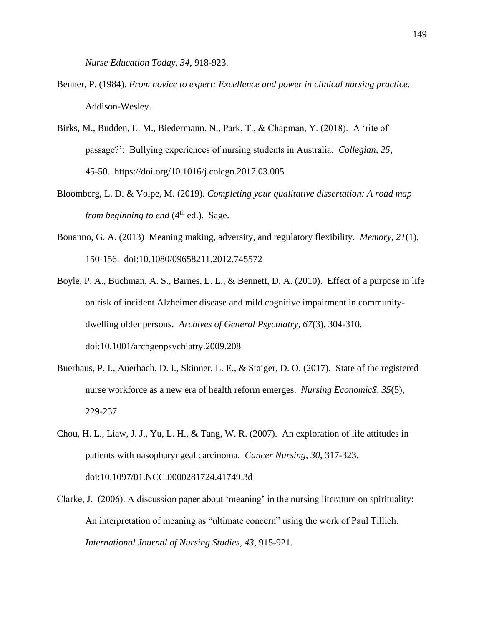*Nurse Education Today, 34,* 918-923.

- Benner, P. (1984). *From novice to expert: Excellence and power in clinical nursing practice.* Addison-Wesley.
- Birks, M., Budden, L. M., Biedermann, N., Park, T., & Chapman, Y. (2018). A 'rite of passage?': Bullying experiences of nursing students in Australia. *Collegian, 25,* 45-50. https://doi.org/10.1016/j.colegn.2017.03.005
- Bloomberg, L. D. & Volpe, M. (2019). *Completing your qualitative dissertation: A road map from beginning to end* (4<sup>th</sup> ed.). Sage.
- Bonanno, G. A. (2013) Meaning making, adversity, and regulatory flexibility. *Memory, 21*(1), 150-156. doi:10.1080/09658211.2012.745572
- Boyle, P. A., Buchman, A. S., Barnes, L. L., & Bennett, D. A. (2010). Effect of a purpose in life on risk of incident Alzheimer disease and mild cognitive impairment in communitydwelling older persons. *Archives of General Psychiatry, 67*(3), 304-310. doi:10.1001/archgenpsychiatry.2009.208
- Buerhaus, P. I., Auerbach, D. I., Skinner, L. E., & Staiger, D. O. (2017). State of the registered nurse workforce as a new era of health reform emerges. *Nursing Economic\$, 35*(5), 229-237.
- Chou, H. L., Liaw, J. J., Yu, L. H., & Tang, W. R. (2007). An exploration of life attitudes in patients with nasopharyngeal carcinoma. *Cancer Nursing, 30*, 317-323. doi:10.1097/01.NCC.0000281724.41749.3d
- Clarke, J. (2006). A discussion paper about 'meaning' in the nursing literature on spirituality: An interpretation of meaning as "ultimate concern" using the work of Paul Tillich. *International Journal of Nursing Studies, 43*, 915-921.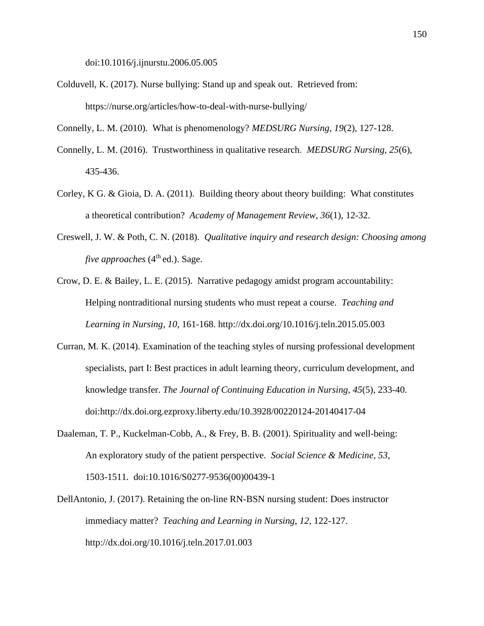doi:10.1016/j.ijnurstu.2006.05.005

Colduvell, K. (2017). Nurse bullying: Stand up and speak out. Retrieved from: https://nurse.org/articles/how-to-deal-with-nurse-bullying/

Connelly, L. M. (2010). What is phenomenology? *MEDSURG Nursing, 19*(2), 127-128.

- Connelly, L. M. (2016). Trustworthiness in qualitative research. *MEDSURG Nursing, 25*(6), 435-436.
- Corley, K G. & Gioia, D. A. (2011). Building theory about theory building: What constitutes a theoretical contribution? *Academy of Management Review, 36*(1), 12-32.
- Creswell, J. W. & Poth, C. N. (2018). *Qualitative inquiry and research design: Choosing among five approaches*  $(4<sup>th</sup>$  ed.). Sage.
- Crow, D. E. & Bailey, L. E. (2015). Narrative pedagogy amidst program accountability: Helping nontraditional nursing students who must repeat a course. *Teaching and Learning in Nursing, 10*, 161-168. http://dx.doi.org/10.1016/j.teln.2015.05.003
- Curran, M. K. (2014). Examination of the teaching styles of nursing professional development specialists, part I: Best practices in adult learning theory, curriculum development, and knowledge transfer. *The Journal of Continuing Education in Nursing, 45*(5), 233-40. doi:http://dx.doi.org.ezproxy.liberty.edu/10.3928/00220124-20140417-04
- Daaleman, T. P., Kuckelman-Cobb, A., & Frey, B. B. (2001). Spirituality and well-being: An exploratory study of the patient perspective. *Social Science & Medicine, 53*, 1503-1511. doi:10.1016/S0277-9536(00)00439-1
- DellAntonio, J. (2017). Retaining the on-line RN-BSN nursing student: Does instructor immediacy matter? *Teaching and Learning in Nursing*, *12,* 122-127. http://dx.doi.org/10.1016/j.teln.2017.01.003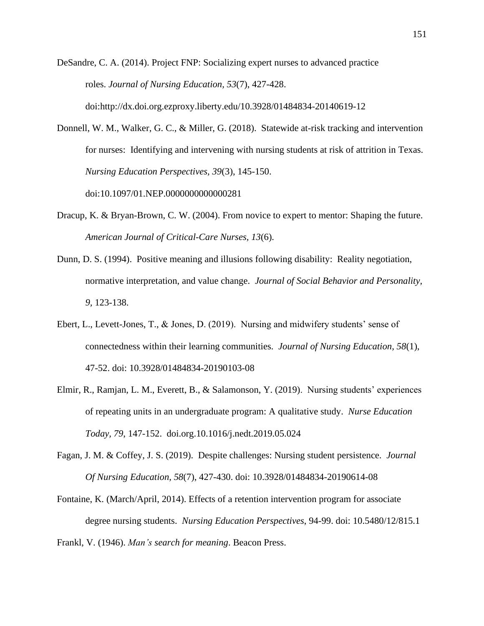DeSandre, C. A. (2014). Project FNP: Socializing expert nurses to advanced practice roles. *Journal of Nursing Education, 53*(7), 427-428. doi:http://dx.doi.org.ezproxy.liberty.edu/10.3928/01484834-20140619-12

- Donnell, W. M., Walker, G. C., & Miller, G. (2018). Statewide at-risk tracking and intervention for nurses: Identifying and intervening with nursing students at risk of attrition in Texas. *Nursing Education Perspectives, 39*(3), 145-150. doi:10.1097/01.NEP.0000000000000281
- Dracup, K. & Bryan-Brown, C. W. (2004). From novice to expert to mentor: Shaping the future. *American Journal of Critical-Care Nurses, 13*(6).
- Dunn, D. S. (1994). Positive meaning and illusions following disability: Reality negotiation, normative interpretation, and value change. *Journal of Social Behavior and Personality, 9,* 123-138.
- Ebert, L., Levett-Jones, T., & Jones, D. (2019). Nursing and midwifery students' sense of connectedness within their learning communities. *Journal of Nursing Education, 58*(1), 47-52. doi: 10.3928/01484834-20190103-08
- Elmir, R., Ramjan, L. M., Everett, B., & Salamonson, Y. (2019). Nursing students' experiences of repeating units in an undergraduate program: A qualitative study. *Nurse Education Today, 79*, 147-152. doi.org.10.1016/j.nedt.2019.05.024
- Fagan, J. M. & Coffey, J. S. (2019). Despite challenges: Nursing student persistence. *Journal Of Nursing Education, 58*(7), 427-430. doi: 10.3928/01484834-20190614-08
- Fontaine, K. (March/April, 2014). Effects of a retention intervention program for associate degree nursing students. *Nursing Education Perspectives*, 94-99. doi: 10.5480/12/815.1

Frankl, V. (1946). *Man's search for meaning*. Beacon Press.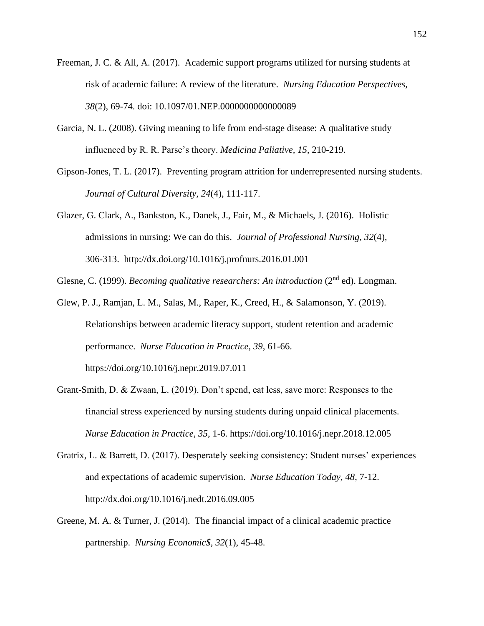- Freeman, J. C. & All, A. (2017). Academic support programs utilized for nursing students at risk of academic failure: A review of the literature. *Nursing Education Perspectives, 38*(2), 69-74. doi: 10.1097/01.NEP.0000000000000089
- Garcia, N. L. (2008). Giving meaning to life from end-stage disease: A qualitative study influenced by R. R. Parse's theory. *Medicina Paliative, 15*, 210-219.
- Gipson-Jones, T. L. (2017). Preventing program attrition for underrepresented nursing students. *Journal of Cultural Diversity, 24*(4), 111-117.
- Glazer, G. Clark, A., Bankston, K., Danek, J., Fair, M., & Michaels, J. (2016). Holistic admissions in nursing: We can do this. *Journal of Professional Nursing, 32*(4), 306-313. http://dx.doi.org/10.1016/j.profnurs.2016.01.001

Glesne, C. (1999). *Becoming qualitative researchers: An introduction* (2<sup>nd</sup> ed). Longman.

- Glew, P. J., Ramjan, L. M., Salas, M., Raper, K., Creed, H., & Salamonson, Y. (2019). Relationships between academic literacy support, student retention and academic performance. *Nurse Education in Practice, 39*, 61-66. https://doi.org/10.1016/j.nepr.2019.07.011
- Grant-Smith, D. & Zwaan, L. (2019). Don't spend, eat less, save more: Responses to the financial stress experienced by nursing students during unpaid clinical placements. *Nurse Education in Practice, 35*, 1-6. https://doi.org/10.1016/j.nepr.2018.12.005
- Gratrix, L. & Barrett, D. (2017). Desperately seeking consistency: Student nurses' experiences and expectations of academic supervision. *Nurse Education Today, 48*, 7-12. http://dx.doi.org/10.1016/j.nedt.2016.09.005
- Greene, M. A. & Turner, J. (2014). The financial impact of a clinical academic practice partnership. *Nursing Economic\$, 32*(1), 45-48.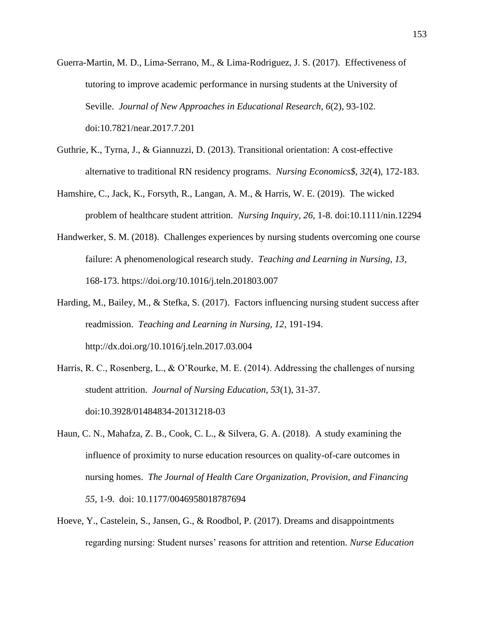- Guerra-Martin, M. D., Lima-Serrano, M., & Lima-Rodriguez, J. S. (2017). Effectiveness of tutoring to improve academic performance in nursing students at the University of Seville. *Journal of New Approaches in Educational Research, 6*(2), 93-102. doi:10.7821/near.2017.7.201
- Guthrie, K., Tyrna, J., & Giannuzzi, D. (2013). Transitional orientation: A cost-effective alternative to traditional RN residency programs. *Nursing Economics\$, 32*(4), 172-183.
- Hamshire, C., Jack, K., Forsyth, R., Langan, A. M., & Harris, W. E. (2019). The wicked problem of healthcare student attrition. *Nursing Inquiry*, *26*, 1-8. doi:10.1111/nin.12294
- Handwerker, S. M. (2018). Challenges experiences by nursing students overcoming one course failure: A phenomenological research study. *Teaching and Learning in Nursing, 13*, 168-173. [https://doi.org/10.1016/j.teln.201803.007](about:blank)
- Harding, M., Bailey, M., & Stefka, S. (2017). Factors influencing nursing student success after readmission. *Teaching and Learning in Nursing, 12*, 191-194. [http://dx.doi.org/10.1016/j.teln.2017.03.004](about:blank)
- Harris, R. C., Rosenberg, L., & O'Rourke, M. E. (2014). Addressing the challenges of nursing student attrition. *Journal of Nursing Education, 53*(1), 31-37. doi:10.3928/01484834-20131218-03
- Haun, C. N., Mahafza, Z. B., Cook, C. L., & Silvera, G. A. (2018). A study examining the influence of proximity to nurse education resources on quality-of-care outcomes in nursing homes. *The Journal of Health Care Organization, Provision, and Financing 55,* 1-9. doi: 10.1177/0046958018787694
- Hoeve, Y., Castelein, S., Jansen, G., & Roodbol, P. (2017). Dreams and disappointments regarding nursing: Student nurses' reasons for attrition and retention. *Nurse Education*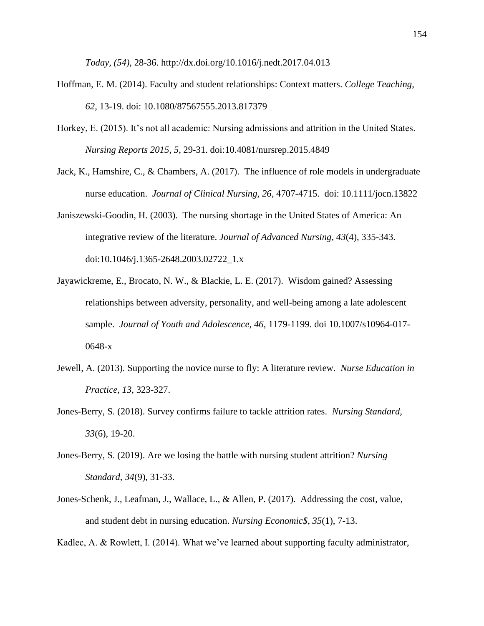*Today, (54)*, 28-36. [http://dx.doi.org/10.1016/j.nedt.2017.04.013](about:blank)

- Hoffman, E. M. (2014). Faculty and student relationships: Context matters. *College Teaching*, *62*, 13-19. doi: 10.1080/87567555.2013.817379
- Horkey, E. (2015). It's not all academic: Nursing admissions and attrition in the United States. *Nursing Reports 2015*, *5*, 29-31. doi:10.4081/nursrep.2015.4849
- Jack, K., Hamshire, C., & Chambers, A. (2017). The influence of role models in undergraduate nurse education. *Journal of Clinical Nursing, 26*, 4707-4715. doi: 10.1111/jocn.13822
- Janiszewski-Goodin, H. (2003). The nursing shortage in the United States of America: An integrative review of the literature. *Journal of Advanced Nursing, 43*(4), 335-343. doi:10.1046/j.1365-2648.2003.02722\_1.x
- Jayawickreme, E., Brocato, N. W., & Blackie, L. E. (2017). Wisdom gained? Assessing relationships between adversity, personality, and well-being among a late adolescent sample. *Journal of Youth and Adolescence, 46,* 1179-1199. doi 10.1007/s10964-017- 0648-x
- Jewell, A. (2013). Supporting the novice nurse to fly: A literature review. *Nurse Education in Practice, 13,* 323-327.
- Jones-Berry, S. (2018). Survey confirms failure to tackle attrition rates. *Nursing Standard, 33*(6), 19-20.
- Jones-Berry, S. (2019). Are we losing the battle with nursing student attrition? *Nursing Standard*, *34*(9), 31-33.
- Jones-Schenk, J., Leafman, J., Wallace, L., & Allen, P. (2017). Addressing the cost, value, and student debt in nursing education. *Nursing Economic\$, 35*(1), 7-13.

Kadlec, A. & Rowlett, I. (2014). What we've learned about supporting faculty administrator,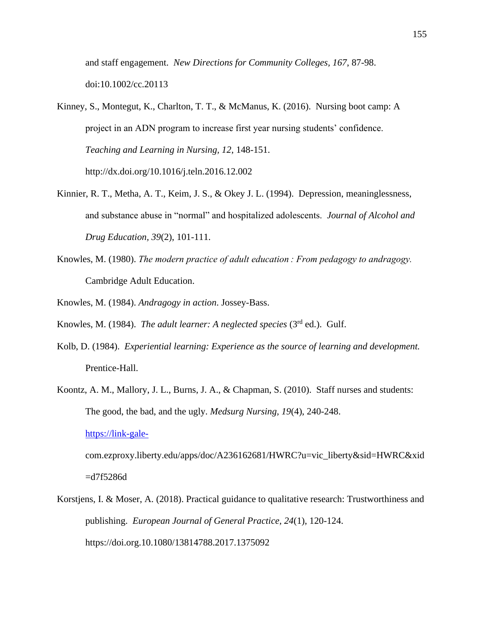and staff engagement. *New Directions for Community Colleges, 167*, 87-98. doi:10.1002/cc.20113

- Kinney, S., Montegut, K., Charlton, T. T., & McManus, K. (2016). Nursing boot camp: A project in an ADN program to increase first year nursing students' confidence. *Teaching and Learning in Nursing, 12*, 148-151. http://dx.doi.org/10.1016/j.teln.2016.12.002
- Kinnier, R. T., Metha, A. T., Keim, J. S., & Okey J. L. (1994). Depression, meaninglessness, and substance abuse in "normal" and hospitalized adolescents. *Journal of Alcohol and Drug Education, 39*(2), 101-111.
- Knowles, M. (1980). *The modern practice of adult education : From pedagogy to andragogy.*  Cambridge Adult Education.
- Knowles, M. (1984). *Andragogy in action*. Jossey-Bass.
- Knowles, M. (1984). *The adult learner: A neglected species* (3rd ed.). Gulf.
- Kolb, D. (1984). *Experiential learning: Experience as the source of learning and development.* Prentice-Hall.
- Koontz, A. M., Mallory, J. L., Burns, J. A., & Chapman, S. (2010). Staff nurses and students: The good, the bad, and the ugly. *Medsurg Nursing, 19*(4), 240-248.

#### [https://link-gale-](https://link-gale-/)

com.ezproxy.liberty.edu/apps/doc/A236162681/HWRC?u=vic\_liberty&sid=HWRC&xid =d7f5286d

Korstjens, I. & Moser, A. (2018). Practical guidance to qualitative research: Trustworthiness and publishing. *European Journal of General Practice, 24*(1), 120-124. https://doi.org.10.1080/13814788.2017.1375092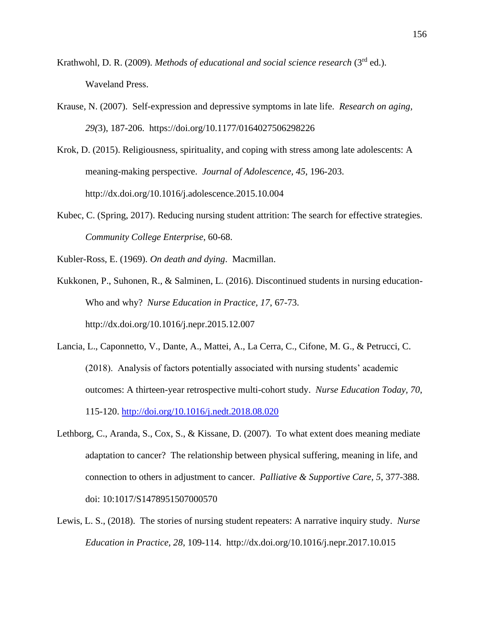- Krathwohl, D. R. (2009). *Methods of educational and social science research* (3<sup>rd</sup> ed.). Waveland Press.
- Krause, N. (2007). Self-expression and depressive symptoms in late life. *Research on aging, 29(*3), 187-206. https://doi.org/10.1177/0164027506298226
- Krok, D. (2015). Religiousness, spirituality, and coping with stress among late adolescents: A meaning-making perspective. *Journal of Adolescence, 45*, 196-203. http://dx.doi.org/10.1016/j.adolescence.2015.10.004
- Kubec, C. (Spring, 2017). Reducing nursing student attrition: The search for effective strategies. *Community College Enterprise*, 60-68.
- Kubler-Ross, E. (1969). *On death and dying*. Macmillan.
- Kukkonen, P., Suhonen, R., & Salminen, L. (2016). Discontinued students in nursing education-Who and why? *Nurse Education in Practice, 17*, 67-73. http://dx.doi.org/10.1016/j.nepr.2015.12.007
- Lancia, L., Caponnetto, V., Dante, A., Mattei, A., La Cerra, C., Cifone, M. G., & Petrucci, C. (2018). Analysis of factors potentially associated with nursing students' academic outcomes: A thirteen-year retrospective multi-cohort study. *Nurse Education Today, 70*, 115-120.<http://doi.org/10.1016/j.nedt.2018.08.020>
- Lethborg, C., Aranda, S., Cox, S., & Kissane, D. (2007). To what extent does meaning mediate adaptation to cancer? The relationship between physical suffering, meaning in life, and connection to others in adjustment to cancer. *Palliative & Supportive Care, 5*, 377-388. doi: 10:1017/S1478951507000570
- Lewis, L. S., (2018). The stories of nursing student repeaters: A narrative inquiry study. *Nurse Education in Practice, 28*, 109-114. http://dx.doi.org/10.1016/j.nepr.2017.10.015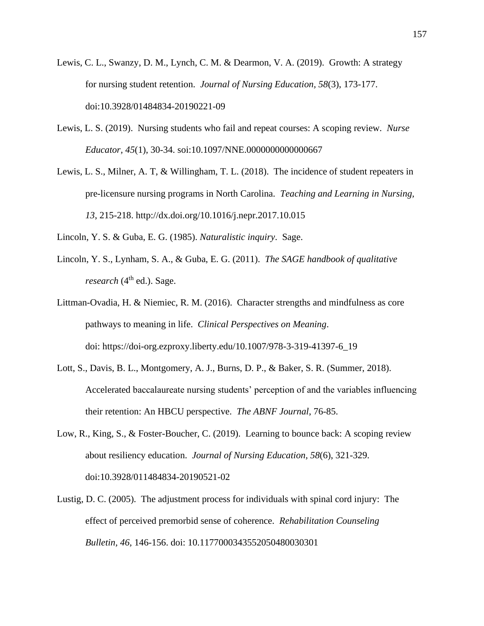- Lewis, C. L., Swanzy, D. M., Lynch, C. M. & Dearmon, V. A. (2019). Growth: A strategy for nursing student retention. *Journal of Nursing Education, 58*(3), 173-177. doi:10.3928/01484834-20190221-09
- Lewis, L. S. (2019). Nursing students who fail and repeat courses: A scoping review. *Nurse Educator, 45*(1), 30-34. soi:10.1097/NNE.0000000000000667
- Lewis, L. S., Milner, A. T, & Willingham, T. L. (2018). The incidence of student repeaters in pre-licensure nursing programs in North Carolina. *Teaching and Learning in Nursing, 13*, 215-218.<http://dx.doi.org/10.1016/j.nepr.2017.10.015>
- Lincoln, Y. S. & Guba, E. G. (1985). *Naturalistic inquiry*. Sage.
- Lincoln, Y. S., Lynham, S. A., & Guba, E. G. (2011). *The SAGE handbook of qualitative*  $research$  ( $4<sup>th</sup>$  ed.). Sage.
- Littman-Ovadia, H. & Niemiec, R. M. (2016). Character strengths and mindfulness as core pathways to meaning in life. *Clinical Perspectives on Meaning*. doi: https://doi-org.ezproxy.liberty.edu/10.1007/978-3-319-41397-6\_19
- Lott, S., Davis, B. L., Montgomery, A. J., Burns, D. P., & Baker, S. R. (Summer, 2018). Accelerated baccalaureate nursing students' perception of and the variables influencing their retention: An HBCU perspective. *The ABNF Journal*, 76-85.
- Low, R., King, S., & Foster-Boucher, C. (2019). Learning to bounce back: A scoping review about resiliency education. *Journal of Nursing Education, 58*(6), 321-329. doi:10.3928/011484834-20190521-02
- Lustig, D. C. (2005). The adjustment process for individuals with spinal cord injury: The effect of perceived premorbid sense of coherence. *Rehabilitation Counseling Bulletin, 46,* 146-156. doi: 10.1177000343552050480030301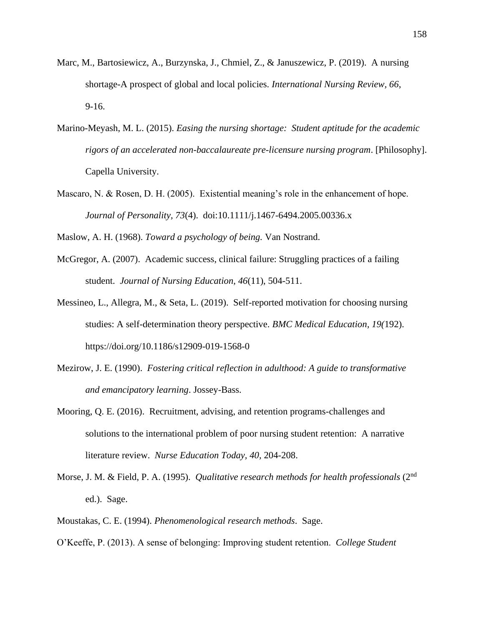- Marc, M., Bartosiewicz, A., Burzynska, J., Chmiel, Z., & Januszewicz, P. (2019). A nursing shortage-A prospect of global and local policies. *International Nursing Review, 66*, 9-16.
- Marino-Meyash, M. L. (2015). *Easing the nursing shortage: Student aptitude for the academic rigors of an accelerated non-baccalaureate pre-licensure nursing program*. [Philosophy]. Capella University.
- Mascaro, N. & Rosen, D. H. (2005). Existential meaning's role in the enhancement of hope. *Journal of Personality, 73*(4). doi:10.1111/j.1467-6494.2005.00336.x
- Maslow, A. H. (1968). *Toward a psychology of being.* Van Nostrand.
- McGregor, A. (2007). Academic success, clinical failure: Struggling practices of a failing student. *Journal of Nursing Education, 46*(11), 504-511.
- Messineo, L., Allegra, M., & Seta, L. (2019). Self-reported motivation for choosing nursing studies: A self-determination theory perspective. *BMC Medical Education, 19(*192). <https://doi.org/10.1186/s12909-019-1568-0>
- Mezirow, J. E. (1990). *Fostering critical reflection in adulthood: A guide to transformative and emancipatory learning*. Jossey-Bass.
- Mooring, Q. E. (2016). Recruitment, advising, and retention programs-challenges and solutions to the international problem of poor nursing student retention: A narrative literature review. *Nurse Education Today, 40,* 204-208.
- Morse, J. M. & Field, P. A. (1995). *Qualitative research methods for health professionals* (2nd ed.). Sage.
- Moustakas, C. E. (1994). *Phenomenological research methods*. Sage.
- O'Keeffe, P. (2013). A sense of belonging: Improving student retention. *College Student*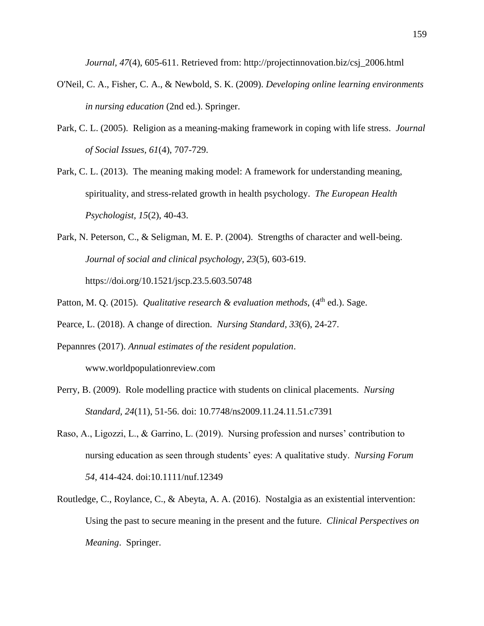*Journal, 47*(4), 605-611. Retrieved from: [http://projectinnovation.biz/csj\\_2006.html](about:blank)

- O'Neil, C. A., Fisher, C. A., & Newbold, S. K. (2009). *Developing online learning environments in nursing education* (2nd ed.). Springer.
- Park, C. L. (2005). Religion as a meaning-making framework in coping with life stress. *Journal of Social Issues, 61*(4), 707-729.
- Park, C. L. (2013). The meaning making model: A framework for understanding meaning, spirituality, and stress-related growth in health psychology. *The European Health Psychologist, 15*(2), 40-43.
- Park, N. Peterson, C., & Seligman, M. E. P. (2004). Strengths of character and well-being. *Journal of social and clinical psychology, 23*(5), 603-619. https://doi.org/10.1521/jscp.23.5.603.50748
- Patton, M. Q. (2015). *Qualitative research & evaluation methods*, (4<sup>th</sup> ed.). Sage.
- Pearce, L. (2018). A change of direction. *Nursing Standard, 33*(6), 24-27.
- Pepannres (2017). *Annual estimates of the resident population*. www.worldpopulationreview.com
- Perry, B. (2009). Role modelling practice with students on clinical placements. *Nursing Standard, 24*(11), 51-56. doi: 10.7748/ns2009.11.24.11.51.c7391
- Raso, A., Ligozzi, L., & Garrino, L. (2019). Nursing profession and nurses' contribution to nursing education as seen through students' eyes: A qualitative study. *Nursing Forum 54*, 414-424. doi:10.1111/nuf.12349
- Routledge, C., Roylance, C., & Abeyta, A. A. (2016). Nostalgia as an existential intervention: Using the past to secure meaning in the present and the future. *Clinical Perspectives on Meaning*. Springer.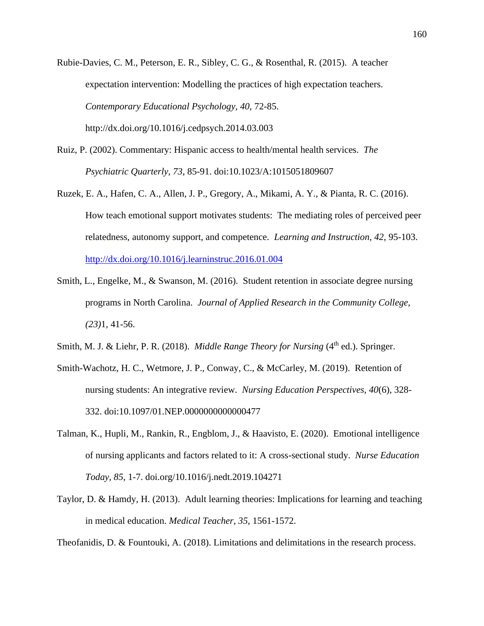Rubie-Davies, C. M., Peterson, E. R., Sibley, C. G., & Rosenthal, R. (2015). A teacher expectation intervention: Modelling the practices of high expectation teachers. *Contemporary Educational Psychology, 40,* 72-85. <http://dx.doi.org/10.1016/j.cedpsych.2014.03.003>

- Ruiz, P. (2002). Commentary: Hispanic access to health/mental health services. *The Psychiatric Quarterly, 73*, 85-91. doi:10.1023/A:1015051809607
- Ruzek, E. A., Hafen, C. A., Allen, J. P., Gregory, A., Mikami, A. Y., & Pianta, R. C. (2016). How teach emotional support motivates students: The mediating roles of perceived peer relatedness, autonomy support, and competence. *Learning and Instruction, 42*, 95-103. <http://dx.doi.org/10.1016/j.learninstruc.2016.01.004>
- Smith, L., Engelke, M., & Swanson, M. (2016). Student retention in associate degree nursing programs in North Carolina. *Journal of Applied Research in the Community College, (23)*1, 41-56.
- Smith, M. J. & Liehr, P. R. (2018). *Middle Range Theory for Nursing* (4<sup>th</sup> ed.). Springer.
- Smith-Wachotz, H. C., Wetmore, J. P., Conway, C., & McCarley, M. (2019). Retention of nursing students: An integrative review. *Nursing Education Perspectives, 40*(6), 328- 332. doi:10.1097/01.NEP.0000000000000477
- Talman, K., Hupli, M., Rankin, R., Engblom, J., & Haavisto, E. (2020). Emotional intelligence of nursing applicants and factors related to it: A cross-sectional study. *Nurse Education Today, 85*, 1-7. doi.org/10.1016/j.nedt.2019.104271
- Taylor, D. & Hamdy, H. (2013). Adult learning theories: Implications for learning and teaching in medical education. *Medical Teacher, 35*, 1561-1572.

Theofanidis, D. & Fountouki, A. (2018). Limitations and delimitations in the research process.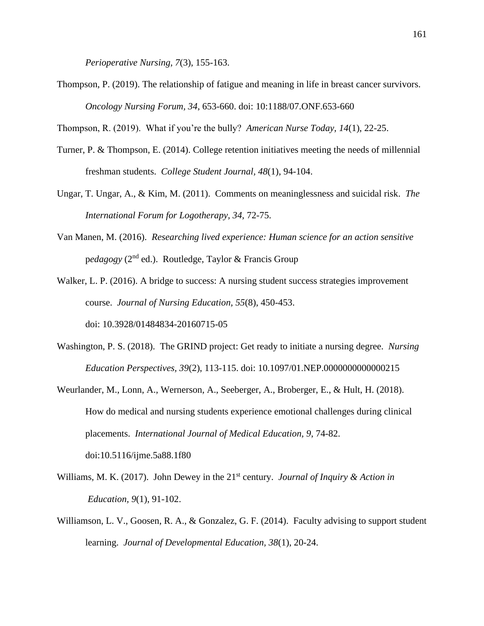*Perioperative Nursing, 7*(3), 155-163.

Thompson, P. (2019). The relationship of fatigue and meaning in life in breast cancer survivors. *Oncology Nursing Forum, 34*, 653-660. doi: 10:1188/07.ONF.653-660

Thompson, R. (2019). What if you're the bully? *American Nurse Today, 14*(1), 22-25.

- Turner, P. & Thompson, E. (2014). College retention initiatives meeting the needs of millennial freshman students. *College Student Journal, 48*(1), 94-104.
- Ungar, T. Ungar, A., & Kim, M. (2011). Comments on meaninglessness and suicidal risk. *The International Forum for Logotherapy, 34,* 72-75.
- Van Manen, M. (2016). *Researching lived experience: Human science for an action sensitive* p*edagogy* (2nd ed.). Routledge, Taylor & Francis Group

Walker, L. P. (2016). A bridge to success: A nursing student success strategies improvement course. *Journal of Nursing Education, 55*(8), 450-453.

doi: 10.3928/01484834-20160715-05

- Washington, P. S. (2018). The GRIND project: Get ready to initiate a nursing degree. *Nursing Education Perspectives, 39*(2), 113-115. doi: 10.1097/01.NEP.0000000000000215
- Weurlander, M., Lonn, A., Wernerson, A., Seeberger, A., Broberger, E., & Hult, H. (2018). How do medical and nursing students experience emotional challenges during clinical placements. *International Journal of Medical Education, 9*, 74-82. doi:10.5116/ijme.5a88.1f80
- Williams, M. K. (2017). John Dewey in the 21<sup>st</sup> century. *Journal of Inquiry & Action in Education, 9*(1), 91-102.
- Williamson, L. V., Goosen, R. A., & Gonzalez, G. F. (2014). Faculty advising to support student learning. *Journal of Developmental Education, 38*(1), 20-24.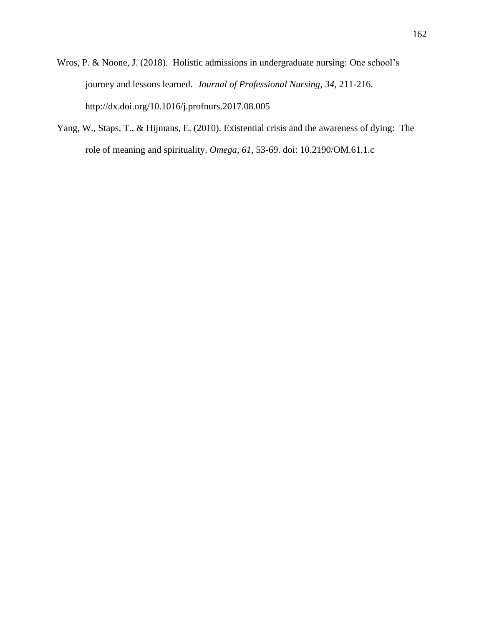- Wros, P. & Noone, J. (2018). Holistic admissions in undergraduate nursing: One school's journey and lessons learned. *Journal of Professional Nursing, 34*, 211-216. <http://dx.doi.org/10.1016/j.profnurs.2017.08.005>
- Yang, W., Staps, T., & Hijmans, E. (2010). Existential crisis and the awareness of dying: The role of meaning and spirituality. *Omega, 61,* 53-69. doi: 10.2190/OM.61.1.c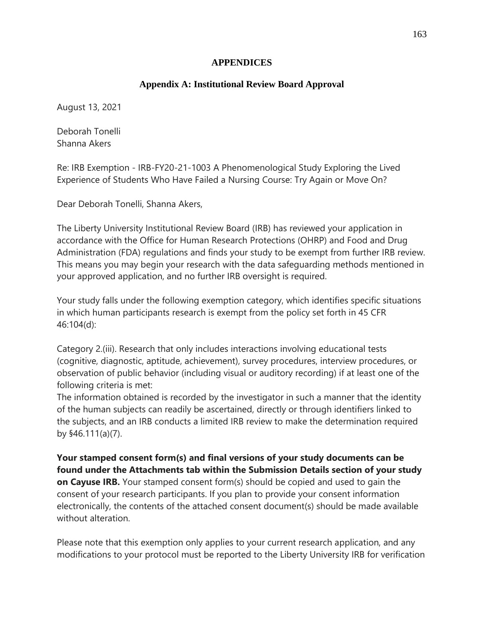#### **APPENDICES**

# **Appendix A: Institutional Review Board Approval**

August 13, 2021

Deborah Tonelli Shanna Akers

Re: IRB Exemption - IRB-FY20-21-1003 A Phenomenological Study Exploring the Lived Experience of Students Who Have Failed a Nursing Course: Try Again or Move On?

Dear Deborah Tonelli, Shanna Akers,

The Liberty University Institutional Review Board (IRB) has reviewed your application in accordance with the Office for Human Research Protections (OHRP) and Food and Drug Administration (FDA) regulations and finds your study to be exempt from further IRB review. This means you may begin your research with the data safeguarding methods mentioned in your approved application, and no further IRB oversight is required.

Your study falls under the following exemption category, which identifies specific situations in which human participants research is exempt from the policy set forth in 45 CFR 46:104(d):

Category 2.(iii). Research that only includes interactions involving educational tests (cognitive, diagnostic, aptitude, achievement), survey procedures, interview procedures, or observation of public behavior (including visual or auditory recording) if at least one of the following criteria is met:

The information obtained is recorded by the investigator in such a manner that the identity of the human subjects can readily be ascertained, directly or through identifiers linked to the subjects, and an IRB conducts a limited IRB review to make the determination required by §46.111(a)(7).

**Your stamped consent form(s) and final versions of your study documents can be found under the Attachments tab within the Submission Details section of your study on Cayuse IRB.** Your stamped consent form(s) should be copied and used to gain the consent of your research participants. If you plan to provide your consent information electronically, the contents of the attached consent document(s) should be made available without alteration.

Please note that this exemption only applies to your current research application, and any modifications to your protocol must be reported to the Liberty University IRB for verification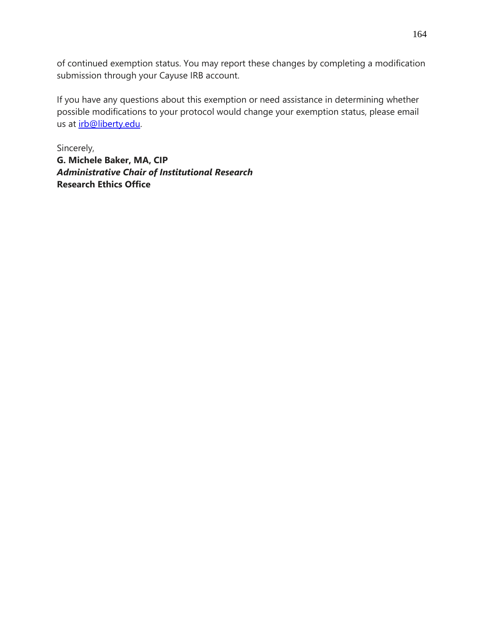of continued exemption status. You may report these changes by completing a modification submission through your Cayuse IRB account.

If you have any questions about this exemption or need assistance in determining whether possible modifications to your protocol would change your exemption status, please email us at [irb@liberty.edu.](mailto:irb@liberty.edu)

Sincerely, **G. Michele Baker, MA, CIP** *Administrative Chair of Institutional Research* **Research Ethics Office**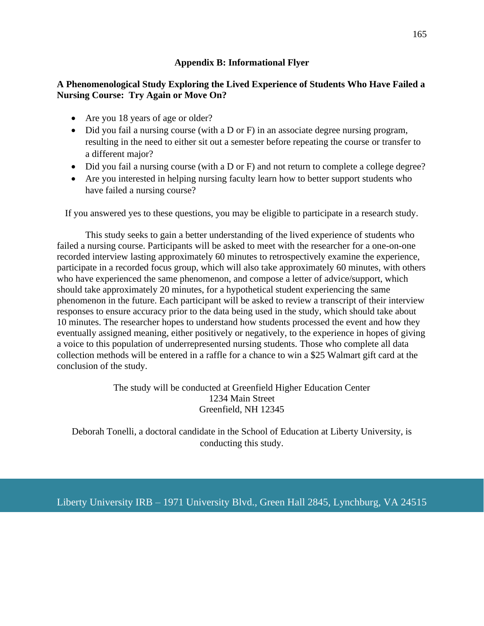#### **Appendix B: Informational Flyer**

# **A Phenomenological Study Exploring the Lived Experience of Students Who Have Failed a Nursing Course: Try Again or Move On?**

- Are you 18 years of age or older?
- Did you fail a nursing course (with a D or F) in an associate degree nursing program, resulting in the need to either sit out a semester before repeating the course or transfer to a different major?
- Did you fail a nursing course (with a D or F) and not return to complete a college degree?
- Are you interested in helping nursing faculty learn how to better support students who have failed a nursing course?

If you answered yes to these questions, you may be eligible to participate in a research study.

This study seeks to gain a better understanding of the lived experience of students who failed a nursing course. Participants will be asked to meet with the researcher for a one-on-one recorded interview lasting approximately 60 minutes to retrospectively examine the experience, participate in a recorded focus group, which will also take approximately 60 minutes, with others who have experienced the same phenomenon, and compose a letter of advice/support, which should take approximately 20 minutes, for a hypothetical student experiencing the same phenomenon in the future. Each participant will be asked to review a transcript of their interview responses to ensure accuracy prior to the data being used in the study, which should take about 10 minutes. The researcher hopes to understand how students processed the event and how they eventually assigned meaning, either positively or negatively, to the experience in hopes of giving a voice to this population of underrepresented nursing students. Those who complete all data collection methods will be entered in a raffle for a chance to win a \$25 Walmart gift card at the conclusion of the study.

> The study will be conducted at Greenfield Higher Education Center 1234 Main Street Greenfield, NH 12345

Deborah Tonelli, a doctoral candidate in the School of Education at Liberty University, is conducting this study.

Liberty University IRB – 1971 University Blvd., Green Hall 2845, Lynchburg, VA 24515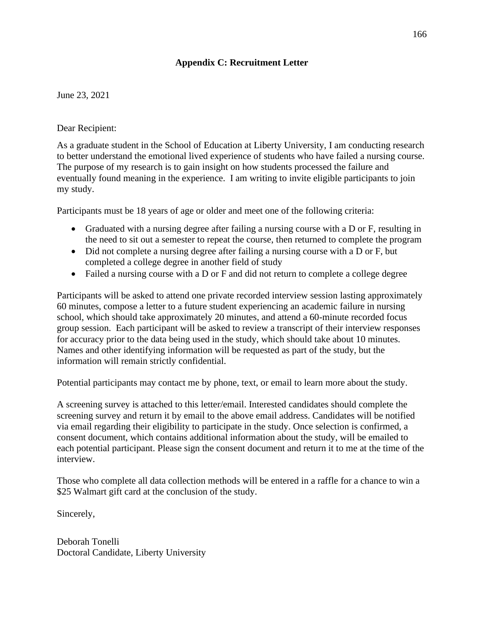# **Appendix C: Recruitment Letter**

# June 23, 2021

#### Dear Recipient:

As a graduate student in the School of Education at Liberty University, I am conducting research to better understand the emotional lived experience of students who have failed a nursing course. The purpose of my research is to gain insight on how students processed the failure and eventually found meaning in the experience. I am writing to invite eligible participants to join my study.

Participants must be 18 years of age or older and meet one of the following criteria:

- Graduated with a nursing degree after failing a nursing course with a D or F, resulting in the need to sit out a semester to repeat the course, then returned to complete the program
- Did not complete a nursing degree after failing a nursing course with a D or F, but completed a college degree in another field of study
- Failed a nursing course with a D or F and did not return to complete a college degree

Participants will be asked to attend one private recorded interview session lasting approximately 60 minutes, compose a letter to a future student experiencing an academic failure in nursing school, which should take approximately 20 minutes, and attend a 60-minute recorded focus group session. Each participant will be asked to review a transcript of their interview responses for accuracy prior to the data being used in the study, which should take about 10 minutes. Names and other identifying information will be requested as part of the study, but the information will remain strictly confidential.

Potential participants may contact me by phone, text, or email to learn more about the study.

A screening survey is attached to this letter/email. Interested candidates should complete the screening survey and return it by email to the above email address. Candidates will be notified via email regarding their eligibility to participate in the study. Once selection is confirmed, a consent document, which contains additional information about the study, will be emailed to each potential participant. Please sign the consent document and return it to me at the time of the interview.

Those who complete all data collection methods will be entered in a raffle for a chance to win a \$25 Walmart gift card at the conclusion of the study.

Sincerely,

Deborah Tonelli Doctoral Candidate, Liberty University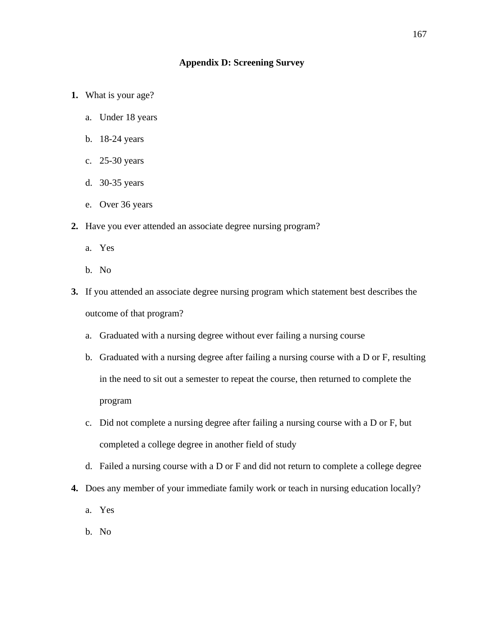#### **Appendix D: Screening Survey**

- **1.** What is your age?
	- a. Under 18 years
	- b. 18-24 years
	- c. 25-30 years
	- d. 30-35 years
	- e. Over 36 years
- **2.** Have you ever attended an associate degree nursing program?
	- a. Yes
	- b. No
- **3.** If you attended an associate degree nursing program which statement best describes the outcome of that program?
	- a. Graduated with a nursing degree without ever failing a nursing course
	- b. Graduated with a nursing degree after failing a nursing course with a D or F, resulting in the need to sit out a semester to repeat the course, then returned to complete the program
	- c. Did not complete a nursing degree after failing a nursing course with a D or F, but completed a college degree in another field of study
	- d. Failed a nursing course with a D or F and did not return to complete a college degree
- **4.** Does any member of your immediate family work or teach in nursing education locally?
	- a. Yes
	- b. No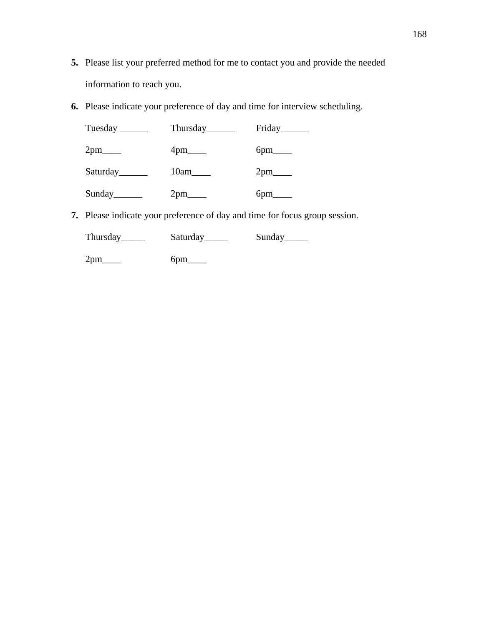- **5.** Please list your preferred method for me to contact you and provide the needed information to reach you.
- **6.** Please indicate your preference of day and time for interview scheduling.

| Tuesday $\_\_\_\_\_\_\_\_\_\_\_\$ |                        | Friday                 |
|-----------------------------------|------------------------|------------------------|
| $2pm$ <sub>____</sub>             | $4 \text{pm}$          | $6pm$ <sub>_____</sub> |
| Saturday                          | 10am                   | $2pm$ <sub>____</sub>  |
|                                   | $2pm$ <sub>_____</sub> | $6pm$ <sub>_____</sub> |

**7.** Please indicate your preference of day and time for focus group session.

|     | Saturday        | Sunday <sub>________</sub> |
|-----|-----------------|----------------------------|
| 2pm | 6 <sub>pm</sub> |                            |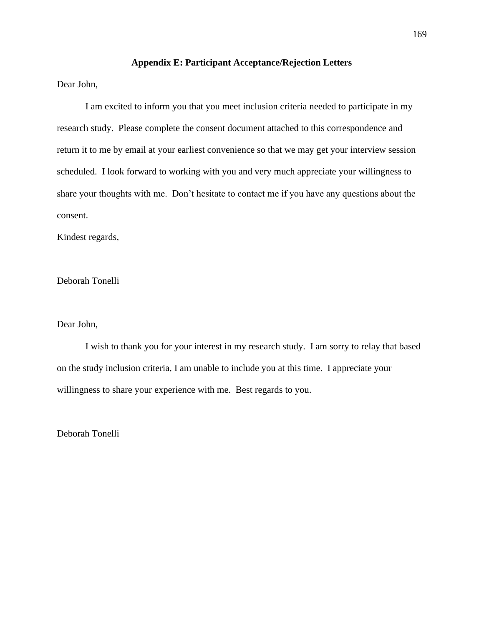#### **Appendix E: Participant Acceptance/Rejection Letters**

Dear John,

I am excited to inform you that you meet inclusion criteria needed to participate in my research study. Please complete the consent document attached to this correspondence and return it to me by email at your earliest convenience so that we may get your interview session scheduled. I look forward to working with you and very much appreciate your willingness to share your thoughts with me. Don't hesitate to contact me if you have any questions about the consent.

Kindest regards,

Deborah Tonelli

#### Dear John,

I wish to thank you for your interest in my research study. I am sorry to relay that based on the study inclusion criteria, I am unable to include you at this time. I appreciate your willingness to share your experience with me. Best regards to you.

Deborah Tonelli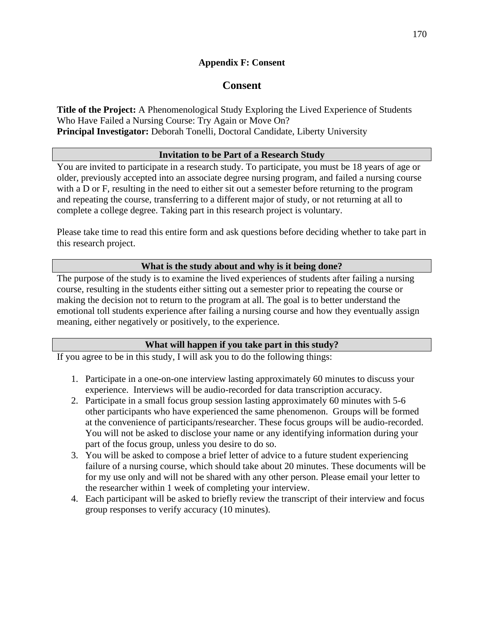# **Appendix F: Consent**

# **Consent**

**Title of the Project:** A Phenomenological Study Exploring the Lived Experience of Students Who Have Failed a Nursing Course: Try Again or Move On? **Principal Investigator:** Deborah Tonelli, Doctoral Candidate, Liberty University

# **Invitation to be Part of a Research Study**

You are invited to participate in a research study. To participate, you must be 18 years of age or older, previously accepted into an associate degree nursing program, and failed a nursing course with a D or F, resulting in the need to either sit out a semester before returning to the program and repeating the course, transferring to a different major of study, or not returning at all to complete a college degree. Taking part in this research project is voluntary.

Please take time to read this entire form and ask questions before deciding whether to take part in this research project.

# **What is the study about and why is it being done?**

The purpose of the study is to examine the lived experiences of students after failing a nursing course, resulting in the students either sitting out a semester prior to repeating the course or making the decision not to return to the program at all. The goal is to better understand the emotional toll students experience after failing a nursing course and how they eventually assign meaning, either negatively or positively, to the experience.

# **What will happen if you take part in this study?**

If you agree to be in this study, I will ask you to do the following things:

- 1. Participate in a one-on-one interview lasting approximately 60 minutes to discuss your experience. Interviews will be audio-recorded for data transcription accuracy.
- 2. Participate in a small focus group session lasting approximately 60 minutes with 5-6 other participants who have experienced the same phenomenon. Groups will be formed at the convenience of participants/researcher. These focus groups will be audio-recorded. You will not be asked to disclose your name or any identifying information during your part of the focus group, unless you desire to do so.
- 3. You will be asked to compose a brief letter of advice to a future student experiencing failure of a nursing course, which should take about 20 minutes. These documents will be for my use only and will not be shared with any other person. Please email your letter to the researcher within 1 week of completing your interview.
- 4. Each participant will be asked to briefly review the transcript of their interview and focus group responses to verify accuracy (10 minutes).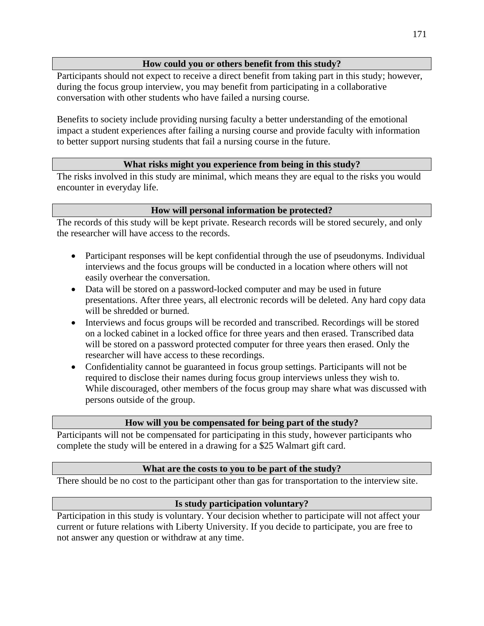# **How could you or others benefit from this study?**

Participants should not expect to receive a direct benefit from taking part in this study; however, during the focus group interview, you may benefit from participating in a collaborative conversation with other students who have failed a nursing course.

Benefits to society include providing nursing faculty a better understanding of the emotional impact a student experiences after failing a nursing course and provide faculty with information to better support nursing students that fail a nursing course in the future.

# **What risks might you experience from being in this study?**

The risks involved in this study are minimal, which means they are equal to the risks you would encounter in everyday life.

# **How will personal information be protected?**

The records of this study will be kept private. Research records will be stored securely, and only the researcher will have access to the records.

- Participant responses will be kept confidential through the use of pseudonyms. Individual interviews and the focus groups will be conducted in a location where others will not easily overhear the conversation.
- Data will be stored on a password-locked computer and may be used in future presentations. After three years, all electronic records will be deleted. Any hard copy data will be shredded or burned.
- Interviews and focus groups will be recorded and transcribed. Recordings will be stored on a locked cabinet in a locked office for three years and then erased. Transcribed data will be stored on a password protected computer for three years then erased. Only the researcher will have access to these recordings.
- Confidentiality cannot be guaranteed in focus group settings. Participants will not be required to disclose their names during focus group interviews unless they wish to. While discouraged, other members of the focus group may share what was discussed with persons outside of the group.

# **How will you be compensated for being part of the study?**

Participants will not be compensated for participating in this study, however participants who complete the study will be entered in a drawing for a \$25 Walmart gift card.

# **What are the costs to you to be part of the study?**

There should be no cost to the participant other than gas for transportation to the interview site.

# **Is study participation voluntary?**

Participation in this study is voluntary. Your decision whether to participate will not affect your current or future relations with Liberty University. If you decide to participate, you are free to not answer any question or withdraw at any time.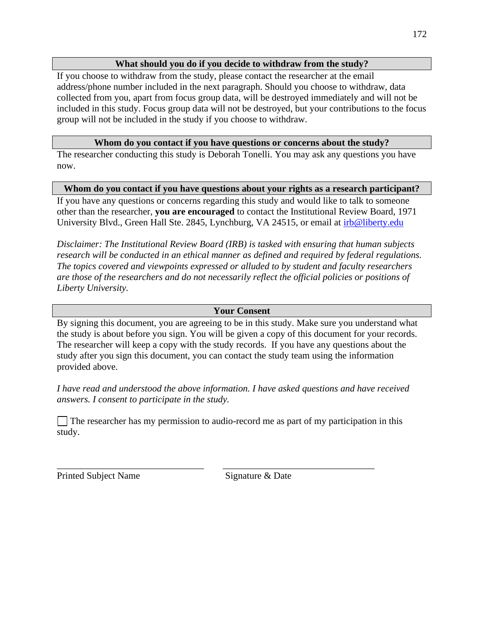#### **What should you do if you decide to withdraw from the study?**

If you choose to withdraw from the study, please contact the researcher at the email address/phone number included in the next paragraph. Should you choose to withdraw, data collected from you, apart from focus group data, will be destroyed immediately and will not be included in this study. Focus group data will not be destroyed, but your contributions to the focus group will not be included in the study if you choose to withdraw.

#### **Whom do you contact if you have questions or concerns about the study?**

The researcher conducting this study is Deborah Tonelli. You may ask any questions you have now.

#### **Whom do you contact if you have questions about your rights as a research participant?**

If you have any questions or concerns regarding this study and would like to talk to someone other than the researcher, **you are encouraged** to contact the Institutional Review Board, 1971 University Blvd., Green Hall Ste. 2845, Lynchburg, VA 24515, or email at [irb@liberty.edu](mailto:irb@liberty.edu)

*Disclaimer: The Institutional Review Board (IRB) is tasked with ensuring that human subjects research will be conducted in an ethical manner as defined and required by federal regulations. The topics covered and viewpoints expressed or alluded to by student and faculty researchers are those of the researchers and do not necessarily reflect the official policies or positions of Liberty University.* 

#### **Your Consent**

By signing this document, you are agreeing to be in this study. Make sure you understand what the study is about before you sign. You will be given a copy of this document for your records. The researcher will keep a copy with the study records. If you have any questions about the study after you sign this document, you can contact the study team using the information provided above.

*I have read and understood the above information. I have asked questions and have received answers. I consent to participate in the study.*

The researcher has my permission to audio-record me as part of my participation in this study.

\_\_\_\_\_\_\_\_\_\_\_\_\_\_\_\_\_\_\_\_\_\_\_\_\_\_\_\_\_\_\_ \_\_\_\_\_\_\_\_\_\_\_\_\_\_\_\_\_\_\_\_\_\_\_\_\_\_\_\_\_\_\_\_

Printed Subject Name Signature & Date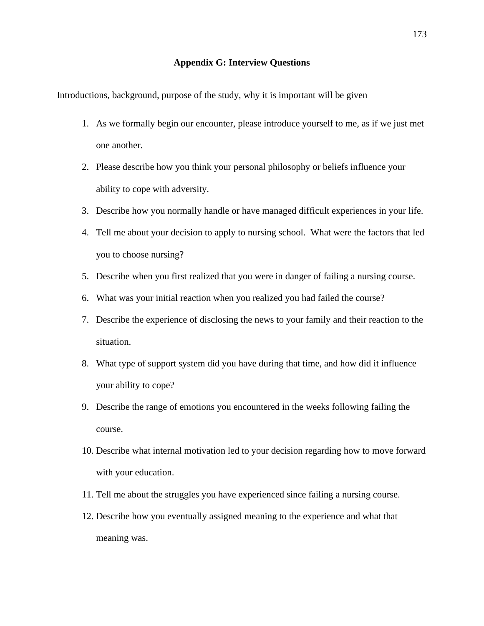#### **Appendix G: Interview Questions**

Introductions, background, purpose of the study, why it is important will be given

- 1. As we formally begin our encounter, please introduce yourself to me, as if we just met one another.
- 2. Please describe how you think your personal philosophy or beliefs influence your ability to cope with adversity.
- 3. Describe how you normally handle or have managed difficult experiences in your life.
- 4. Tell me about your decision to apply to nursing school. What were the factors that led you to choose nursing?
- 5. Describe when you first realized that you were in danger of failing a nursing course.
- 6. What was your initial reaction when you realized you had failed the course?
- 7. Describe the experience of disclosing the news to your family and their reaction to the situation.
- 8. What type of support system did you have during that time, and how did it influence your ability to cope?
- 9. Describe the range of emotions you encountered in the weeks following failing the course.
- 10. Describe what internal motivation led to your decision regarding how to move forward with your education.
- 11. Tell me about the struggles you have experienced since failing a nursing course.
- 12. Describe how you eventually assigned meaning to the experience and what that meaning was.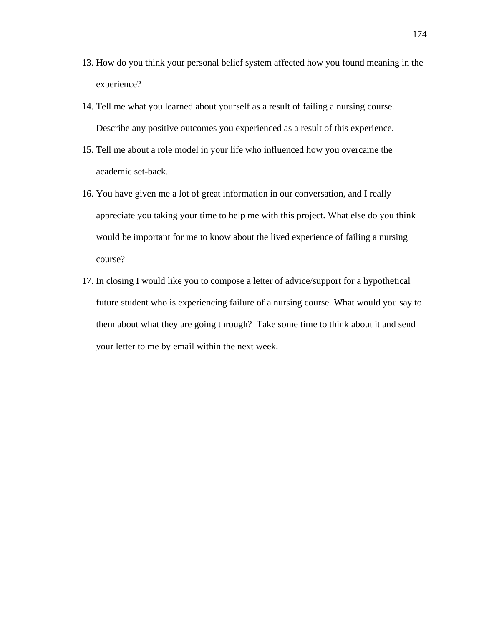- 13. How do you think your personal belief system affected how you found meaning in the experience?
- 14. Tell me what you learned about yourself as a result of failing a nursing course. Describe any positive outcomes you experienced as a result of this experience.
- 15. Tell me about a role model in your life who influenced how you overcame the academic set-back.
- 16. You have given me a lot of great information in our conversation, and I really appreciate you taking your time to help me with this project. What else do you think would be important for me to know about the lived experience of failing a nursing course?
- 17. In closing I would like you to compose a letter of advice/support for a hypothetical future student who is experiencing failure of a nursing course. What would you say to them about what they are going through? Take some time to think about it and send your letter to me by email within the next week.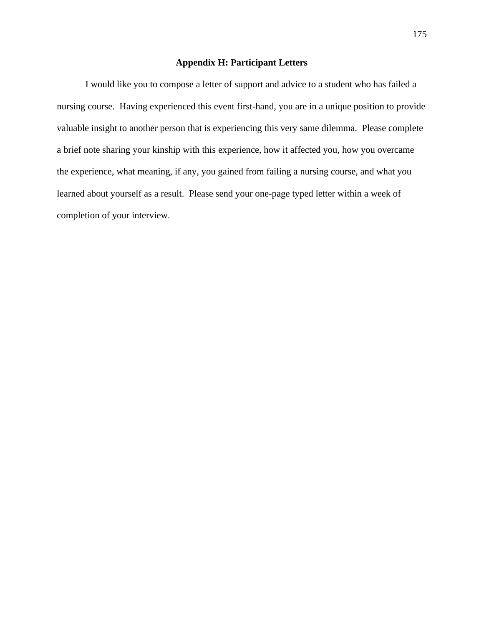#### **Appendix H: Participant Letters**

I would like you to compose a letter of support and advice to a student who has failed a nursing course. Having experienced this event first-hand, you are in a unique position to provide valuable insight to another person that is experiencing this very same dilemma. Please complete a brief note sharing your kinship with this experience, how it affected you, how you overcame the experience, what meaning, if any, you gained from failing a nursing course, and what you learned about yourself as a result. Please send your one-page typed letter within a week of completion of your interview.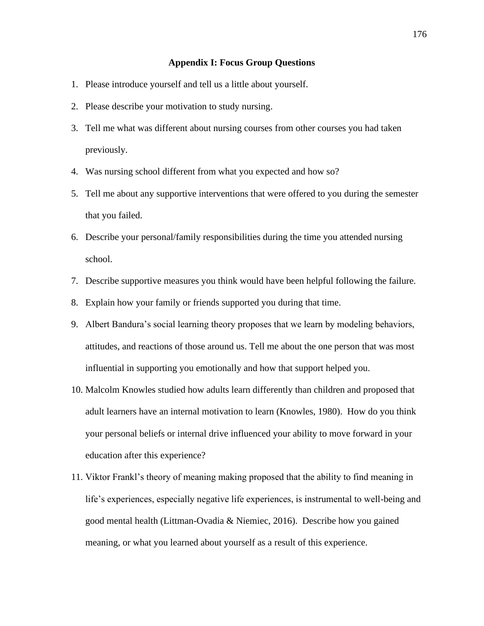#### **Appendix I: Focus Group Questions**

- 1. Please introduce yourself and tell us a little about yourself.
- 2. Please describe your motivation to study nursing.
- 3. Tell me what was different about nursing courses from other courses you had taken previously.
- 4. Was nursing school different from what you expected and how so?
- 5. Tell me about any supportive interventions that were offered to you during the semester that you failed.
- 6. Describe your personal/family responsibilities during the time you attended nursing school.
- 7. Describe supportive measures you think would have been helpful following the failure.
- 8. Explain how your family or friends supported you during that time.
- 9. Albert Bandura's social learning theory proposes that we learn by modeling behaviors, attitudes, and reactions of those around us. Tell me about the one person that was most influential in supporting you emotionally and how that support helped you.
- 10. Malcolm Knowles studied how adults learn differently than children and proposed that adult learners have an internal motivation to learn (Knowles, 1980). How do you think your personal beliefs or internal drive influenced your ability to move forward in your education after this experience?
- 11. Viktor Frankl's theory of meaning making proposed that the ability to find meaning in life's experiences, especially negative life experiences, is instrumental to well-being and good mental health (Littman-Ovadia & Niemiec, 2016). Describe how you gained meaning, or what you learned about yourself as a result of this experience.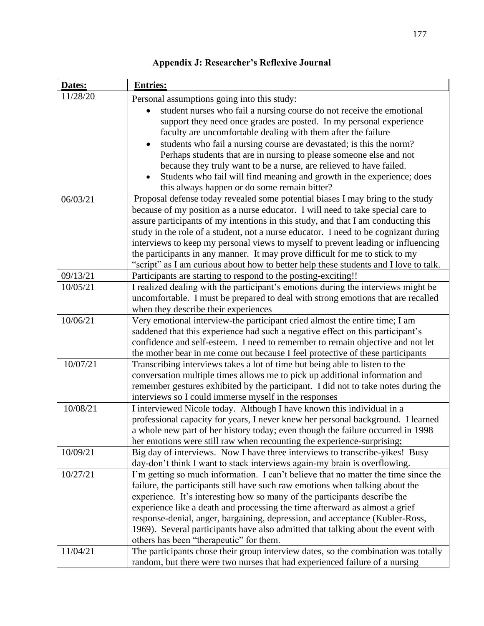| Dates:   | <b>Entries:</b>                                                                                                             |
|----------|-----------------------------------------------------------------------------------------------------------------------------|
| 11/28/20 | Personal assumptions going into this study:                                                                                 |
|          | student nurses who fail a nursing course do not receive the emotional                                                       |
|          | support they need once grades are posted. In my personal experience                                                         |
|          | faculty are uncomfortable dealing with them after the failure                                                               |
|          | students who fail a nursing course are devastated; is this the norm?                                                        |
|          | Perhaps students that are in nursing to please someone else and not                                                         |
|          | because they truly want to be a nurse, are relieved to have failed.                                                         |
|          | Students who fail will find meaning and growth in the experience; does                                                      |
|          | this always happen or do some remain bitter?                                                                                |
| 06/03/21 | Proposal defense today revealed some potential biases I may bring to the study                                              |
|          | because of my position as a nurse educator. I will need to take special care to                                             |
|          | assure participants of my intentions in this study, and that I am conducting this                                           |
|          | study in the role of a student, not a nurse educator. I need to be cognizant during                                         |
|          | interviews to keep my personal views to myself to prevent leading or influencing                                            |
|          | the participants in any manner. It may prove difficult for me to stick to my                                                |
|          | "script" as I am curious about how to better help these students and I love to talk.                                        |
| 09/13/21 | Participants are starting to respond to the posting-exciting!!                                                              |
| 10/05/21 | I realized dealing with the participant's emotions during the interviews might be                                           |
|          | uncomfortable. I must be prepared to deal with strong emotions that are recalled                                            |
|          | when they describe their experiences                                                                                        |
| 10/06/21 | Very emotional interview-the participant cried almost the entire time; I am                                                 |
|          | saddened that this experience had such a negative effect on this participant's                                              |
|          | confidence and self-esteem. I need to remember to remain objective and not let                                              |
|          | the mother bear in me come out because I feel protective of these participants                                              |
| 10/07/21 | Transcribing interviews takes a lot of time but being able to listen to the                                                 |
|          | conversation multiple times allows me to pick up additional information and                                                 |
|          | remember gestures exhibited by the participant. I did not to take notes during the                                          |
|          | interviews so I could immerse myself in the responses                                                                       |
| 10/08/21 | I interviewed Nicole today. Although I have known this individual in a                                                      |
|          | professional capacity for years, I never knew her personal background. I learned                                            |
|          | a whole new part of her history today; even though the failure occurred in 1998                                             |
|          | her emotions were still raw when recounting the experience-surprising;                                                      |
| 10/09/21 | Big day of interviews. Now I have three interviews to transcribe-yikes! Busy                                                |
|          | day-don't think I want to stack interviews again-my brain is overflowing.                                                   |
| 10/27/21 | I'm getting so much information. I can't believe that no matter the time since the                                          |
|          | failure, the participants still have such raw emotions when talking about the                                               |
|          | experience. It's interesting how so many of the participants describe the                                                   |
|          | experience like a death and processing the time afterward as almost a grief                                                 |
|          | response-denial, anger, bargaining, depression, and acceptance (Kubler-Ross,                                                |
|          | 1969). Several participants have also admitted that talking about the event with<br>others has been "therapeutic" for them. |
| 11/04/21 | The participants chose their group interview dates, so the combination was totally                                          |
|          | random, but there were two nurses that had experienced failure of a nursing                                                 |
|          |                                                                                                                             |

**Appendix J: Researcher's Reflexive Journal**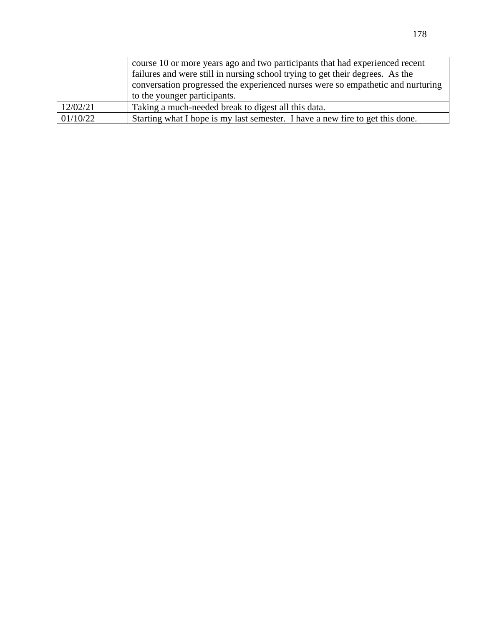|          | course 10 or more years ago and two participants that had experienced recent    |  |
|----------|---------------------------------------------------------------------------------|--|
|          | failures and were still in nursing school trying to get their degrees. As the   |  |
|          | conversation progressed the experienced nurses were so empathetic and nurturing |  |
|          | to the younger participants.                                                    |  |
| 12/02/21 | Taking a much-needed break to digest all this data.                             |  |
| 01/10/22 | Starting what I hope is my last semester. I have a new fire to get this done.   |  |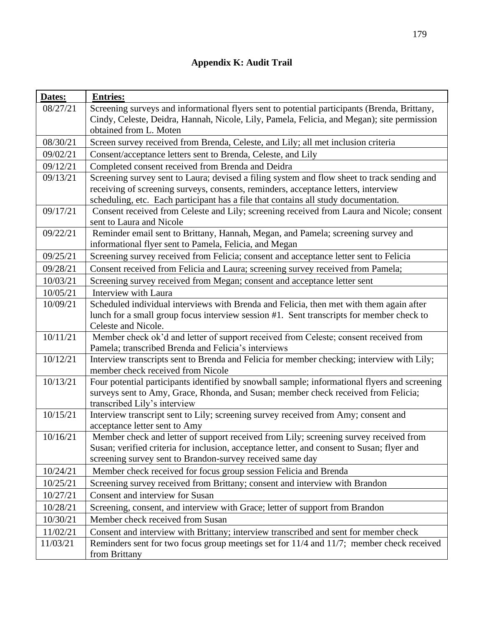| Dates:   | <b>Entries:</b>                                                                                                                 |
|----------|---------------------------------------------------------------------------------------------------------------------------------|
| 08/27/21 | Screening surveys and informational flyers sent to potential participants (Brenda, Brittany,                                    |
|          | Cindy, Celeste, Deidra, Hannah, Nicole, Lily, Pamela, Felicia, and Megan); site permission                                      |
|          | obtained from L. Moten                                                                                                          |
| 08/30/21 | Screen survey received from Brenda, Celeste, and Lily; all met inclusion criteria                                               |
| 09/02/21 | Consent/acceptance letters sent to Brenda, Celeste, and Lily                                                                    |
| 09/12/21 | Completed consent received from Brenda and Deidra                                                                               |
| 09/13/21 | Screening survey sent to Laura; devised a filing system and flow sheet to track sending and                                     |
|          | receiving of screening surveys, consents, reminders, acceptance letters, interview                                              |
|          | scheduling, etc. Each participant has a file that contains all study documentation.                                             |
| 09/17/21 | Consent received from Celeste and Lily; screening received from Laura and Nicole; consent<br>sent to Laura and Nicole           |
| 09/22/21 | Reminder email sent to Brittany, Hannah, Megan, and Pamela; screening survey and                                                |
|          | informational flyer sent to Pamela, Felicia, and Megan                                                                          |
| 09/25/21 | Screening survey received from Felicia; consent and acceptance letter sent to Felicia                                           |
| 09/28/21 | Consent received from Felicia and Laura; screening survey received from Pamela;                                                 |
| 10/03/21 | Screening survey received from Megan; consent and acceptance letter sent                                                        |
| 10/05/21 | Interview with Laura                                                                                                            |
| 10/09/21 | Scheduled individual interviews with Brenda and Felicia, then met with them again after                                         |
|          | lunch for a small group focus interview session #1. Sent transcripts for member check to                                        |
|          | Celeste and Nicole.                                                                                                             |
| 10/11/21 | Member check ok'd and letter of support received from Celeste; consent received from                                            |
|          | Pamela; transcribed Brenda and Felicia's interviews                                                                             |
| 10/12/21 | Interview transcripts sent to Brenda and Felicia for member checking; interview with Lily;<br>member check received from Nicole |
| 10/13/21 | Four potential participants identified by snowball sample; informational flyers and screening                                   |
|          | surveys sent to Amy, Grace, Rhonda, and Susan; member check received from Felicia;                                              |
|          | transcribed Lily's interview                                                                                                    |
| 10/15/21 | Interview transcript sent to Lily; screening survey received from Amy; consent and                                              |
|          | acceptance letter sent to Amy                                                                                                   |
| 10/16/21 | Member check and letter of support received from Lily; screening survey received from                                           |
|          | Susan; verified criteria for inclusion, acceptance letter, and consent to Susan; flyer and                                      |
|          | screening survey sent to Brandon-survey received same day                                                                       |
| 10/24/21 | Member check received for focus group session Felicia and Brenda                                                                |
| 10/25/21 | Screening survey received from Brittany; consent and interview with Brandon                                                     |
| 10/27/21 | Consent and interview for Susan                                                                                                 |
| 10/28/21 | Screening, consent, and interview with Grace; letter of support from Brandon                                                    |
| 10/30/21 | Member check received from Susan                                                                                                |
| 11/02/21 | Consent and interview with Brittany; interview transcribed and sent for member check                                            |
| 11/03/21 | Reminders sent for two focus group meetings set for 11/4 and 11/7; member check received                                        |
|          | from Brittany                                                                                                                   |